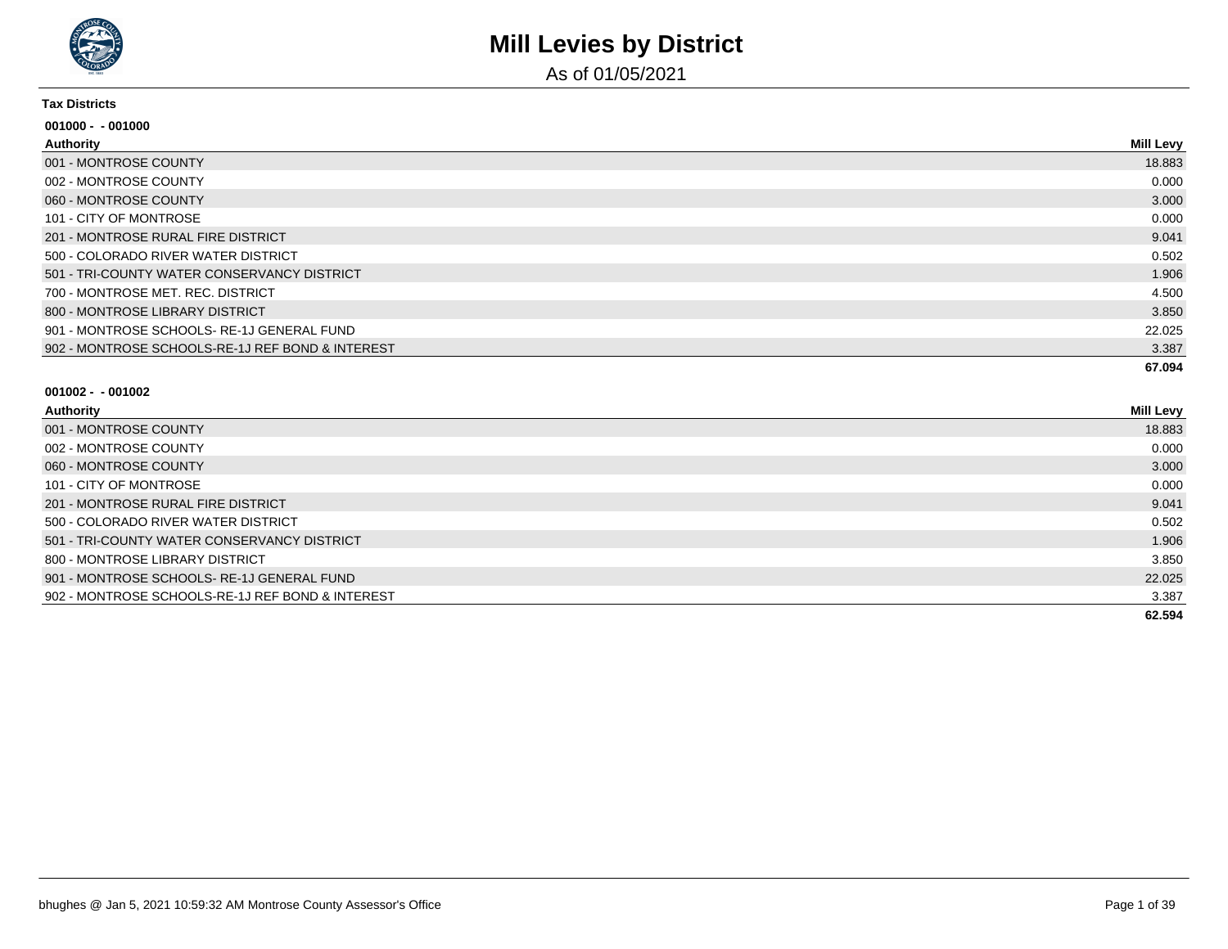

As of 01/05/2021

#### **Tax Districts**

| $001000 - 001000$                                |                  |
|--------------------------------------------------|------------------|
| Authority                                        | <b>Mill Levy</b> |
| 001 - MONTROSE COUNTY                            | 18.883           |
| 002 - MONTROSE COUNTY                            | 0.000            |
| 060 - MONTROSE COUNTY                            | 3.000            |
| 101 - CITY OF MONTROSE                           | 0.000            |
| 201 - MONTROSE RURAL FIRE DISTRICT               | 9.041            |
| 500 - COLORADO RIVER WATER DISTRICT              | 0.502            |
| 501 - TRI-COUNTY WATER CONSERVANCY DISTRICT      | 1.906            |
| 700 - MONTROSE MET. REC. DISTRICT                | 4.500            |
| 800 - MONTROSE LIBRARY DISTRICT                  | 3.850            |
| 901 - MONTROSE SCHOOLS-RE-1J GENERAL FUND        | 22.025           |
| 902 - MONTROSE SCHOOLS-RE-1J REF BOND & INTEREST | 3.387            |
|                                                  | 67.094           |

| <b>Authority</b>                                 | <b>Mill Levy</b> |
|--------------------------------------------------|------------------|
| 001 - MONTROSE COUNTY                            | 18.883           |
| 002 - MONTROSE COUNTY                            | 0.000            |
| 060 - MONTROSE COUNTY                            | 3.000            |
| 101 - CITY OF MONTROSE                           | 0.000            |
| 201 - MONTROSE RURAL FIRE DISTRICT               | 9.041            |
| 500 - COLORADO RIVER WATER DISTRICT              | 0.502            |
| 501 - TRI-COUNTY WATER CONSERVANCY DISTRICT      | 1.906            |
| 800 - MONTROSE LIBRARY DISTRICT                  | 3.850            |
| 901 - MONTROSE SCHOOLS-RE-1J GENERAL FUND        | 22.025           |
| 902 - MONTROSE SCHOOLS-RE-1J REF BOND & INTEREST | 3.387            |
|                                                  | 62.594           |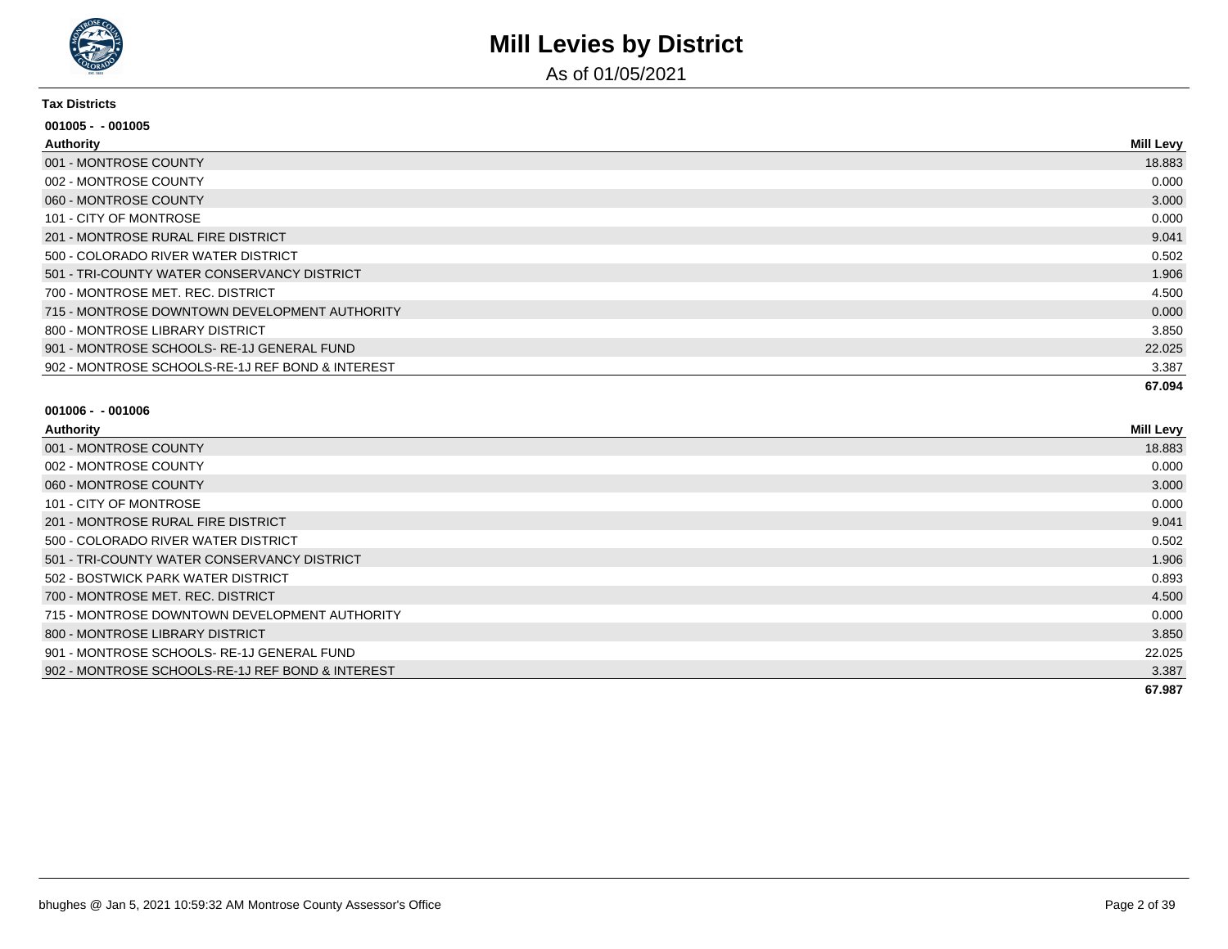

As of 01/05/2021

#### **Tax Districts**

| $001005 - 001005$                                |                  |
|--------------------------------------------------|------------------|
| Authority                                        | <b>Mill Levy</b> |
| 001 - MONTROSE COUNTY                            | 18.883           |
| 002 - MONTROSE COUNTY                            | 0.000            |
| 060 - MONTROSE COUNTY                            | 3.000            |
| 101 - CITY OF MONTROSE                           | 0.000            |
| 201 - MONTROSE RURAL FIRE DISTRICT               | 9.041            |
| 500 - COLORADO RIVER WATER DISTRICT              | 0.502            |
| 501 - TRI-COUNTY WATER CONSERVANCY DISTRICT      | 1.906            |
| 700 - MONTROSE MET, REC, DISTRICT                | 4.500            |
| 715 - MONTROSE DOWNTOWN DEVELOPMENT AUTHORITY    | 0.000            |
| 800 - MONTROSE LIBRARY DISTRICT                  | 3.850            |
| 901 - MONTROSE SCHOOLS-RE-1J GENERAL FUND        | 22.025           |
| 902 - MONTROSE SCHOOLS-RE-1J REF BOND & INTEREST | 3.387            |
|                                                  | 67.094           |

| Authority                                        | <b>Mill Levy</b> |
|--------------------------------------------------|------------------|
| 001 - MONTROSE COUNTY                            | 18.883           |
| 002 - MONTROSE COUNTY                            | 0.000            |
| 060 - MONTROSE COUNTY                            | 3.000            |
| 101 - CITY OF MONTROSE                           | 0.000            |
| 201 - MONTROSE RURAL FIRE DISTRICT               | 9.041            |
| 500 - COLORADO RIVER WATER DISTRICT              | 0.502            |
| 501 - TRI-COUNTY WATER CONSERVANCY DISTRICT      | 1.906            |
| 502 - BOSTWICK PARK WATER DISTRICT               | 0.893            |
| 700 - MONTROSE MET, REC, DISTRICT                | 4.500            |
| 715 - MONTROSE DOWNTOWN DEVELOPMENT AUTHORITY    | 0.000            |
| 800 - MONTROSE LIBRARY DISTRICT                  | 3.850            |
| 901 - MONTROSE SCHOOLS- RE-1J GENERAL FUND       | 22.025           |
| 902 - MONTROSE SCHOOLS-RE-1J REF BOND & INTEREST | 3.387            |
|                                                  | 67.987           |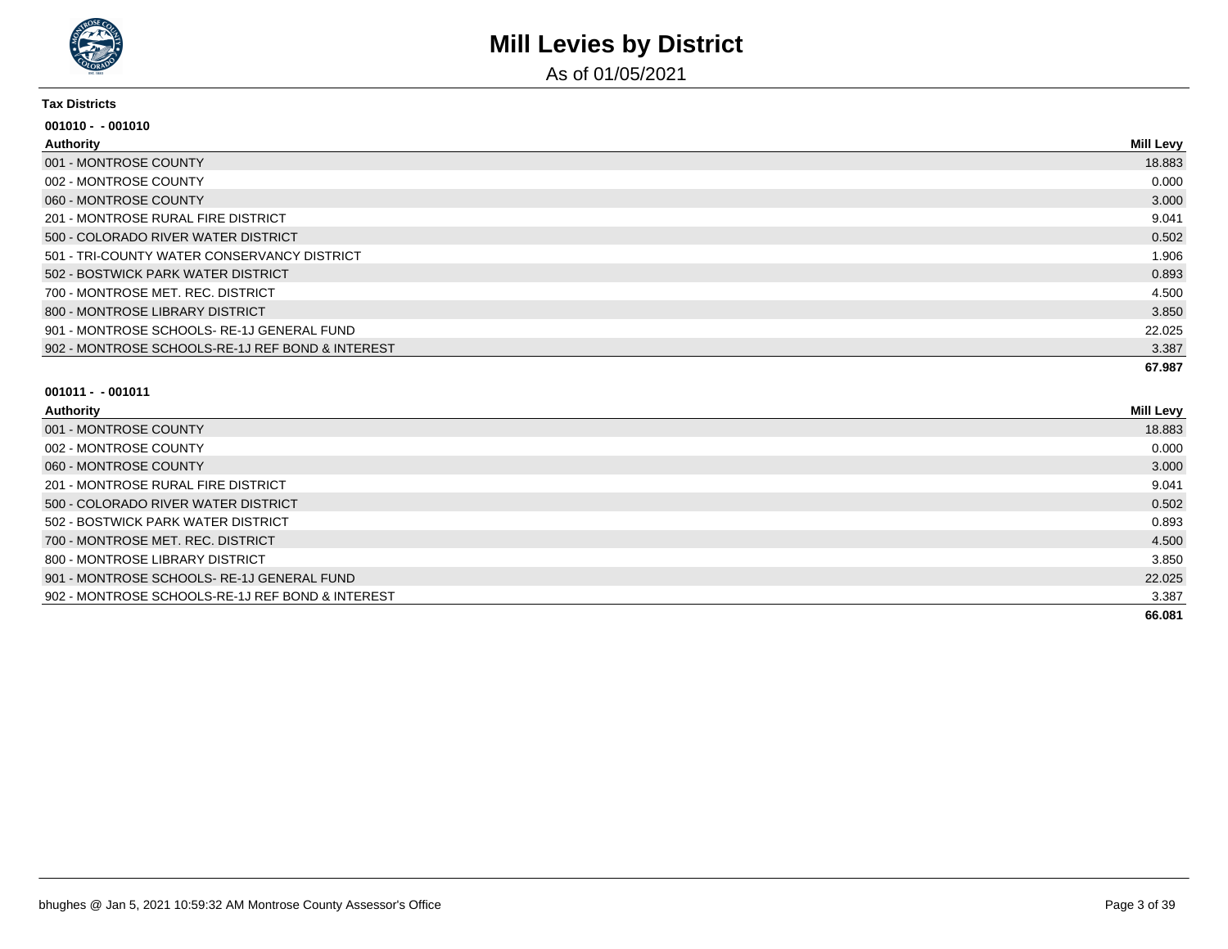

As of 01/05/2021

#### **Tax Districts**

| $001010 - 001010$                                |           |
|--------------------------------------------------|-----------|
| Authority                                        | Mill Levy |
| 001 - MONTROSE COUNTY                            | 18.883    |
| 002 - MONTROSE COUNTY                            | 0.000     |
| 060 - MONTROSE COUNTY                            | 3.000     |
| 201 - MONTROSE RURAL FIRE DISTRICT               | 9.041     |
| 500 - COLORADO RIVER WATER DISTRICT              | 0.502     |
| 501 - TRI-COUNTY WATER CONSERVANCY DISTRICT      | 1.906     |
| 502 - BOSTWICK PARK WATER DISTRICT               | 0.893     |
| 700 - MONTROSE MET. REC. DISTRICT                | 4.500     |
| 800 - MONTROSE LIBRARY DISTRICT                  | 3.850     |
| 901 - MONTROSE SCHOOLS-RE-1J GENERAL FUND        | 22.025    |
| 902 - MONTROSE SCHOOLS-RE-1J REF BOND & INTEREST | 3.387     |
|                                                  | 67.987    |

| <b>Authority</b>                                 | <b>Mill Levy</b> |
|--------------------------------------------------|------------------|
| 001 - MONTROSE COUNTY                            | 18.883           |
| 002 - MONTROSE COUNTY                            | 0.000            |
| 060 - MONTROSE COUNTY                            | 3.000            |
| 201 - MONTROSE RURAL FIRE DISTRICT               | 9.041            |
| 500 - COLORADO RIVER WATER DISTRICT              | 0.502            |
| 502 - BOSTWICK PARK WATER DISTRICT               | 0.893            |
| 700 - MONTROSE MET. REC. DISTRICT                | 4.500            |
| 800 - MONTROSE LIBRARY DISTRICT                  | 3.850            |
| 901 - MONTROSE SCHOOLS-RE-1J GENERAL FUND        | 22.025           |
| 902 - MONTROSE SCHOOLS-RE-1J REF BOND & INTEREST | 3.387            |
|                                                  | 66.081           |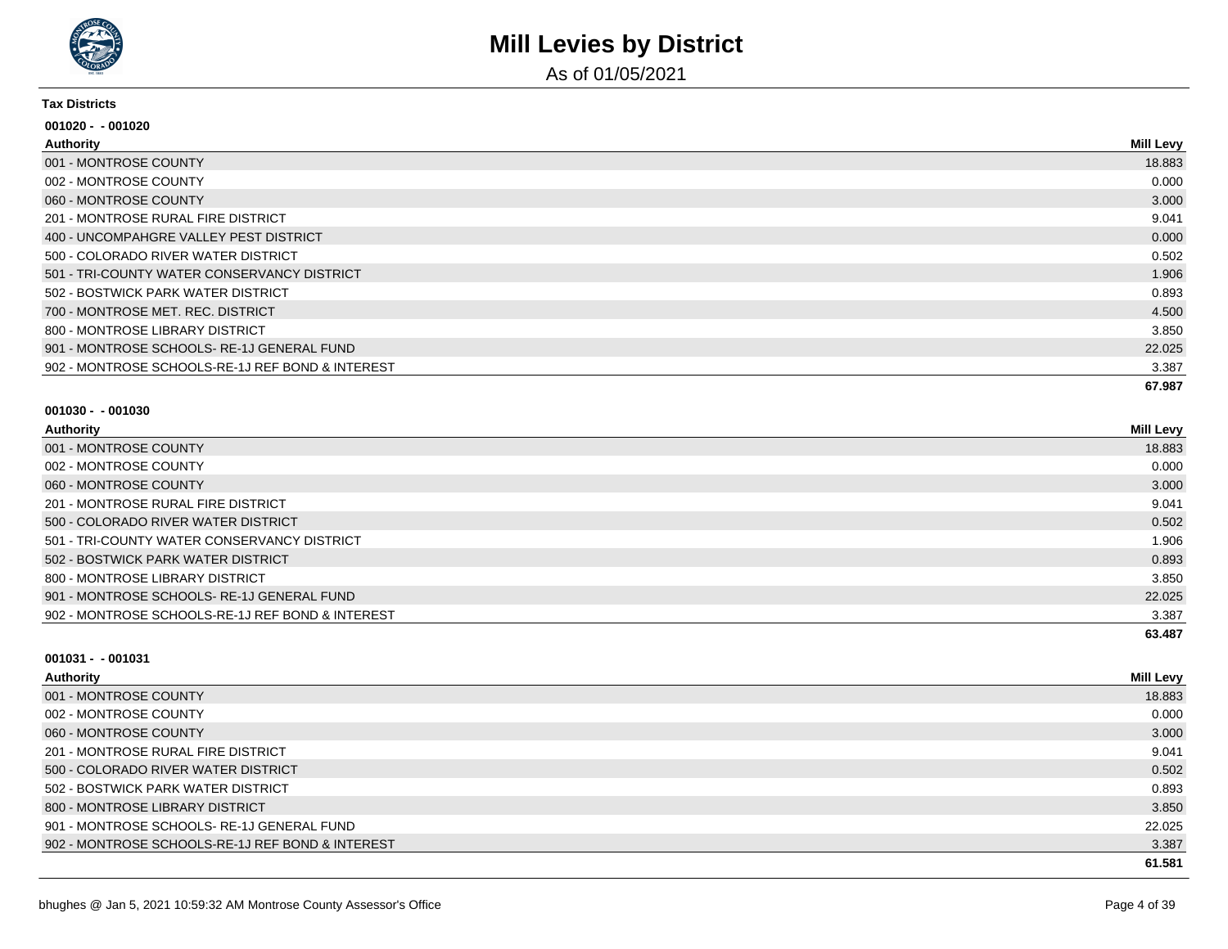

As of 01/05/2021

#### **Tax Districts**

| $001020 - 001020$                                |                  |
|--------------------------------------------------|------------------|
| Authority                                        | <b>Mill Levy</b> |
| 001 - MONTROSE COUNTY                            | 18.883           |
| 002 - MONTROSE COUNTY                            | 0.000            |
| 060 - MONTROSE COUNTY                            | 3.000            |
| 201 - MONTROSE RURAL FIRE DISTRICT               | 9.041            |
| 400 - UNCOMPAHGRE VALLEY PEST DISTRICT           | 0.000            |
| 500 - COLORADO RIVER WATER DISTRICT              | 0.502            |
| 501 - TRI-COUNTY WATER CONSERVANCY DISTRICT      | 1.906            |
| 502 - BOSTWICK PARK WATER DISTRICT               | 0.893            |
| 700 - MONTROSE MET. REC. DISTRICT                | 4.500            |
| 800 - MONTROSE LIBRARY DISTRICT                  | 3.850            |
| 901 - MONTROSE SCHOOLS-RE-1J GENERAL FUND        | 22.025           |
| 902 - MONTROSE SCHOOLS-RE-1J REF BOND & INTEREST | 3.387            |
|                                                  | 67.987           |

#### **001030 - - 001030**

| Authority                                        | <b>Mill Levy</b> |
|--------------------------------------------------|------------------|
| 001 - MONTROSE COUNTY                            | 18.883           |
| 002 - MONTROSE COUNTY                            | 0.000            |
| 060 - MONTROSE COUNTY                            | 3.000            |
| 201 - MONTROSE RURAL FIRE DISTRICT               | 9.041            |
| 500 - COLORADO RIVER WATER DISTRICT              | 0.502            |
| 501 - TRI-COUNTY WATER CONSERVANCY DISTRICT      | 1.906            |
| 502 - BOSTWICK PARK WATER DISTRICT               | 0.893            |
| 800 - MONTROSE LIBRARY DISTRICT                  | 3.850            |
| 901 - MONTROSE SCHOOLS-RE-1J GENERAL FUND        | 22.025           |
| 902 - MONTROSE SCHOOLS-RE-1J REF BOND & INTEREST | 3.387            |
|                                                  | 63.487           |

| <b>Authority</b>                                 | <b>Mill Levy</b> |
|--------------------------------------------------|------------------|
| 001 - MONTROSE COUNTY                            | 18.883           |
| 002 - MONTROSE COUNTY                            | 0.000            |
| 060 - MONTROSE COUNTY                            | 3.000            |
| 201 - MONTROSE RURAL FIRE DISTRICT               | 9.041            |
| 500 - COLORADO RIVER WATER DISTRICT              | 0.502            |
| 502 - BOSTWICK PARK WATER DISTRICT               | 0.893            |
| 800 - MONTROSE LIBRARY DISTRICT                  | 3.850            |
| 901 - MONTROSE SCHOOLS-RE-1J GENERAL FUND        | 22.025           |
| 902 - MONTROSE SCHOOLS-RE-1J REF BOND & INTEREST | 3.387            |
|                                                  | 61.581           |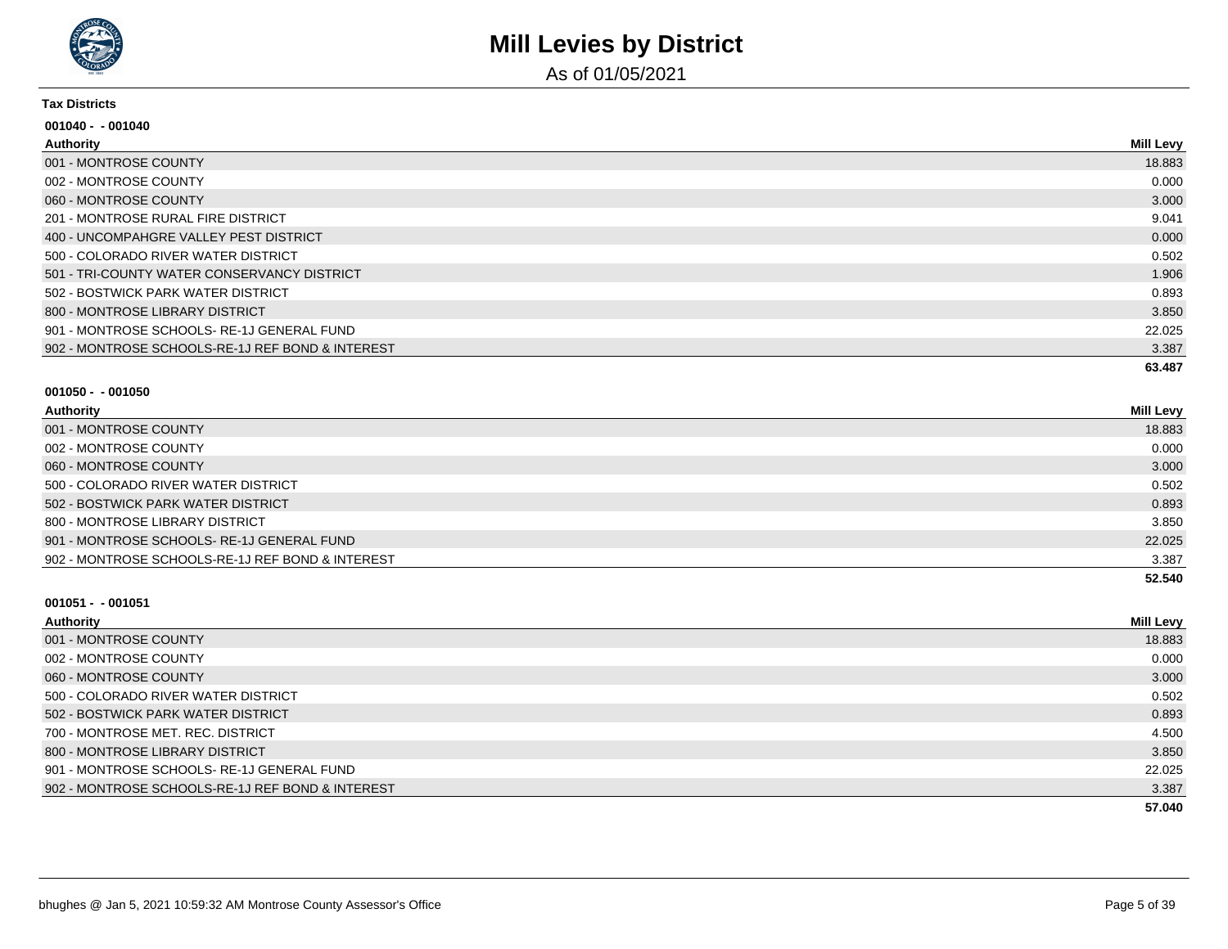

As of 01/05/2021

#### **Tax Districts**

| $001040 - 001040$                                |                  |
|--------------------------------------------------|------------------|
| Authority                                        | <b>Mill Levy</b> |
| 001 - MONTROSE COUNTY                            | 18.883           |
| 002 - MONTROSE COUNTY                            | 0.000            |
| 060 - MONTROSE COUNTY                            | 3.000            |
| 201 - MONTROSE RURAL FIRE DISTRICT               | 9.041            |
| 400 - UNCOMPAHGRE VALLEY PEST DISTRICT           | 0.000            |
| 500 - COLORADO RIVER WATER DISTRICT              | 0.502            |
| 501 - TRI-COUNTY WATER CONSERVANCY DISTRICT      | 1.906            |
| 502 - BOSTWICK PARK WATER DISTRICT               | 0.893            |
| 800 - MONTROSE LIBRARY DISTRICT                  | 3.850            |
| 901 - MONTROSE SCHOOLS-RE-1J GENERAL FUND        | 22.025           |
| 902 - MONTROSE SCHOOLS-RE-1J REF BOND & INTEREST | 3.387            |
|                                                  | 63.487           |

#### **001050 - - 001050**

| Authority                                        | <b>Mill Levy</b> |
|--------------------------------------------------|------------------|
| 001 - MONTROSE COUNTY                            | 18.883           |
| 002 - MONTROSE COUNTY                            | 0.000            |
| 060 - MONTROSE COUNTY                            | 3.000            |
| 500 - COLORADO RIVER WATER DISTRICT              | 0.502            |
| 502 - BOSTWICK PARK WATER DISTRICT               | 0.893            |
| 800 - MONTROSE LIBRARY DISTRICT                  | 3.850            |
| 901 - MONTROSE SCHOOLS-RE-1J GENERAL FUND        | 22.025           |
| 902 - MONTROSE SCHOOLS-RE-1J REF BOND & INTEREST | 3.387            |
|                                                  | 52.540           |

| Authority                                        | <b>Mill Levy</b> |
|--------------------------------------------------|------------------|
| 001 - MONTROSE COUNTY                            | 18.883           |
| 002 - MONTROSE COUNTY                            | 0.000            |
| 060 - MONTROSE COUNTY                            | 3.000            |
| 500 - COLORADO RIVER WATER DISTRICT              | 0.502            |
| 502 - BOSTWICK PARK WATER DISTRICT               | 0.893            |
| 700 - MONTROSE MET, REC. DISTRICT                | 4.500            |
| 800 - MONTROSE LIBRARY DISTRICT                  | 3.850            |
| 901 - MONTROSE SCHOOLS-RE-1J GENERAL FUND        | 22.025           |
| 902 - MONTROSE SCHOOLS-RE-1J REF BOND & INTEREST | 3.387            |
|                                                  | 57.040           |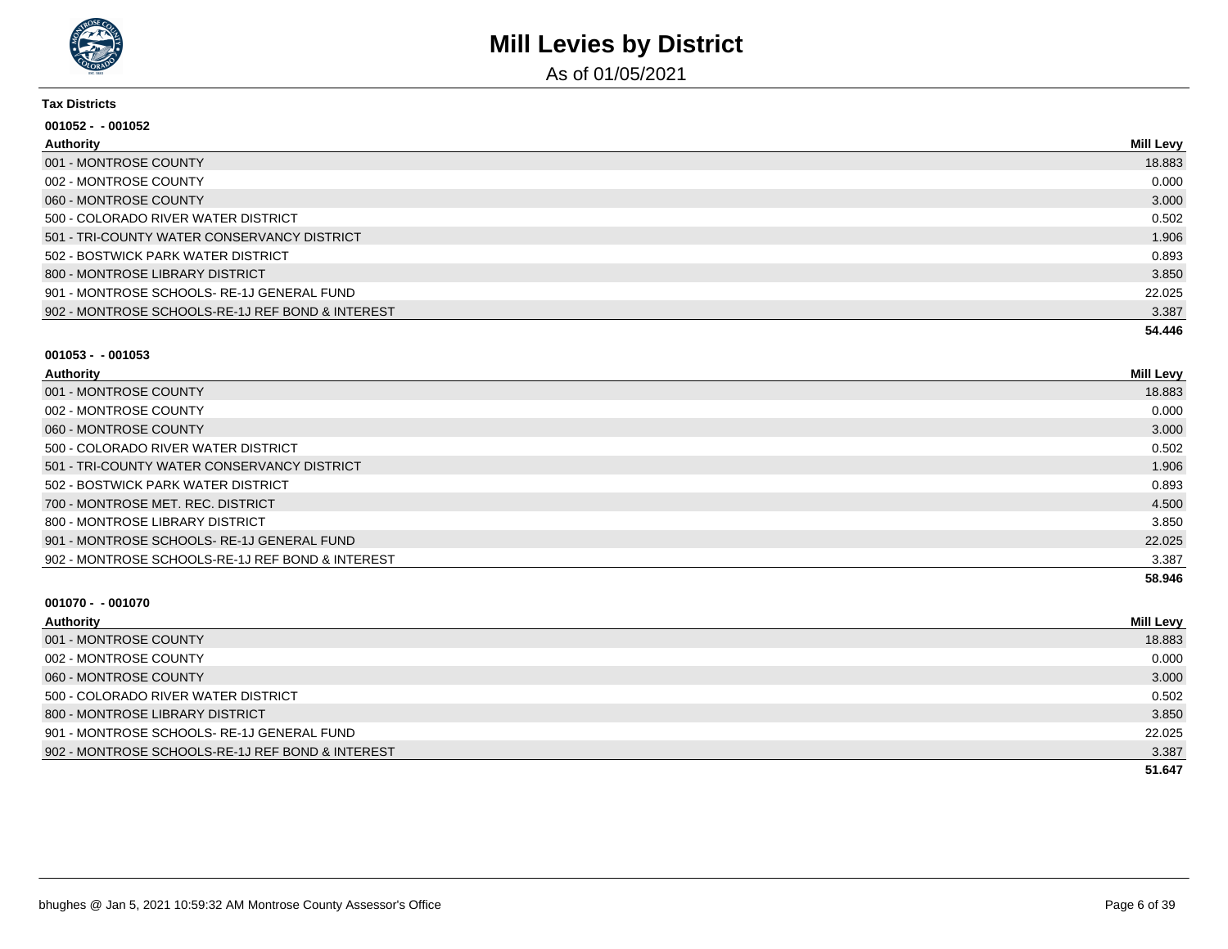

As of 01/05/2021

#### **Tax Districts**

| $001052 - 001052$                                |           |
|--------------------------------------------------|-----------|
| Authority                                        | Mill Levy |
| 001 - MONTROSE COUNTY                            | 18.883    |
| 002 - MONTROSE COUNTY                            | 0.000     |
| 060 - MONTROSE COUNTY                            | 3.000     |
| 500 - COLORADO RIVER WATER DISTRICT              | 0.502     |
| 501 - TRI-COUNTY WATER CONSERVANCY DISTRICT      | 1.906     |
| 502 - BOSTWICK PARK WATER DISTRICT               | 0.893     |
| 800 - MONTROSE LIBRARY DISTRICT                  | 3.850     |
| 901 - MONTROSE SCHOOLS-RE-1J GENERAL FUND        | 22.025    |
| 902 - MONTROSE SCHOOLS-RE-1J REF BOND & INTEREST | 3.387     |
|                                                  | 54.446    |

#### **001053 - - 001053**

| Authority                                        | <b>Mill Levy</b> |
|--------------------------------------------------|------------------|
| 001 - MONTROSE COUNTY                            | 18.883           |
| 002 - MONTROSE COUNTY                            | 0.000            |
| 060 - MONTROSE COUNTY                            | 3.000            |
| 500 - COLORADO RIVER WATER DISTRICT              | 0.502            |
| 501 - TRI-COUNTY WATER CONSERVANCY DISTRICT      | 1.906            |
| 502 - BOSTWICK PARK WATER DISTRICT               | 0.893            |
| 700 - MONTROSE MET. REC. DISTRICT                | 4.500            |
| 800 - MONTROSE LIBRARY DISTRICT                  | 3.850            |
| 901 - MONTROSE SCHOOLS-RE-1J GENERAL FUND        | 22.025           |
| 902 - MONTROSE SCHOOLS-RE-1J REF BOND & INTEREST | 3.387            |
|                                                  | 58.946           |

| Authority                                        | <b>Mill Levy</b> |
|--------------------------------------------------|------------------|
| 001 - MONTROSE COUNTY                            | 18.883           |
| 002 - MONTROSE COUNTY                            | 0.000            |
| 060 - MONTROSE COUNTY                            | 3.000            |
| 500 - COLORADO RIVER WATER DISTRICT              | 0.502            |
| 800 - MONTROSE LIBRARY DISTRICT                  | 3.850            |
| 901 - MONTROSE SCHOOLS-RE-1J GENERAL FUND        | 22.025           |
| 902 - MONTROSE SCHOOLS-RE-1J REF BOND & INTEREST | 3.387            |
|                                                  | 51.647           |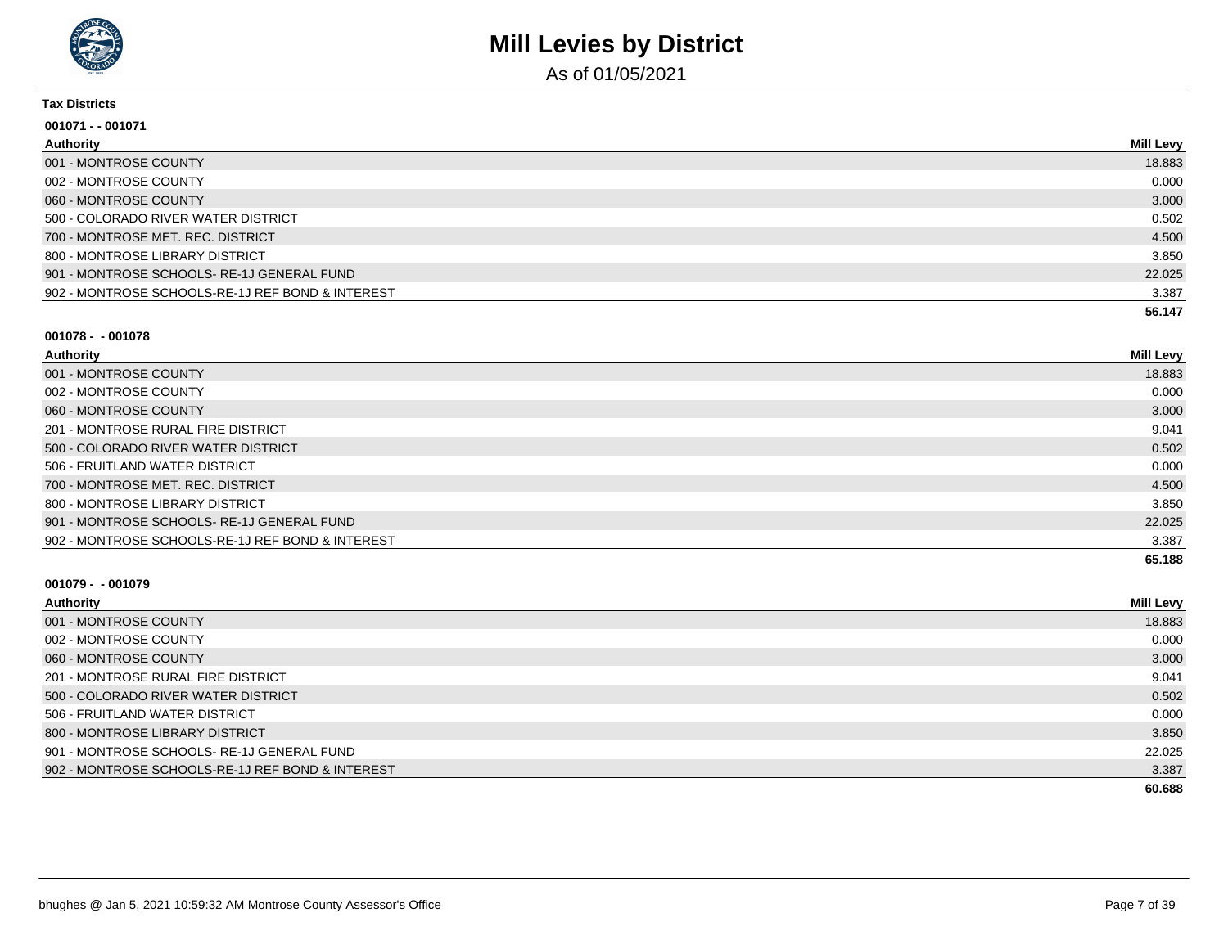

As of 01/05/2021

#### **Tax Districts**

| 001071 - - 001071                                |                  |
|--------------------------------------------------|------------------|
| Authority                                        | <b>Mill Levy</b> |
| 001 - MONTROSE COUNTY                            | 18.883           |
| 002 - MONTROSE COUNTY                            | 0.000            |
| 060 - MONTROSE COUNTY                            | 3.000            |
| 500 - COLORADO RIVER WATER DISTRICT              | 0.502            |
| 700 - MONTROSE MET. REC. DISTRICT                | 4.500            |
| 800 - MONTROSE LIBRARY DISTRICT                  | 3.850            |
| 901 - MONTROSE SCHOOLS-RE-1J GENERAL FUND        | 22.025           |
| 902 - MONTROSE SCHOOLS-RE-1J REF BOND & INTEREST | 3.387            |
|                                                  | 56.147           |

#### **001078 - - 001078**

| <b>Authority</b>                                 | <b>Mill Levy</b> |
|--------------------------------------------------|------------------|
| 001 - MONTROSE COUNTY                            | 18.883           |
| 002 - MONTROSE COUNTY                            | 0.000            |
| 060 - MONTROSE COUNTY                            | 3.000            |
| 201 - MONTROSE RURAL FIRE DISTRICT               | 9.041            |
| 500 - COLORADO RIVER WATER DISTRICT              | 0.502            |
| 506 - FRUITLAND WATER DISTRICT                   | 0.000            |
| 700 - MONTROSE MET. REC. DISTRICT                | 4.500            |
| 800 - MONTROSE LIBRARY DISTRICT                  | 3.850            |
| 901 - MONTROSE SCHOOLS-RE-1J GENERAL FUND        | 22.025           |
| 902 - MONTROSE SCHOOLS-RE-1J REF BOND & INTEREST | 3.387            |
|                                                  | 65.188           |

| Authority                                        | <b>Mill Levy</b> |
|--------------------------------------------------|------------------|
| 001 - MONTROSE COUNTY                            | 18.883           |
| 002 - MONTROSE COUNTY                            | 0.000            |
| 060 - MONTROSE COUNTY                            | 3.000            |
| 201 - MONTROSE RURAL FIRE DISTRICT               | 9.041            |
| 500 - COLORADO RIVER WATER DISTRICT              | 0.502            |
| 506 - FRUITLAND WATER DISTRICT                   | 0.000            |
| 800 - MONTROSE LIBRARY DISTRICT                  | 3.850            |
| 901 - MONTROSE SCHOOLS-RE-1J GENERAL FUND        | 22.025           |
| 902 - MONTROSE SCHOOLS-RE-1J REF BOND & INTEREST | 3.387            |
|                                                  | 60.688           |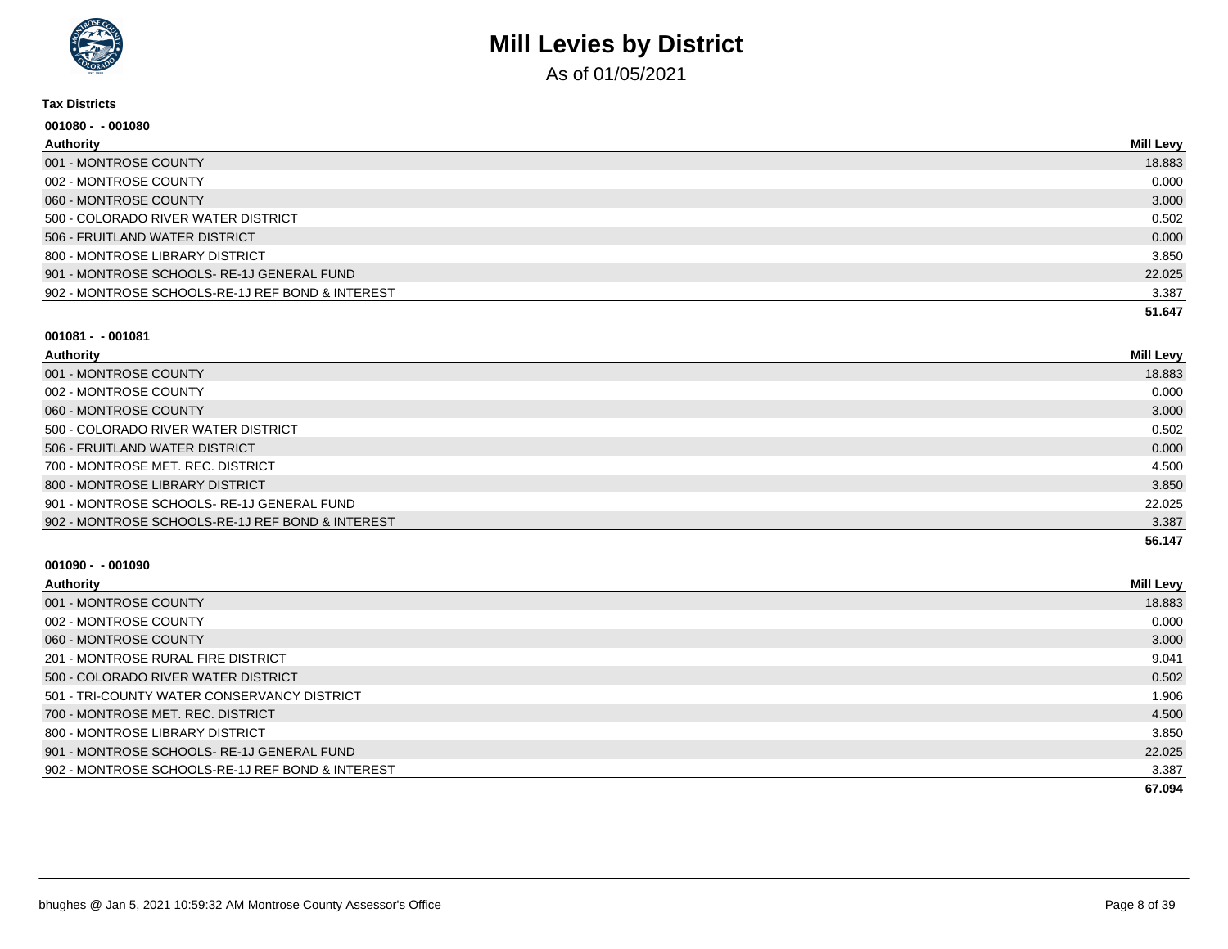

As of 01/05/2021

#### **Tax Districts**

| $001080 - 001080$                                |                  |
|--------------------------------------------------|------------------|
| Authority                                        | <b>Mill Levy</b> |
| 001 - MONTROSE COUNTY                            | 18.883           |
| 002 - MONTROSE COUNTY                            | 0.000            |
| 060 - MONTROSE COUNTY                            | 3.000            |
| 500 - COLORADO RIVER WATER DISTRICT              | 0.502            |
| 506 - FRUITLAND WATER DISTRICT                   | 0.000            |
| 800 - MONTROSE LIBRARY DISTRICT                  | 3.850            |
| 901 - MONTROSE SCHOOLS-RE-1J GENERAL FUND        | 22.025           |
| 902 - MONTROSE SCHOOLS-RE-1J REF BOND & INTEREST | 3.387            |
|                                                  | 51.647           |

#### **001081 - - 001081**

| Authority                                        | <b>Mill Levy</b> |
|--------------------------------------------------|------------------|
| 001 - MONTROSE COUNTY                            | 18.883           |
| 002 - MONTROSE COUNTY                            | 0.000            |
| 060 - MONTROSE COUNTY                            | 3.000            |
| 500 - COLORADO RIVER WATER DISTRICT              | 0.502            |
| 506 - FRUITLAND WATER DISTRICT                   | 0.000            |
| 700 - MONTROSE MET, REC. DISTRICT                | 4.500            |
| 800 - MONTROSE LIBRARY DISTRICT                  | 3.850            |
| 901 - MONTROSE SCHOOLS-RE-1J GENERAL FUND        | 22.025           |
| 902 - MONTROSE SCHOOLS-RE-1J REF BOND & INTEREST | 3.387            |
|                                                  | 56.147           |

| Authority                                        | <b>Mill Levy</b> |
|--------------------------------------------------|------------------|
| 001 - MONTROSE COUNTY                            | 18.883           |
| 002 - MONTROSE COUNTY                            | 0.000            |
| 060 - MONTROSE COUNTY                            | 3.000            |
| 201 - MONTROSE RURAL FIRE DISTRICT               | 9.041            |
| 500 - COLORADO RIVER WATER DISTRICT              | 0.502            |
| 501 - TRI-COUNTY WATER CONSERVANCY DISTRICT      | 1.906            |
| 700 - MONTROSE MET. REC. DISTRICT                | 4.500            |
| 800 - MONTROSE LIBRARY DISTRICT                  | 3.850            |
| 901 - MONTROSE SCHOOLS-RE-1J GENERAL FUND        | 22.025           |
| 902 - MONTROSE SCHOOLS-RE-1J REF BOND & INTEREST | 3.387            |
|                                                  | 67.094           |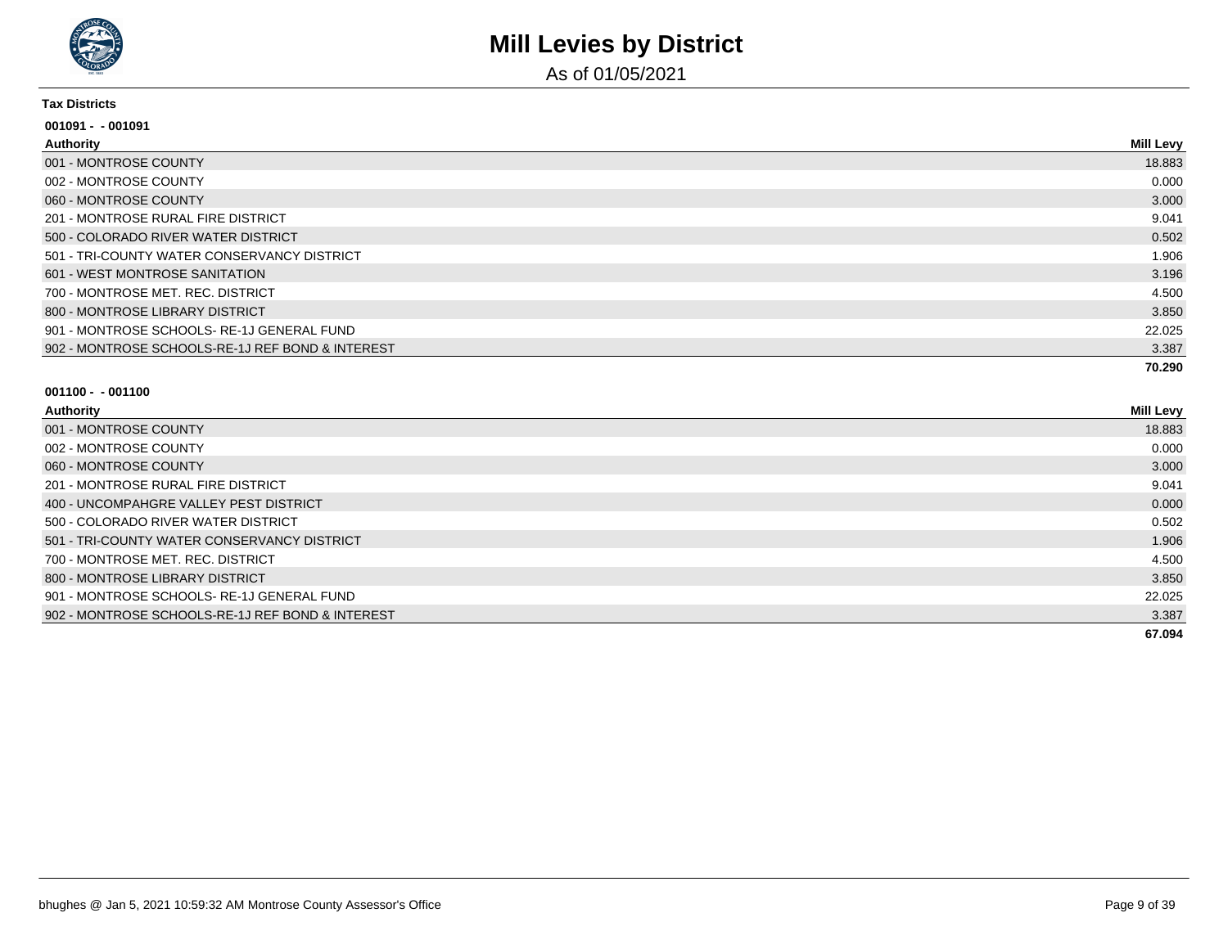

As of 01/05/2021

#### **Tax Districts**

| $001091 - 001091$                                |                  |
|--------------------------------------------------|------------------|
| <b>Authority</b>                                 | <b>Mill Levy</b> |
| 001 - MONTROSE COUNTY                            | 18.883           |
| 002 - MONTROSE COUNTY                            | 0.000            |
| 060 - MONTROSE COUNTY                            | 3.000            |
| 201 - MONTROSE RURAL FIRE DISTRICT               | 9.041            |
| 500 - COLORADO RIVER WATER DISTRICT              | 0.502            |
| 501 - TRI-COUNTY WATER CONSERVANCY DISTRICT      | 1.906            |
| 601 - WEST MONTROSE SANITATION                   | 3.196            |
| 700 - MONTROSE MET. REC. DISTRICT                | 4.500            |
| 800 - MONTROSE LIBRARY DISTRICT                  | 3.850            |
| 901 - MONTROSE SCHOOLS-RE-1J GENERAL FUND        | 22.025           |
| 902 - MONTROSE SCHOOLS-RE-1J REF BOND & INTEREST | 3.387            |
|                                                  | 70.290           |

| Authority                                        | <b>Mill Levy</b> |
|--------------------------------------------------|------------------|
| 001 - MONTROSE COUNTY                            | 18.883           |
| 002 - MONTROSE COUNTY                            | 0.000            |
| 060 - MONTROSE COUNTY                            | 3.000            |
| 201 - MONTROSE RURAL FIRE DISTRICT               | 9.041            |
| 400 - UNCOMPAHGRE VALLEY PEST DISTRICT           | 0.000            |
| 500 - COLORADO RIVER WATER DISTRICT              | 0.502            |
| 501 - TRI-COUNTY WATER CONSERVANCY DISTRICT      | 1.906            |
| 700 - MONTROSE MET. REC. DISTRICT                | 4.500            |
| 800 - MONTROSE LIBRARY DISTRICT                  | 3.850            |
| 901 - MONTROSE SCHOOLS-RE-1J GENERAL FUND        | 22.025           |
| 902 - MONTROSE SCHOOLS-RE-1J REF BOND & INTEREST | 3.387            |
|                                                  | 67.094           |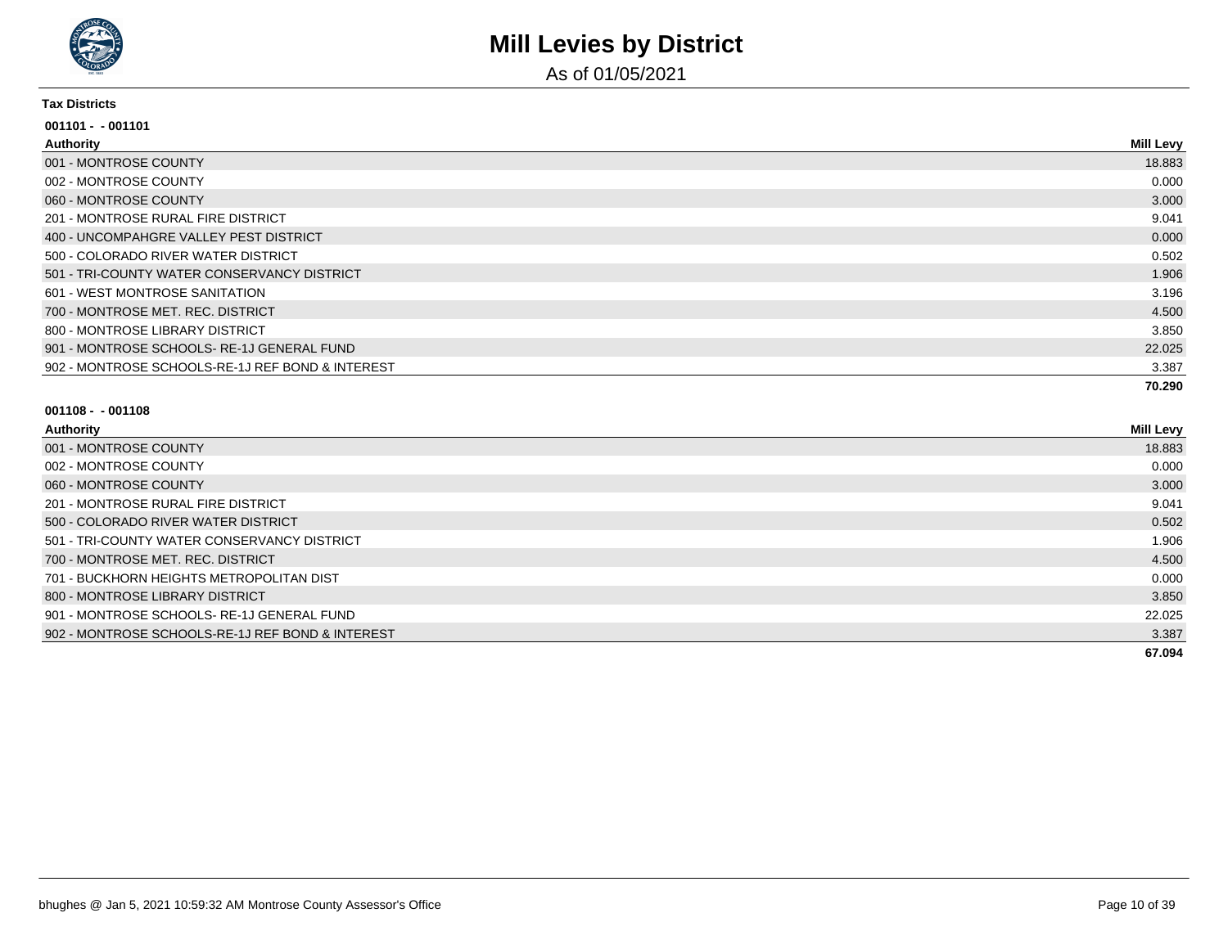

As of 01/05/2021

#### **Tax Districts**

| 001101 - - 001101                                |                  |
|--------------------------------------------------|------------------|
| <b>Authority</b>                                 | <b>Mill Levy</b> |
| 001 - MONTROSE COUNTY                            | 18.883           |
| 002 - MONTROSE COUNTY                            | 0.000            |
| 060 - MONTROSE COUNTY                            | 3.000            |
| 201 - MONTROSE RURAL FIRE DISTRICT               | 9.041            |
| 400 - UNCOMPAHGRE VALLEY PEST DISTRICT           | 0.000            |
| 500 - COLORADO RIVER WATER DISTRICT              | 0.502            |
| 501 - TRI-COUNTY WATER CONSERVANCY DISTRICT      | 1.906            |
| 601 - WEST MONTROSE SANITATION                   | 3.196            |
| 700 - MONTROSE MET. REC. DISTRICT                | 4.500            |
| 800 - MONTROSE LIBRARY DISTRICT                  | 3.850            |
| 901 - MONTROSE SCHOOLS-RE-1J GENERAL FUND        | 22.025           |
| 902 - MONTROSE SCHOOLS-RE-1J REF BOND & INTEREST | 3.387            |
|                                                  | 70.290           |

| Authority                                        | Mill Levy |
|--------------------------------------------------|-----------|
| 001 - MONTROSE COUNTY                            | 18.883    |
| 002 - MONTROSE COUNTY                            | 0.000     |
| 060 - MONTROSE COUNTY                            | 3.000     |
| 201 - MONTROSE RURAL FIRE DISTRICT               | 9.041     |
| 500 - COLORADO RIVER WATER DISTRICT              | 0.502     |
| 501 - TRI-COUNTY WATER CONSERVANCY DISTRICT      | 1.906     |
| 700 - MONTROSE MET. REC. DISTRICT                | 4.500     |
| 701 - BUCKHORN HEIGHTS METROPOLITAN DIST         | 0.000     |
| 800 - MONTROSE LIBRARY DISTRICT                  | 3.850     |
| 901 - MONTROSE SCHOOLS-RE-1J GENERAL FUND        | 22.025    |
| 902 - MONTROSE SCHOOLS-RE-1J REF BOND & INTEREST | 3.387     |
|                                                  | 67.094    |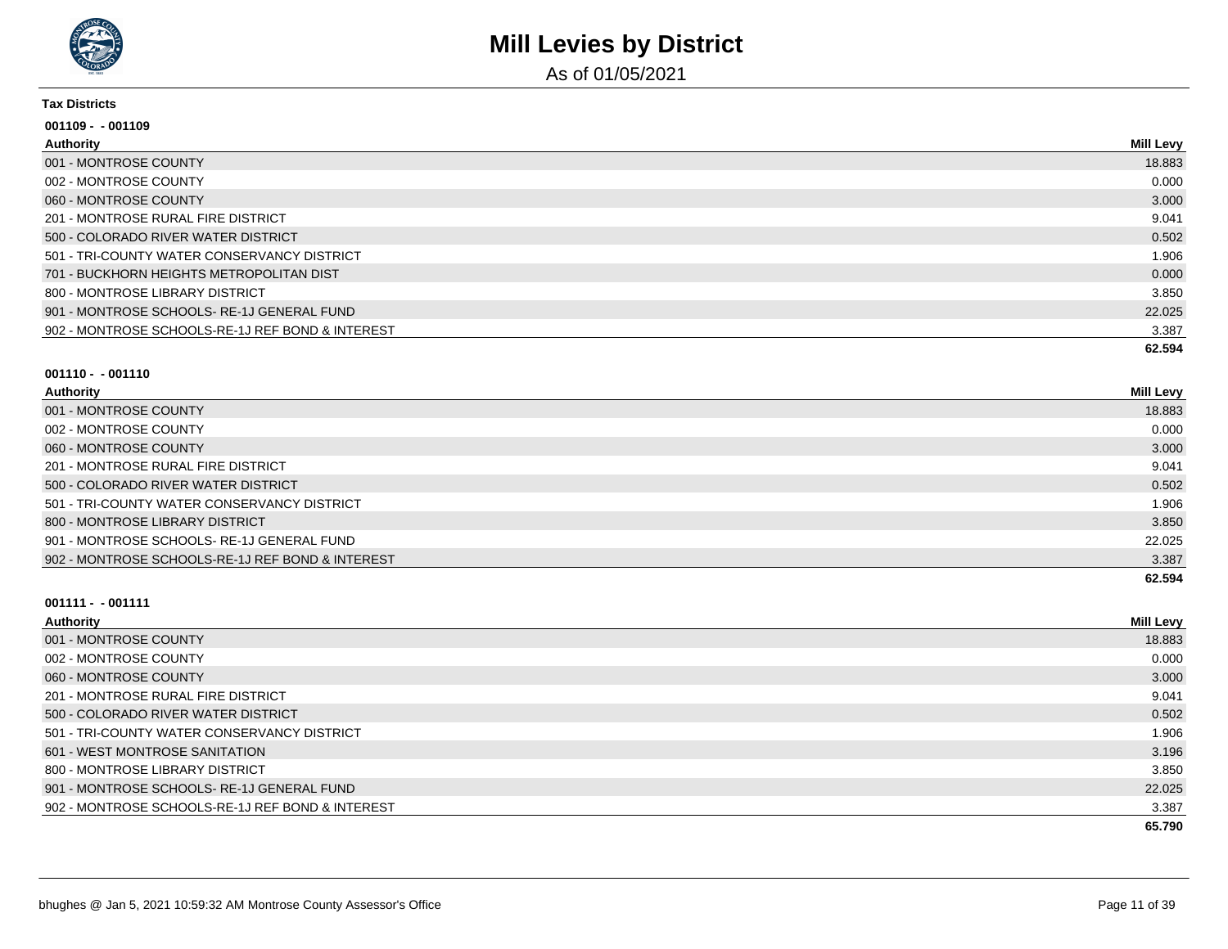

As of 01/05/2021

#### **Tax Districts**

| $001109 - 001109$                                |                  |
|--------------------------------------------------|------------------|
| Authority                                        | <b>Mill Levy</b> |
| 001 - MONTROSE COUNTY                            | 18.883           |
| 002 - MONTROSE COUNTY                            | 0.000            |
| 060 - MONTROSE COUNTY                            | 3.000            |
| 201 - MONTROSE RURAL FIRE DISTRICT               | 9.041            |
| 500 - COLORADO RIVER WATER DISTRICT              | 0.502            |
| 501 - TRI-COUNTY WATER CONSERVANCY DISTRICT      | 1.906            |
| 701 - BUCKHORN HEIGHTS METROPOLITAN DIST         | 0.000            |
| 800 - MONTROSE LIBRARY DISTRICT                  | 3.850            |
| 901 - MONTROSE SCHOOLS-RE-1J GENERAL FUND        | 22.025           |
| 902 - MONTROSE SCHOOLS-RE-1J REF BOND & INTEREST | 3.387            |
|                                                  | 62.594           |

#### **001110 - - 001110**

| <b>Authority</b>                                 | <b>Mill Levy</b> |
|--------------------------------------------------|------------------|
| 001 - MONTROSE COUNTY                            | 18.883           |
| 002 - MONTROSE COUNTY                            | 0.000            |
| 060 - MONTROSE COUNTY                            | 3.000            |
| 201 - MONTROSE RURAL FIRE DISTRICT               | 9.041            |
| 500 - COLORADO RIVER WATER DISTRICT              | 0.502            |
| 501 - TRI-COUNTY WATER CONSERVANCY DISTRICT      | 1.906            |
| 800 - MONTROSE LIBRARY DISTRICT                  | 3.850            |
| 901 - MONTROSE SCHOOLS- RE-1J GENERAL FUND       | 22.025           |
| 902 - MONTROSE SCHOOLS-RE-1J REF BOND & INTEREST | 3.387            |
|                                                  | 62.594           |

| <b>Authority</b>                                 | <b>Mill Levy</b> |
|--------------------------------------------------|------------------|
| 001 - MONTROSE COUNTY                            | 18.883           |
| 002 - MONTROSE COUNTY                            | 0.000            |
| 060 - MONTROSE COUNTY                            | 3.000            |
| 201 - MONTROSE RURAL FIRE DISTRICT               | 9.041            |
| 500 - COLORADO RIVER WATER DISTRICT              | 0.502            |
| 501 - TRI-COUNTY WATER CONSERVANCY DISTRICT      | 1.906            |
| 601 - WEST MONTROSE SANITATION                   | 3.196            |
| 800 - MONTROSE LIBRARY DISTRICT                  | 3.850            |
| 901 - MONTROSE SCHOOLS-RE-1J GENERAL FUND        | 22.025           |
| 902 - MONTROSE SCHOOLS-RE-1J REF BOND & INTEREST | 3.387            |
|                                                  | 65.790           |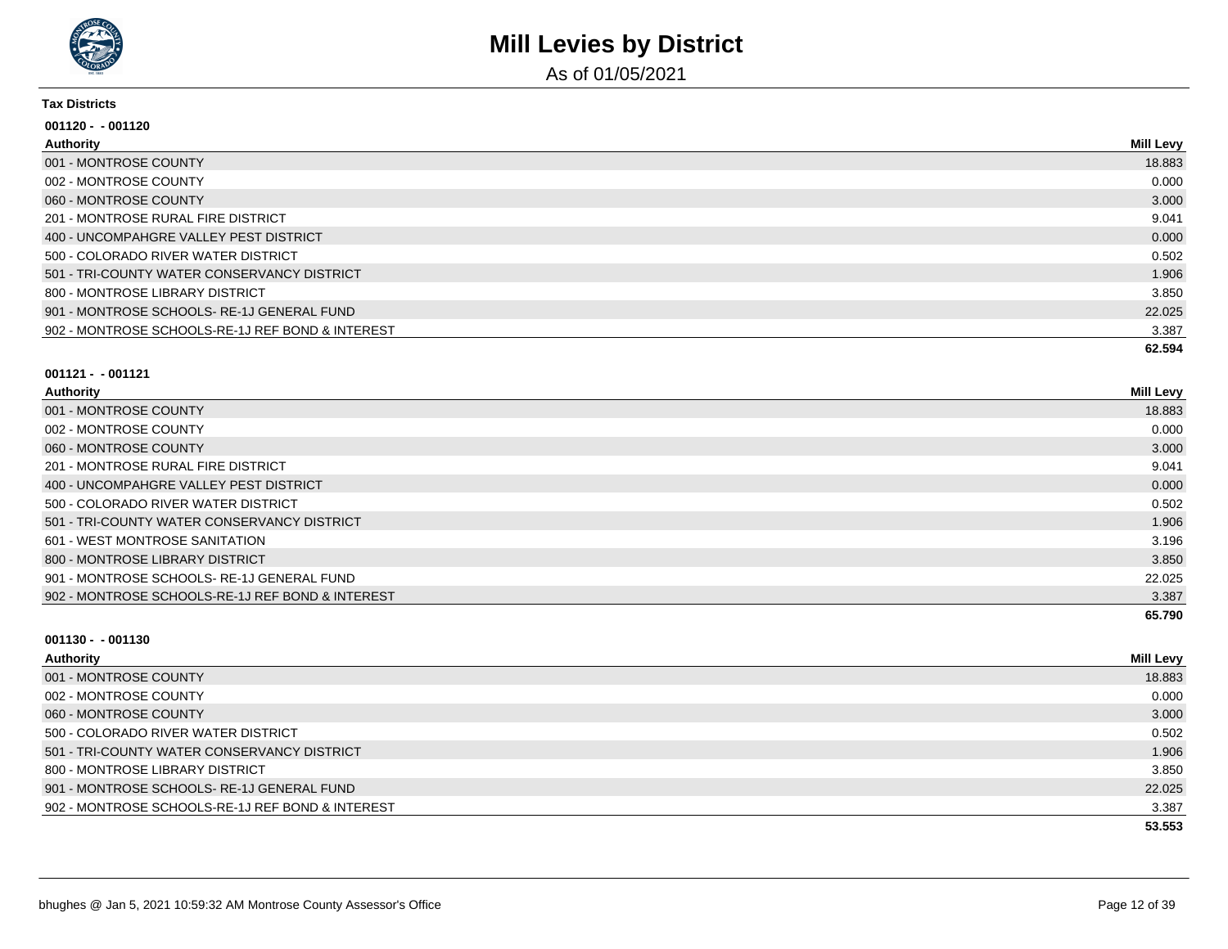

As of 01/05/2021

#### **Tax Districts**

| $001120 - 001120$                                |                  |
|--------------------------------------------------|------------------|
| Authority                                        | <b>Mill Levy</b> |
| 001 - MONTROSE COUNTY                            | 18.883           |
| 002 - MONTROSE COUNTY                            | 0.000            |
| 060 - MONTROSE COUNTY                            | 3.000            |
| 201 - MONTROSE RURAL FIRE DISTRICT               | 9.041            |
| 400 - UNCOMPAHGRE VALLEY PEST DISTRICT           | 0.000            |
| 500 - COLORADO RIVER WATER DISTRICT              | 0.502            |
| 501 - TRI-COUNTY WATER CONSERVANCY DISTRICT      | 1.906            |
| 800 - MONTROSE LIBRARY DISTRICT                  | 3.850            |
| 901 - MONTROSE SCHOOLS- RE-1J GENERAL FUND       | 22.025           |
| 902 - MONTROSE SCHOOLS-RE-1J REF BOND & INTEREST | 3.387            |
|                                                  | 62.594           |

#### **001121 - - 001121**

| Authority                                        | <b>Mill Levy</b> |
|--------------------------------------------------|------------------|
| 001 - MONTROSE COUNTY                            | 18.883           |
| 002 - MONTROSE COUNTY                            | 0.000            |
| 060 - MONTROSE COUNTY                            | 3.000            |
| 201 - MONTROSE RURAL FIRE DISTRICT               | 9.041            |
| 400 - UNCOMPAHGRE VALLEY PEST DISTRICT           | 0.000            |
| 500 - COLORADO RIVER WATER DISTRICT              | 0.502            |
| 501 - TRI-COUNTY WATER CONSERVANCY DISTRICT      | 1.906            |
| 601 - WEST MONTROSE SANITATION                   | 3.196            |
| 800 - MONTROSE LIBRARY DISTRICT                  | 3.850            |
| 901 - MONTROSE SCHOOLS-RE-1J GENERAL FUND        | 22.025           |
| 902 - MONTROSE SCHOOLS-RE-1J REF BOND & INTEREST | 3.387            |
|                                                  | 65.790           |

| Authority                                        | Mill Levy |
|--------------------------------------------------|-----------|
| 001 - MONTROSE COUNTY                            | 18.883    |
| 002 - MONTROSE COUNTY                            | 0.000     |
| 060 - MONTROSE COUNTY                            | 3.000     |
| 500 - COLORADO RIVER WATER DISTRICT              | 0.502     |
| 501 - TRI-COUNTY WATER CONSERVANCY DISTRICT      | 1.906     |
| 800 - MONTROSE LIBRARY DISTRICT                  | 3.850     |
| 901 - MONTROSE SCHOOLS-RE-1J GENERAL FUND        | 22.025    |
| 902 - MONTROSE SCHOOLS-RE-1J REF BOND & INTEREST | 3.387     |
|                                                  | 53.553    |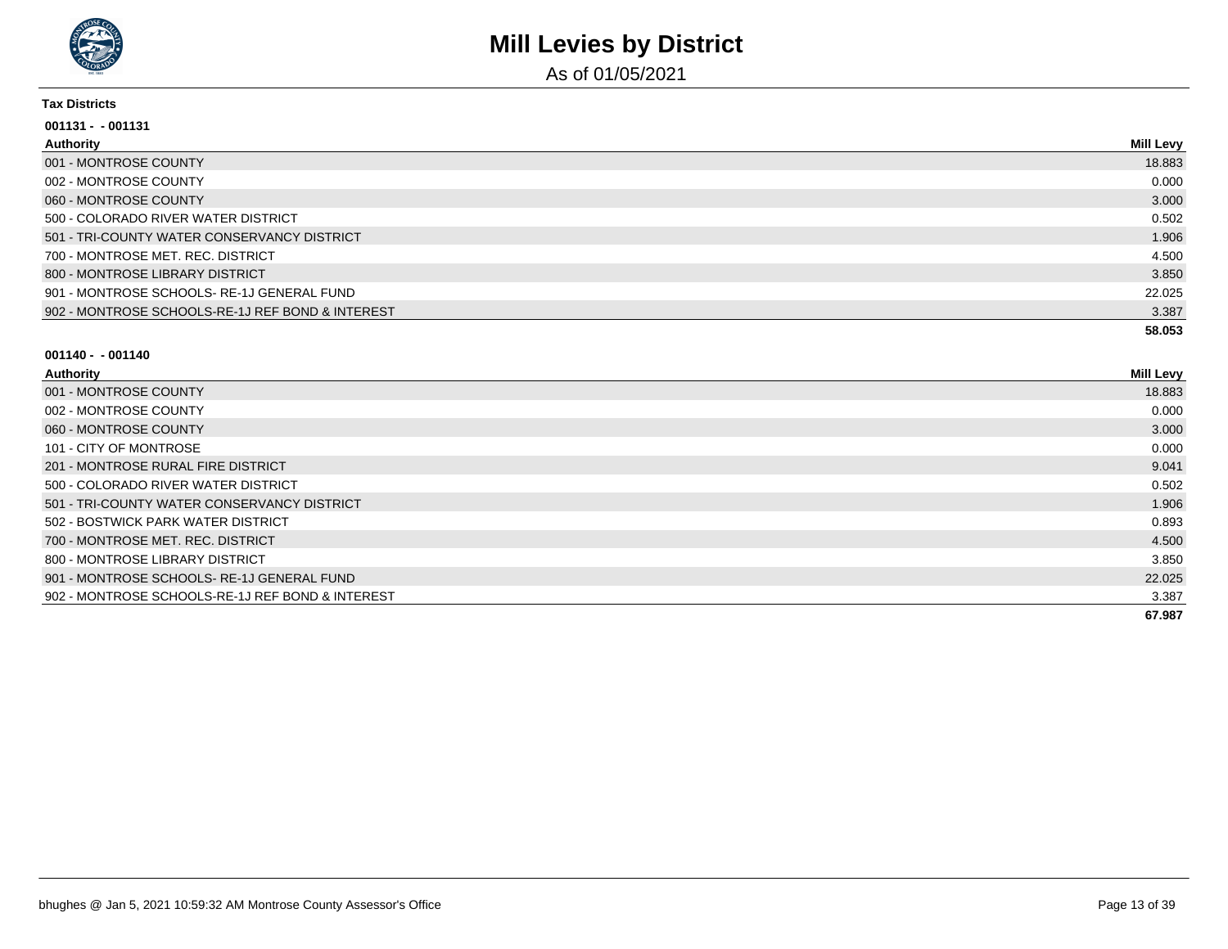

As of 01/05/2021

#### **Tax Districts**

| 001131 - - 001131                                |                  |
|--------------------------------------------------|------------------|
| Authority                                        | <b>Mill Levy</b> |
| 001 - MONTROSE COUNTY                            | 18.883           |
| 002 - MONTROSE COUNTY                            | 0.000            |
| 060 - MONTROSE COUNTY                            | 3.000            |
| 500 - COLORADO RIVER WATER DISTRICT              | 0.502            |
| 501 - TRI-COUNTY WATER CONSERVANCY DISTRICT      | 1.906            |
| 700 - MONTROSE MET, REC. DISTRICT                | 4.500            |
| 800 - MONTROSE LIBRARY DISTRICT                  | 3.850            |
| 901 - MONTROSE SCHOOLS-RE-1J GENERAL FUND        | 22.025           |
| 902 - MONTROSE SCHOOLS-RE-1J REF BOND & INTEREST | 3.387            |
|                                                  | 58.053           |

| Authority                                        | <b>Mill Levy</b> |
|--------------------------------------------------|------------------|
| 001 - MONTROSE COUNTY                            | 18.883           |
| 002 - MONTROSE COUNTY                            | 0.000            |
| 060 - MONTROSE COUNTY                            | 3.000            |
| 101 - CITY OF MONTROSE                           | 0.000            |
| 201 - MONTROSE RURAL FIRE DISTRICT               | 9.041            |
| 500 - COLORADO RIVER WATER DISTRICT              | 0.502            |
| 501 - TRI-COUNTY WATER CONSERVANCY DISTRICT      | 1.906            |
| 502 - BOSTWICK PARK WATER DISTRICT               | 0.893            |
| 700 - MONTROSE MET. REC. DISTRICT                | 4.500            |
| 800 - MONTROSE LIBRARY DISTRICT                  | 3.850            |
| 901 - MONTROSE SCHOOLS-RE-1J GENERAL FUND        | 22.025           |
| 902 - MONTROSE SCHOOLS-RE-1J REF BOND & INTEREST | 3.387            |
|                                                  | 67.987           |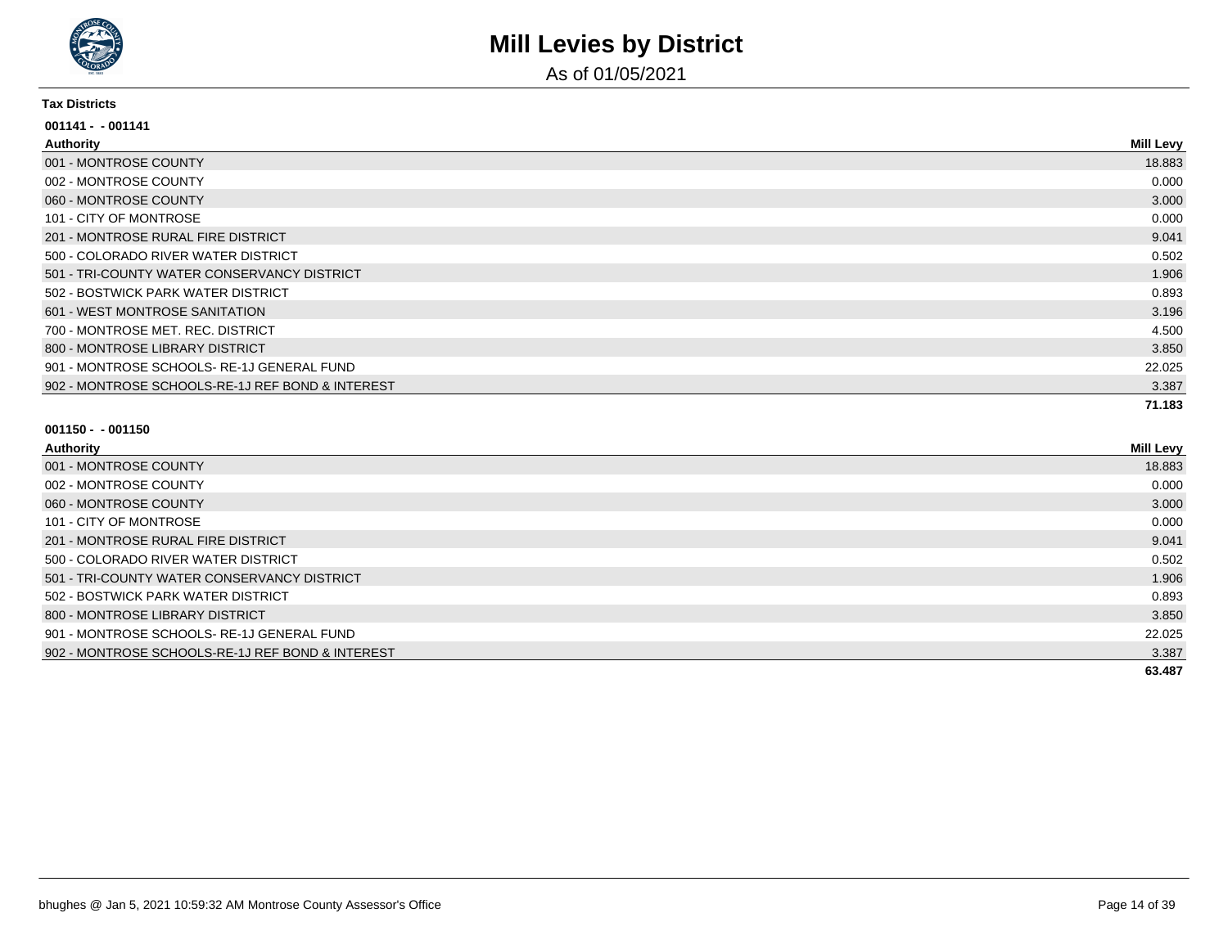

As of 01/05/2021

#### **Tax Districts**

| $001141 - 001141$                                |                  |
|--------------------------------------------------|------------------|
| <b>Authority</b>                                 | <b>Mill Levy</b> |
| 001 - MONTROSE COUNTY                            | 18.883           |
| 002 - MONTROSE COUNTY                            | 0.000            |
| 060 - MONTROSE COUNTY                            | 3.000            |
| 101 - CITY OF MONTROSE                           | 0.000            |
| 201 - MONTROSE RURAL FIRE DISTRICT               | 9.041            |
| 500 - COLORADO RIVER WATER DISTRICT              | 0.502            |
| 501 - TRI-COUNTY WATER CONSERVANCY DISTRICT      | 1.906            |
| 502 - BOSTWICK PARK WATER DISTRICT               | 0.893            |
| 601 - WEST MONTROSE SANITATION                   | 3.196            |
| 700 - MONTROSE MET. REC. DISTRICT                | 4.500            |
| 800 - MONTROSE LIBRARY DISTRICT                  | 3.850            |
| 901 - MONTROSE SCHOOLS- RE-1J GENERAL FUND       | 22.025           |
| 902 - MONTROSE SCHOOLS-RE-1J REF BOND & INTEREST | 3.387            |
|                                                  | 71.183           |

| Authority                                        | <b>Mill Levy</b> |
|--------------------------------------------------|------------------|
| 001 - MONTROSE COUNTY                            | 18.883           |
| 002 - MONTROSE COUNTY                            | 0.000            |
| 060 - MONTROSE COUNTY                            | 3.000            |
| 101 - CITY OF MONTROSE                           | 0.000            |
| 201 - MONTROSE RURAL FIRE DISTRICT               | 9.041            |
| 500 - COLORADO RIVER WATER DISTRICT              | 0.502            |
| 501 - TRI-COUNTY WATER CONSERVANCY DISTRICT      | 1.906            |
| 502 - BOSTWICK PARK WATER DISTRICT               | 0.893            |
| 800 - MONTROSE LIBRARY DISTRICT                  | 3.850            |
| 901 - MONTROSE SCHOOLS-RE-1J GENERAL FUND        | 22.025           |
| 902 - MONTROSE SCHOOLS-RE-1J REF BOND & INTEREST | 3.387            |
|                                                  | 63.487           |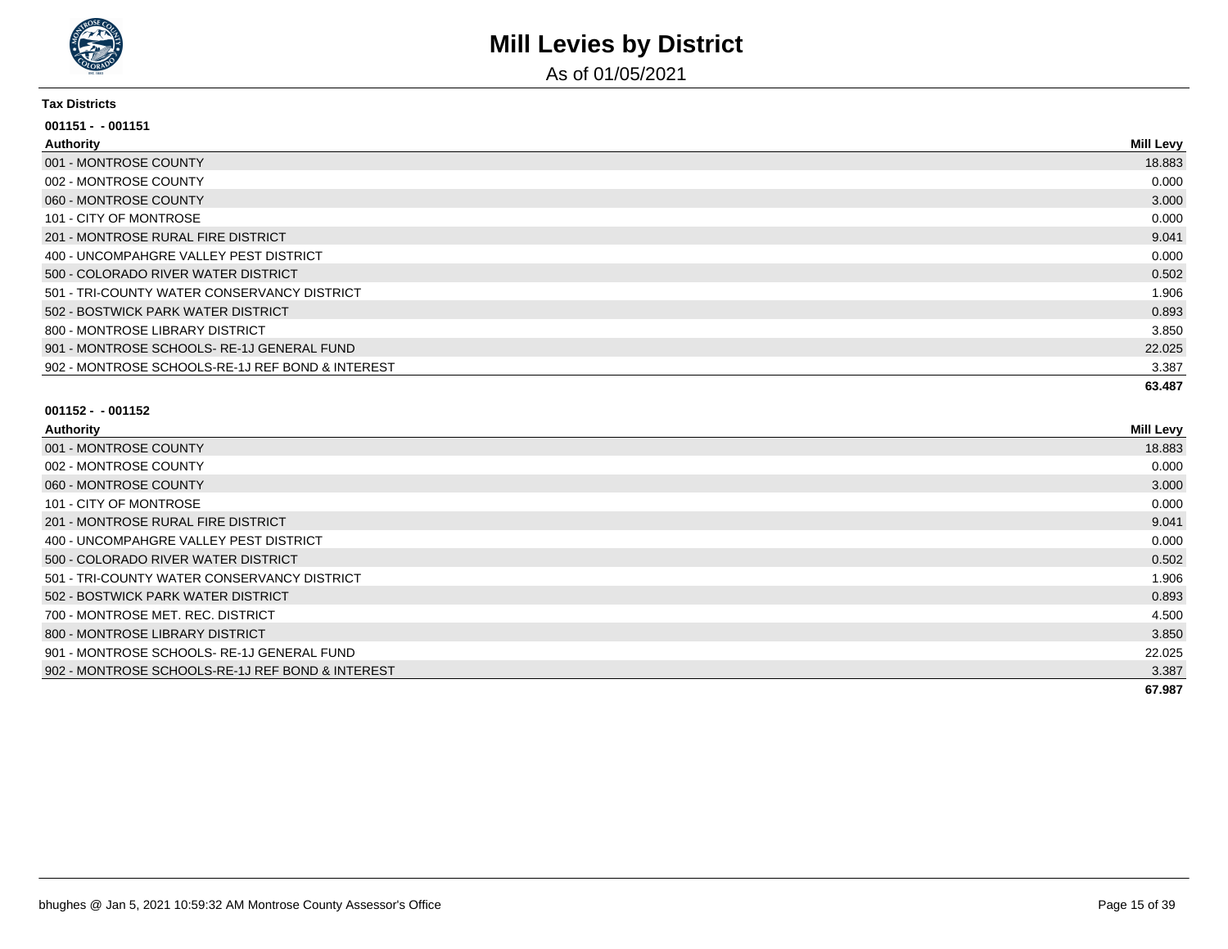

As of 01/05/2021

#### **Tax Districts**

| $001151 - 001151$                                |                  |
|--------------------------------------------------|------------------|
| Authority                                        | <b>Mill Levy</b> |
| 001 - MONTROSE COUNTY                            | 18.883           |
| 002 - MONTROSE COUNTY                            | 0.000            |
| 060 - MONTROSE COUNTY                            | 3.000            |
| 101 - CITY OF MONTROSE                           | 0.000            |
| 201 - MONTROSE RURAL FIRE DISTRICT               | 9.041            |
| 400 - UNCOMPAHGRE VALLEY PEST DISTRICT           | 0.000            |
| 500 - COLORADO RIVER WATER DISTRICT              | 0.502            |
| 501 - TRI-COUNTY WATER CONSERVANCY DISTRICT      | 1.906            |
| 502 - BOSTWICK PARK WATER DISTRICT               | 0.893            |
| 800 - MONTROSE LIBRARY DISTRICT                  | 3.850            |
| 901 - MONTROSE SCHOOLS-RE-1J GENERAL FUND        | 22.025           |
| 902 - MONTROSE SCHOOLS-RE-1J REF BOND & INTEREST | 3.387            |
|                                                  | 63.487           |

| Authority                                        | <b>Mill Levy</b> |
|--------------------------------------------------|------------------|
| 001 - MONTROSE COUNTY                            | 18.883           |
| 002 - MONTROSE COUNTY                            | 0.000            |
| 060 - MONTROSE COUNTY                            | 3.000            |
| 101 - CITY OF MONTROSE                           | 0.000            |
| 201 - MONTROSE RURAL FIRE DISTRICT               | 9.041            |
| 400 - UNCOMPAHGRE VALLEY PEST DISTRICT           | 0.000            |
| 500 - COLORADO RIVER WATER DISTRICT              | 0.502            |
| 501 - TRI-COUNTY WATER CONSERVANCY DISTRICT      | 1.906            |
| 502 - BOSTWICK PARK WATER DISTRICT               | 0.893            |
| 700 - MONTROSE MET, REC. DISTRICT                | 4.500            |
| 800 - MONTROSE LIBRARY DISTRICT                  | 3.850            |
| 901 - MONTROSE SCHOOLS-RE-1J GENERAL FUND        | 22.025           |
| 902 - MONTROSE SCHOOLS-RE-1J REF BOND & INTEREST | 3.387            |
|                                                  | 67.987           |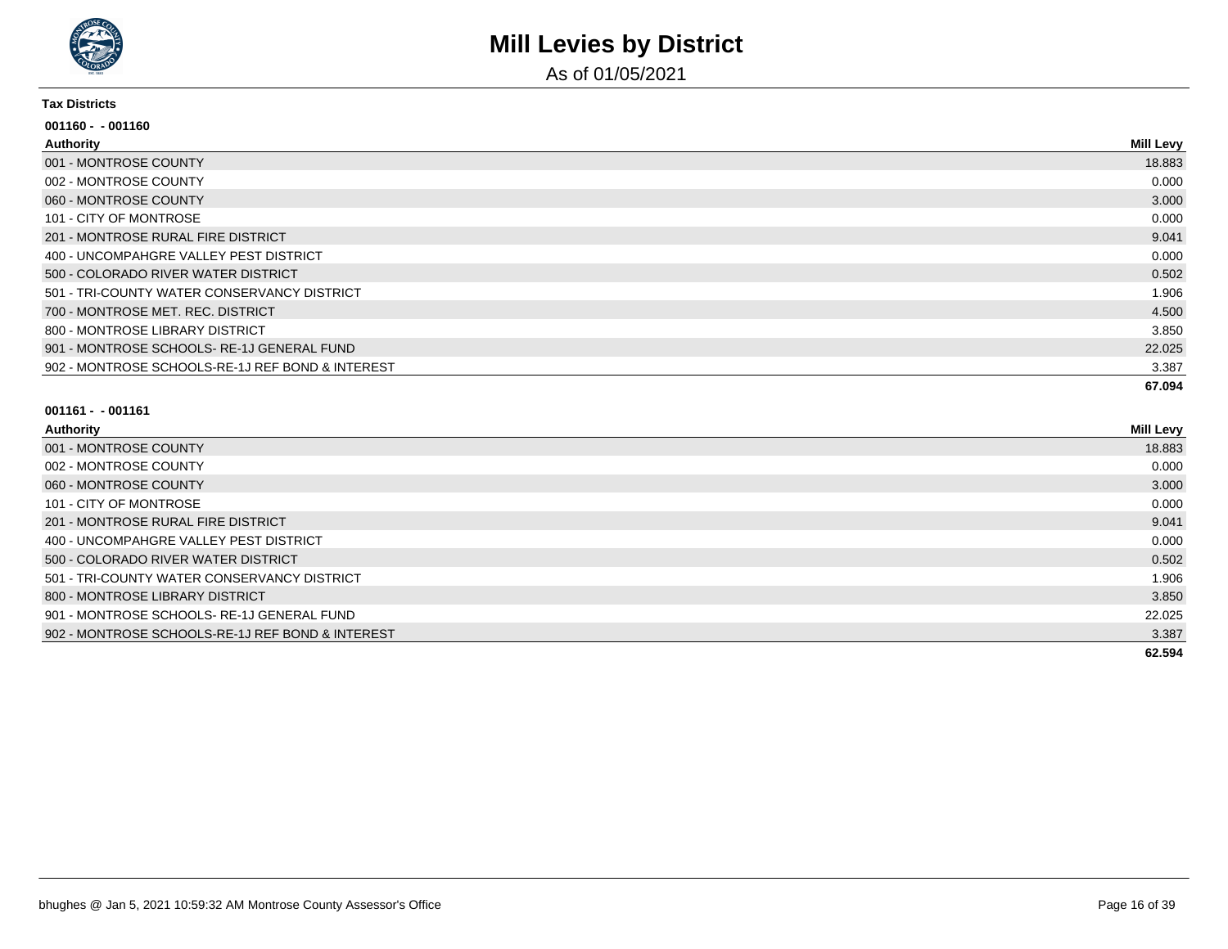

As of 01/05/2021

#### **Tax Districts**

| $001160 - 001160$                                |                  |
|--------------------------------------------------|------------------|
| <b>Authority</b>                                 | <b>Mill Levy</b> |
| 001 - MONTROSE COUNTY                            | 18.883           |
| 002 - MONTROSE COUNTY                            | 0.000            |
| 060 - MONTROSE COUNTY                            | 3.000            |
| 101 - CITY OF MONTROSE                           | 0.000            |
| 201 - MONTROSE RURAL FIRE DISTRICT               | 9.041            |
| 400 - UNCOMPAHGRE VALLEY PEST DISTRICT           | 0.000            |
| 500 - COLORADO RIVER WATER DISTRICT              | 0.502            |
| 501 - TRI-COUNTY WATER CONSERVANCY DISTRICT      | 1.906            |
| 700 - MONTROSE MET. REC. DISTRICT                | 4.500            |
| 800 - MONTROSE LIBRARY DISTRICT                  | 3.850            |
| 901 - MONTROSE SCHOOLS-RE-1J GENERAL FUND        | 22.025           |
| 902 - MONTROSE SCHOOLS-RE-1J REF BOND & INTEREST | 3.387            |
|                                                  | 67.094           |

| Authority                                        | <b>Mill Levy</b> |
|--------------------------------------------------|------------------|
| 001 - MONTROSE COUNTY                            | 18.883           |
| 002 - MONTROSE COUNTY                            | 0.000            |
| 060 - MONTROSE COUNTY                            | 3.000            |
| 101 - CITY OF MONTROSE                           | 0.000            |
| 201 - MONTROSE RURAL FIRE DISTRICT               | 9.041            |
| 400 - UNCOMPAHGRE VALLEY PEST DISTRICT           | 0.000            |
| 500 - COLORADO RIVER WATER DISTRICT              | 0.502            |
| 501 - TRI-COUNTY WATER CONSERVANCY DISTRICT      | 1.906            |
| 800 - MONTROSE LIBRARY DISTRICT                  | 3.850            |
| 901 - MONTROSE SCHOOLS-RE-1J GENERAL FUND        | 22.025           |
| 902 - MONTROSE SCHOOLS-RE-1J REF BOND & INTEREST | 3.387            |
|                                                  | 62.594           |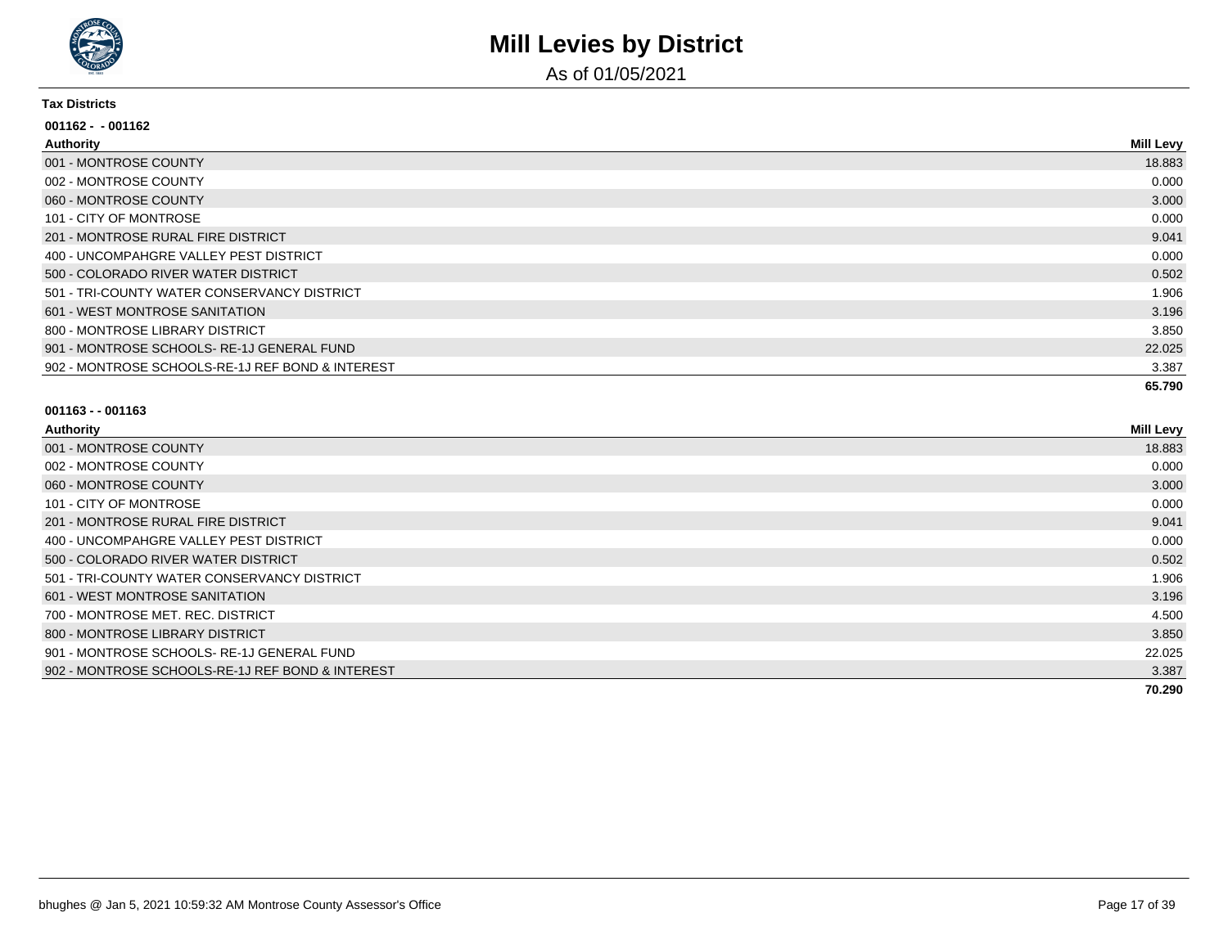

As of 01/05/2021

#### **Tax Districts**

| $001162 - 001162$                                |           |
|--------------------------------------------------|-----------|
| Authority                                        | Mill Levy |
| 001 - MONTROSE COUNTY                            | 18.883    |
| 002 - MONTROSE COUNTY                            | 0.000     |
| 060 - MONTROSE COUNTY                            | 3.000     |
| 101 - CITY OF MONTROSE                           | 0.000     |
| 201 - MONTROSE RURAL FIRE DISTRICT               | 9.041     |
| 400 - UNCOMPAHGRE VALLEY PEST DISTRICT           | 0.000     |
| 500 - COLORADO RIVER WATER DISTRICT              | 0.502     |
| 501 - TRI-COUNTY WATER CONSERVANCY DISTRICT      | 1.906     |
| 601 - WEST MONTROSE SANITATION                   | 3.196     |
| 800 - MONTROSE LIBRARY DISTRICT                  | 3.850     |
| 901 - MONTROSE SCHOOLS-RE-1J GENERAL FUND        | 22.025    |
| 902 - MONTROSE SCHOOLS-RE-1J REF BOND & INTEREST | 3.387     |
|                                                  | 65.790    |

| Authority                                        | <b>Mill Levy</b> |
|--------------------------------------------------|------------------|
| 001 - MONTROSE COUNTY                            | 18.883           |
| 002 - MONTROSE COUNTY                            | 0.000            |
| 060 - MONTROSE COUNTY                            | 3.000            |
| 101 - CITY OF MONTROSE                           | 0.000            |
| 201 - MONTROSE RURAL FIRE DISTRICT               | 9.041            |
| 400 - UNCOMPAHGRE VALLEY PEST DISTRICT           | 0.000            |
| 500 - COLORADO RIVER WATER DISTRICT              | 0.502            |
| 501 - TRI-COUNTY WATER CONSERVANCY DISTRICT      | 1.906            |
| 601 - WEST MONTROSE SANITATION                   | 3.196            |
| 700 - MONTROSE MET, REC, DISTRICT                | 4.500            |
| 800 - MONTROSE LIBRARY DISTRICT                  | 3.850            |
| 901 - MONTROSE SCHOOLS-RE-1J GENERAL FUND        | 22.025           |
| 902 - MONTROSE SCHOOLS-RE-1J REF BOND & INTEREST | 3.387            |
|                                                  | 70.290           |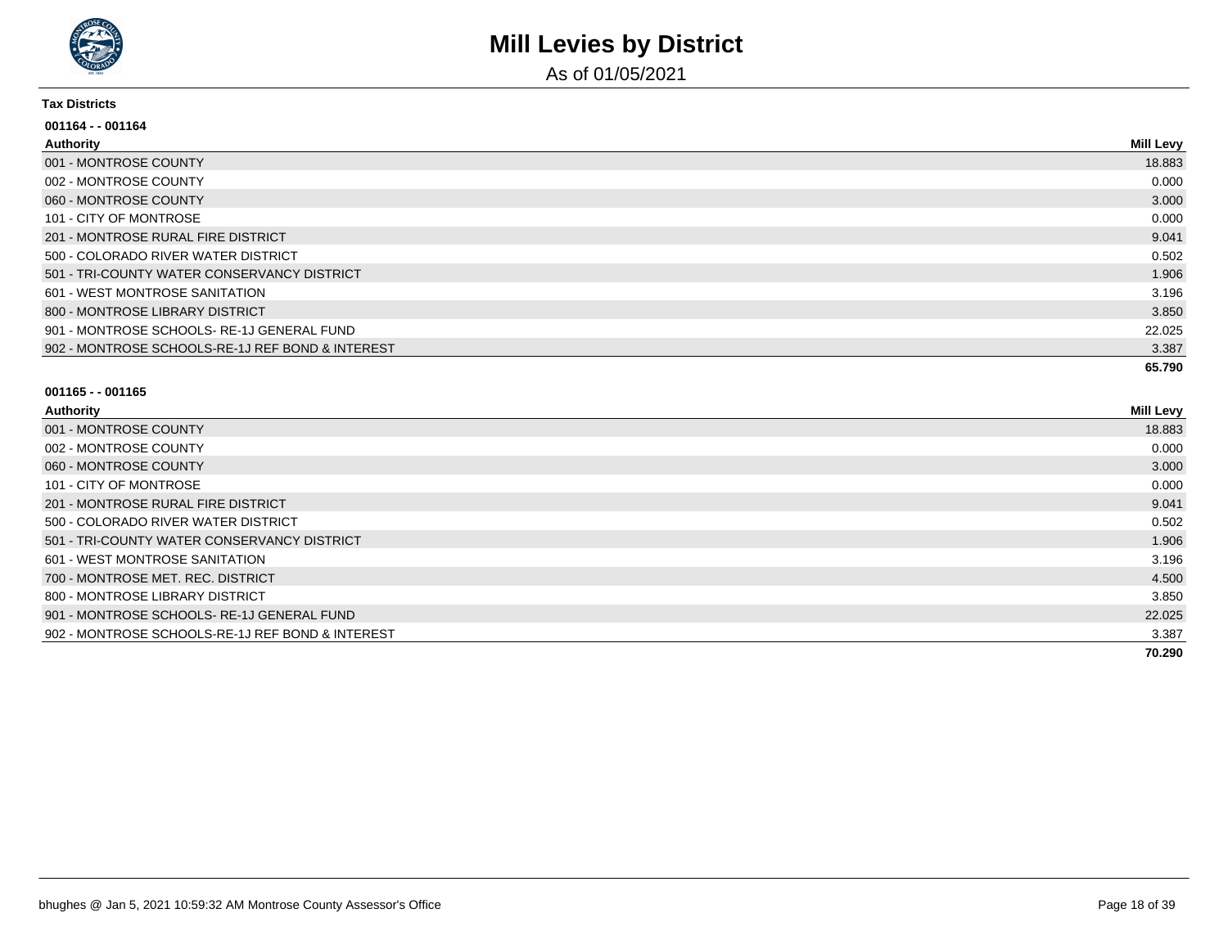

As of 01/05/2021

#### **Tax Districts**

| 001164 - - 001164                                |           |
|--------------------------------------------------|-----------|
| Authority                                        | Mill Levy |
| 001 - MONTROSE COUNTY                            | 18.883    |
| 002 - MONTROSE COUNTY                            | 0.000     |
| 060 - MONTROSE COUNTY                            | 3.000     |
| 101 - CITY OF MONTROSE                           | 0.000     |
| 201 - MONTROSE RURAL FIRE DISTRICT               | 9.041     |
| 500 - COLORADO RIVER WATER DISTRICT              | 0.502     |
| 501 - TRI-COUNTY WATER CONSERVANCY DISTRICT      | 1.906     |
| 601 - WEST MONTROSE SANITATION                   | 3.196     |
| 800 - MONTROSE LIBRARY DISTRICT                  | 3.850     |
| 901 - MONTROSE SCHOOLS- RE-1J GENERAL FUND       | 22.025    |
| 902 - MONTROSE SCHOOLS-RE-1J REF BOND & INTEREST | 3.387     |
|                                                  | 65.790    |

| Authority                                        | <b>Mill Levy</b> |
|--------------------------------------------------|------------------|
| 001 - MONTROSE COUNTY                            | 18.883           |
| 002 - MONTROSE COUNTY                            | 0.000            |
| 060 - MONTROSE COUNTY                            | 3.000            |
| 101 - CITY OF MONTROSE                           | 0.000            |
| 201 - MONTROSE RURAL FIRE DISTRICT               | 9.041            |
| 500 - COLORADO RIVER WATER DISTRICT              | 0.502            |
| 501 - TRI-COUNTY WATER CONSERVANCY DISTRICT      | 1.906            |
| 601 - WEST MONTROSE SANITATION                   | 3.196            |
| 700 - MONTROSE MET. REC. DISTRICT                | 4.500            |
| 800 - MONTROSE LIBRARY DISTRICT                  | 3.850            |
| 901 - MONTROSE SCHOOLS-RE-1J GENERAL FUND        | 22.025           |
| 902 - MONTROSE SCHOOLS-RE-1J REF BOND & INTEREST | 3.387            |
|                                                  | 70.290           |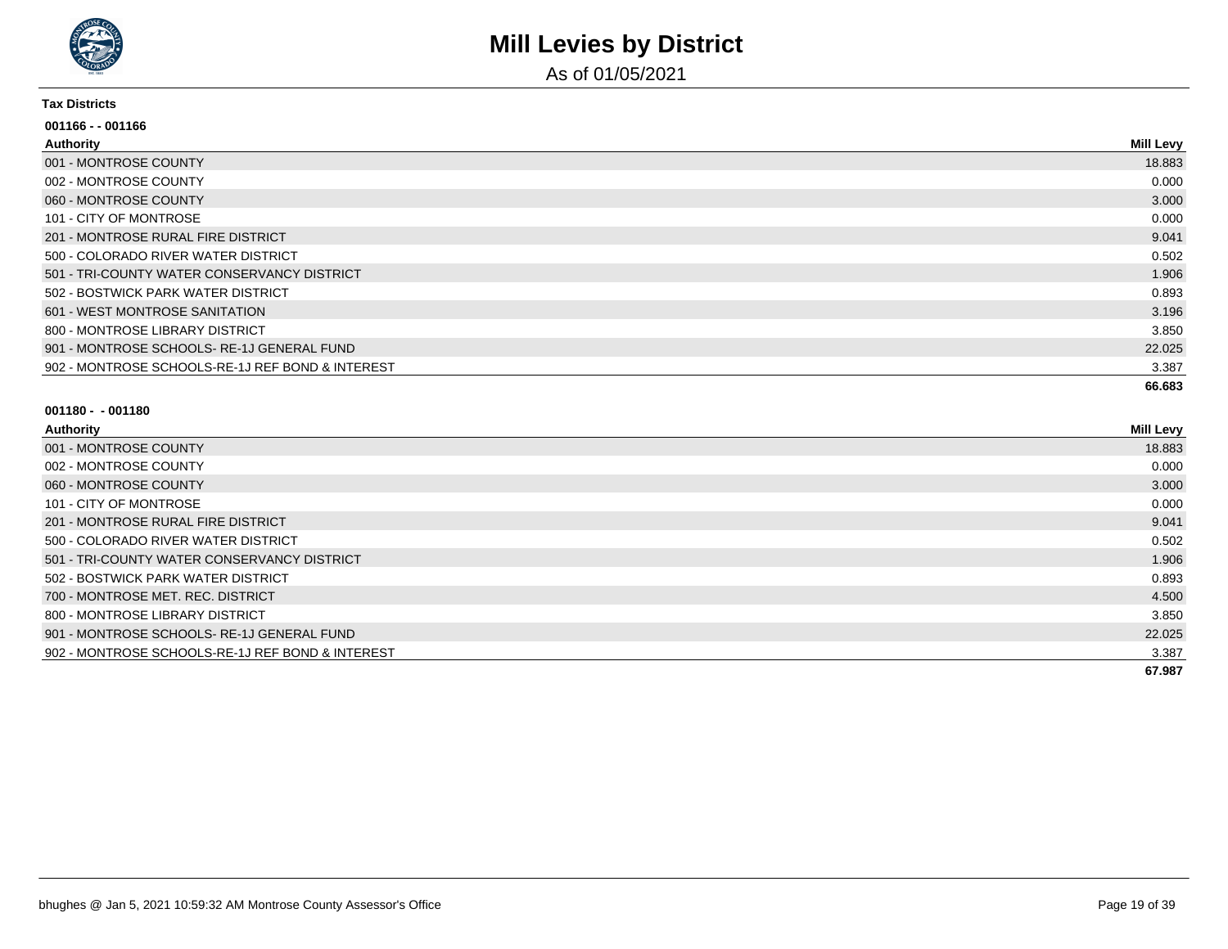

As of 01/05/2021

#### **Tax Districts**

| $001166 - 001166$                                |                  |
|--------------------------------------------------|------------------|
| Authority                                        | <b>Mill Levy</b> |
| 001 - MONTROSE COUNTY                            | 18.883           |
| 002 - MONTROSE COUNTY                            | 0.000            |
| 060 - MONTROSE COUNTY                            | 3.000            |
| 101 - CITY OF MONTROSE                           | 0.000            |
| 201 - MONTROSE RURAL FIRE DISTRICT               | 9.041            |
| 500 - COLORADO RIVER WATER DISTRICT              | 0.502            |
| 501 - TRI-COUNTY WATER CONSERVANCY DISTRICT      | 1.906            |
| 502 - BOSTWICK PARK WATER DISTRICT               | 0.893            |
| 601 - WEST MONTROSE SANITATION                   | 3.196            |
| 800 - MONTROSE LIBRARY DISTRICT                  | 3.850            |
| 901 - MONTROSE SCHOOLS-RE-1J GENERAL FUND        | 22.025           |
| 902 - MONTROSE SCHOOLS-RE-1J REF BOND & INTEREST | 3.387            |
|                                                  | 66.683           |

| Authority                                        | <b>Mill Levy</b> |
|--------------------------------------------------|------------------|
| 001 - MONTROSE COUNTY                            | 18.883           |
| 002 - MONTROSE COUNTY                            | 0.000            |
| 060 - MONTROSE COUNTY                            | 3.000            |
| 101 - CITY OF MONTROSE                           | 0.000            |
| 201 - MONTROSE RURAL FIRE DISTRICT               | 9.041            |
| 500 - COLORADO RIVER WATER DISTRICT              | 0.502            |
| 501 - TRI-COUNTY WATER CONSERVANCY DISTRICT      | 1.906            |
| 502 - BOSTWICK PARK WATER DISTRICT               | 0.893            |
| 700 - MONTROSE MET. REC. DISTRICT                | 4.500            |
| 800 - MONTROSE LIBRARY DISTRICT                  | 3.850            |
| 901 - MONTROSE SCHOOLS-RE-1J GENERAL FUND        | 22.025           |
| 902 - MONTROSE SCHOOLS-RE-1J REF BOND & INTEREST | 3.387            |
|                                                  | 67.987           |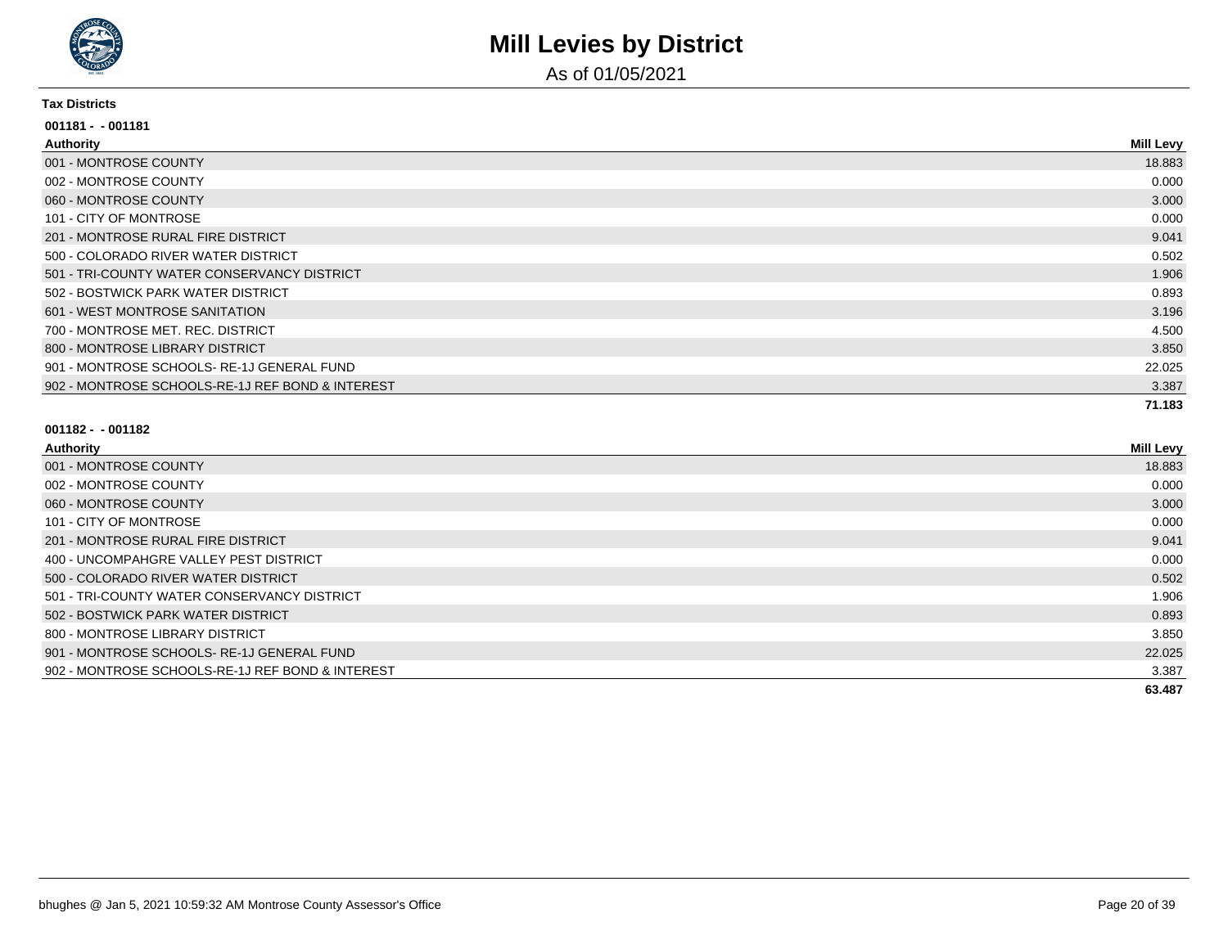

As of 01/05/2021

#### **Tax Districts**

| 001181 - - 001181                                |                  |
|--------------------------------------------------|------------------|
| Authority                                        | <b>Mill Levy</b> |
| 001 - MONTROSE COUNTY                            | 18.883           |
| 002 - MONTROSE COUNTY                            | 0.000            |
| 060 - MONTROSE COUNTY                            | 3.000            |
| 101 - CITY OF MONTROSE                           | 0.000            |
| 201 - MONTROSE RURAL FIRE DISTRICT               | 9.041            |
| 500 - COLORADO RIVER WATER DISTRICT              | 0.502            |
| 501 - TRI-COUNTY WATER CONSERVANCY DISTRICT      | 1.906            |
| 502 - BOSTWICK PARK WATER DISTRICT               | 0.893            |
| 601 - WEST MONTROSE SANITATION                   | 3.196            |
| 700 - MONTROSE MET. REC. DISTRICT                | 4.500            |
| 800 - MONTROSE LIBRARY DISTRICT                  | 3.850            |
| 901 - MONTROSE SCHOOLS-RE-1J GENERAL FUND        | 22.025           |
| 902 - MONTROSE SCHOOLS-RE-1J REF BOND & INTEREST | 3.387            |
|                                                  | 71.183           |

| Authority                                        | <b>Mill Levy</b> |
|--------------------------------------------------|------------------|
| 001 - MONTROSE COUNTY                            | 18.883           |
| 002 - MONTROSE COUNTY                            | 0.000            |
| 060 - MONTROSE COUNTY                            | 3.000            |
| 101 - CITY OF MONTROSE                           | 0.000            |
| 201 - MONTROSE RURAL FIRE DISTRICT               | 9.041            |
| 400 - UNCOMPAHGRE VALLEY PEST DISTRICT           | 0.000            |
| 500 - COLORADO RIVER WATER DISTRICT              | 0.502            |
| 501 - TRI-COUNTY WATER CONSERVANCY DISTRICT      | 1.906            |
| 502 - BOSTWICK PARK WATER DISTRICT               | 0.893            |
| 800 - MONTROSE LIBRARY DISTRICT                  | 3.850            |
| 901 - MONTROSE SCHOOLS-RE-1J GENERAL FUND        | 22.025           |
| 902 - MONTROSE SCHOOLS-RE-1J REF BOND & INTEREST | 3.387            |
|                                                  | 63.487           |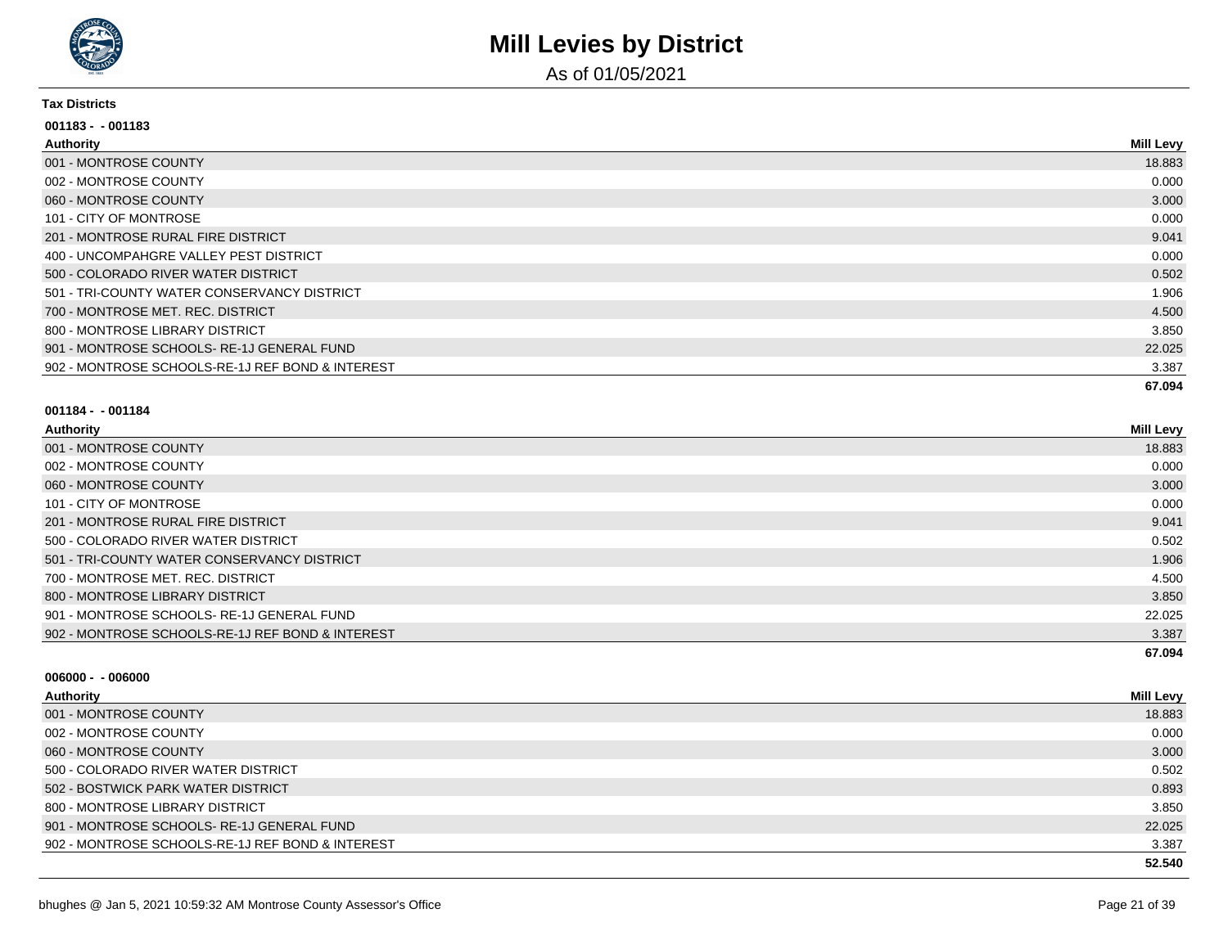

As of 01/05/2021

#### **Tax Districts**

| $001183 - 001183$                                |                  |
|--------------------------------------------------|------------------|
| Authority                                        | <b>Mill Levy</b> |
| 001 - MONTROSE COUNTY                            | 18.883           |
| 002 - MONTROSE COUNTY                            | 0.000            |
| 060 - MONTROSE COUNTY                            | 3.000            |
| 101 - CITY OF MONTROSE                           | 0.000            |
| 201 - MONTROSE RURAL FIRE DISTRICT               | 9.041            |
| 400 - UNCOMPAHGRE VALLEY PEST DISTRICT           | 0.000            |
| 500 - COLORADO RIVER WATER DISTRICT              | 0.502            |
| 501 - TRI-COUNTY WATER CONSERVANCY DISTRICT      | 1.906            |
| 700 - MONTROSE MET. REC. DISTRICT                | 4.500            |
| 800 - MONTROSE LIBRARY DISTRICT                  | 3.850            |
| 901 - MONTROSE SCHOOLS-RE-1J GENERAL FUND        | 22.025           |
| 902 - MONTROSE SCHOOLS-RE-1J REF BOND & INTEREST | 3.387            |
|                                                  | 67.094           |

#### **001184 - - 001184**

| Authority                                        | <b>Mill Levy</b> |
|--------------------------------------------------|------------------|
| 001 - MONTROSE COUNTY                            | 18.883           |
| 002 - MONTROSE COUNTY                            | 0.000            |
| 060 - MONTROSE COUNTY                            | 3.000            |
| 101 - CITY OF MONTROSE                           | 0.000            |
| 201 - MONTROSE RURAL FIRE DISTRICT               | 9.041            |
| 500 - COLORADO RIVER WATER DISTRICT              | 0.502            |
| 501 - TRI-COUNTY WATER CONSERVANCY DISTRICT      | 1.906            |
| 700 - MONTROSE MET. REC. DISTRICT                | 4.500            |
| 800 - MONTROSE LIBRARY DISTRICT                  | 3.850            |
| 901 - MONTROSE SCHOOLS-RE-1J GENERAL FUND        | 22.025           |
| 902 - MONTROSE SCHOOLS-RE-1J REF BOND & INTEREST | 3.387            |
|                                                  | 67.094           |

| - 1 | uthor |
|-----|-------|
|     |       |

| <b>Authority</b>                                 | <b>Mill Levy</b> |
|--------------------------------------------------|------------------|
| 001 - MONTROSE COUNTY                            | 18.883           |
| 002 - MONTROSE COUNTY                            | 0.000            |
| 060 - MONTROSE COUNTY                            | 3.000            |
| 500 - COLORADO RIVER WATER DISTRICT              | 0.502            |
| 502 - BOSTWICK PARK WATER DISTRICT               | 0.893            |
| 800 - MONTROSE LIBRARY DISTRICT                  | 3.850            |
| 901 - MONTROSE SCHOOLS-RE-1J GENERAL FUND        | 22.025           |
| 902 - MONTROSE SCHOOLS-RE-1J REF BOND & INTEREST | 3.387            |
|                                                  | 52.540           |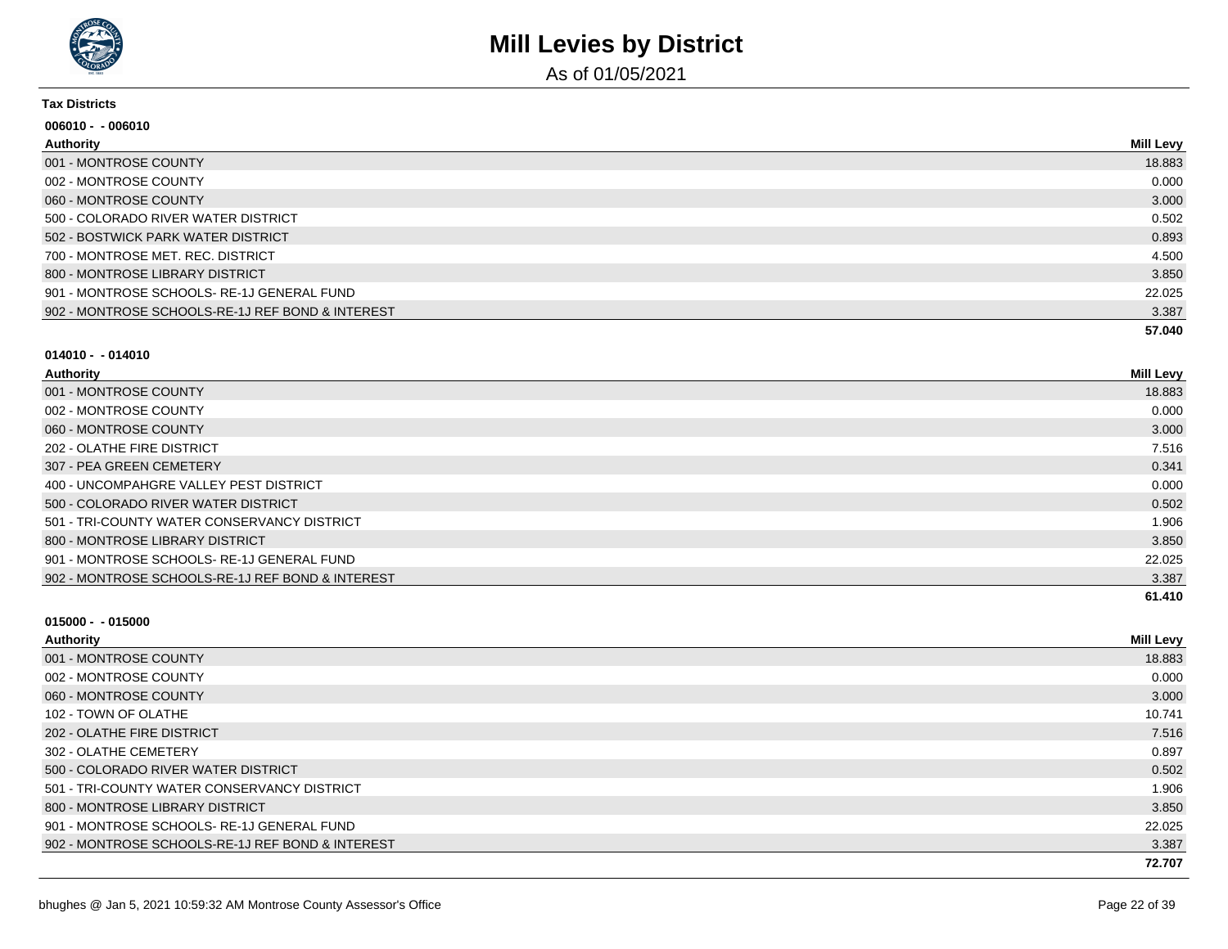

As of 01/05/2021

#### **Tax Districts**

| 006010 - - 006010                                |                  |
|--------------------------------------------------|------------------|
| Authority                                        | <b>Mill Levy</b> |
| 001 - MONTROSE COUNTY                            | 18.883           |
| 002 - MONTROSE COUNTY                            | 0.000            |
| 060 - MONTROSE COUNTY                            | 3.000            |
| 500 - COLORADO RIVER WATER DISTRICT              | 0.502            |
| 502 - BOSTWICK PARK WATER DISTRICT               | 0.893            |
| 700 - MONTROSE MET, REC, DISTRICT                | 4.500            |
| 800 - MONTROSE LIBRARY DISTRICT                  | 3.850            |
| 901 - MONTROSE SCHOOLS-RE-1J GENERAL FUND        | 22.025           |
| 902 - MONTROSE SCHOOLS-RE-1J REF BOND & INTEREST | 3.387            |
|                                                  | 57.040           |

#### **014010 - - 014010**

| Authority                                        | Mill Levy |
|--------------------------------------------------|-----------|
| 001 - MONTROSE COUNTY                            | 18.883    |
| 002 - MONTROSE COUNTY                            | 0.000     |
| 060 - MONTROSE COUNTY                            | 3.000     |
| 202 - OLATHE FIRE DISTRICT                       | 7.516     |
| 307 - PEA GREEN CEMETERY                         | 0.341     |
| 400 - UNCOMPAHGRE VALLEY PEST DISTRICT           | 0.000     |
| 500 - COLORADO RIVER WATER DISTRICT              | 0.502     |
| 501 - TRI-COUNTY WATER CONSERVANCY DISTRICT      | 1.906     |
| 800 - MONTROSE LIBRARY DISTRICT                  | 3.850     |
| 901 - MONTROSE SCHOOLS-RE-1J GENERAL FUND        | 22.025    |
| 902 - MONTROSE SCHOOLS-RE-1J REF BOND & INTEREST | 3.387     |
|                                                  | 61.410    |

| Authority                                        | <b>Mill Levy</b> |
|--------------------------------------------------|------------------|
| 001 - MONTROSE COUNTY                            | 18.883           |
| 002 - MONTROSE COUNTY                            | 0.000            |
| 060 - MONTROSE COUNTY                            | 3.000            |
| 102 - TOWN OF OLATHE                             | 10.741           |
| 202 - OLATHE FIRE DISTRICT                       | 7.516            |
| 302 - OLATHE CEMETERY                            | 0.897            |
| 500 - COLORADO RIVER WATER DISTRICT              | 0.502            |
| 501 - TRI-COUNTY WATER CONSERVANCY DISTRICT      | 1.906            |
| 800 - MONTROSE LIBRARY DISTRICT                  | 3.850            |
| 901 - MONTROSE SCHOOLS-RE-1J GENERAL FUND        | 22.025           |
| 902 - MONTROSE SCHOOLS-RE-1J REF BOND & INTEREST | 3.387            |
|                                                  | 72.707           |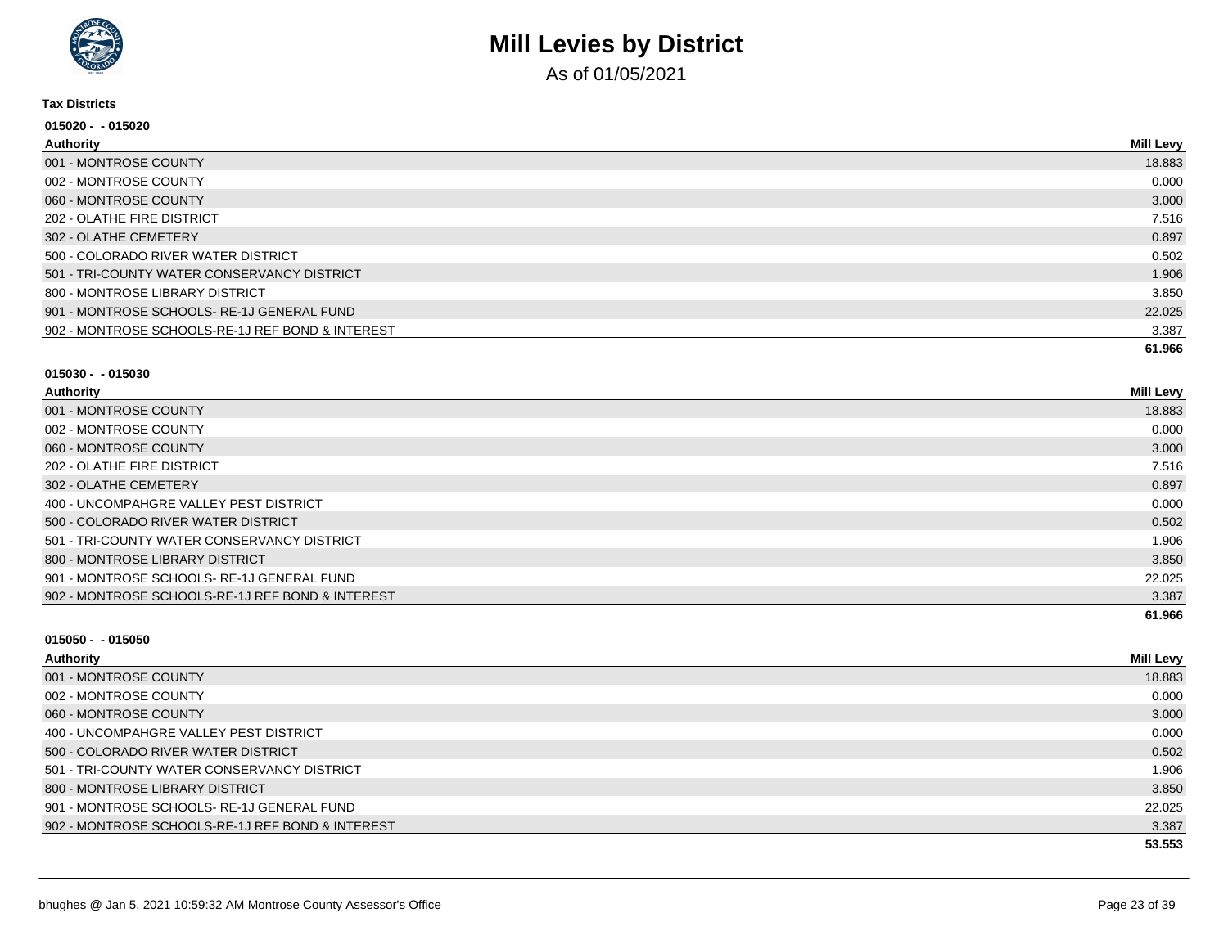

As of 01/05/2021

#### **Tax Districts**

| 015020 - -015020                                 |                  |
|--------------------------------------------------|------------------|
| Authority                                        | <b>Mill Levy</b> |
| 001 - MONTROSE COUNTY                            | 18.883           |
| 002 - MONTROSE COUNTY                            | 0.000            |
| 060 - MONTROSE COUNTY                            | 3.000            |
| 202 - OLATHE FIRE DISTRICT                       | 7.516            |
| 302 - OLATHE CEMETERY                            | 0.897            |
| 500 - COLORADO RIVER WATER DISTRICT              | 0.502            |
| 501 - TRI-COUNTY WATER CONSERVANCY DISTRICT      | 1.906            |
| 800 - MONTROSE LIBRARY DISTRICT                  | 3.850            |
| 901 - MONTROSE SCHOOLS-RE-1J GENERAL FUND        | 22.025           |
| 902 - MONTROSE SCHOOLS-RE-1J REF BOND & INTEREST | 3.387            |
|                                                  | 61.966           |

#### **015030 - - 015030**

| Authority                                        | <b>Mill Levy</b> |
|--------------------------------------------------|------------------|
| 001 - MONTROSE COUNTY                            | 18.883           |
| 002 - MONTROSE COUNTY                            | 0.000            |
| 060 - MONTROSE COUNTY                            | 3.000            |
| 202 - OLATHE FIRE DISTRICT                       | 7.516            |
| 302 - OLATHE CEMETERY                            | 0.897            |
| 400 - UNCOMPAHGRE VALLEY PEST DISTRICT           | 0.000            |
| 500 - COLORADO RIVER WATER DISTRICT              | 0.502            |
| 501 - TRI-COUNTY WATER CONSERVANCY DISTRICT      | 1.906            |
| 800 - MONTROSE LIBRARY DISTRICT                  | 3.850            |
| 901 - MONTROSE SCHOOLS-RE-1J GENERAL FUND        | 22.025           |
| 902 - MONTROSE SCHOOLS-RE-1J REF BOND & INTEREST | 3.387            |
|                                                  | 61.966           |

| <b>Authority</b>                                 | <b>Mill Levy</b> |
|--------------------------------------------------|------------------|
| 001 - MONTROSE COUNTY                            | 18.883           |
| 002 - MONTROSE COUNTY                            | 0.000            |
| 060 - MONTROSE COUNTY                            | 3.000            |
| 400 - UNCOMPAHGRE VALLEY PEST DISTRICT           | 0.000            |
| 500 - COLORADO RIVER WATER DISTRICT              | 0.502            |
| 501 - TRI-COUNTY WATER CONSERVANCY DISTRICT      | 1.906            |
| 800 - MONTROSE LIBRARY DISTRICT                  | 3.850            |
| 901 - MONTROSE SCHOOLS-RE-1J GENERAL FUND        | 22.025           |
| 902 - MONTROSE SCHOOLS-RE-1J REF BOND & INTEREST | 3.387            |
|                                                  | 53.553           |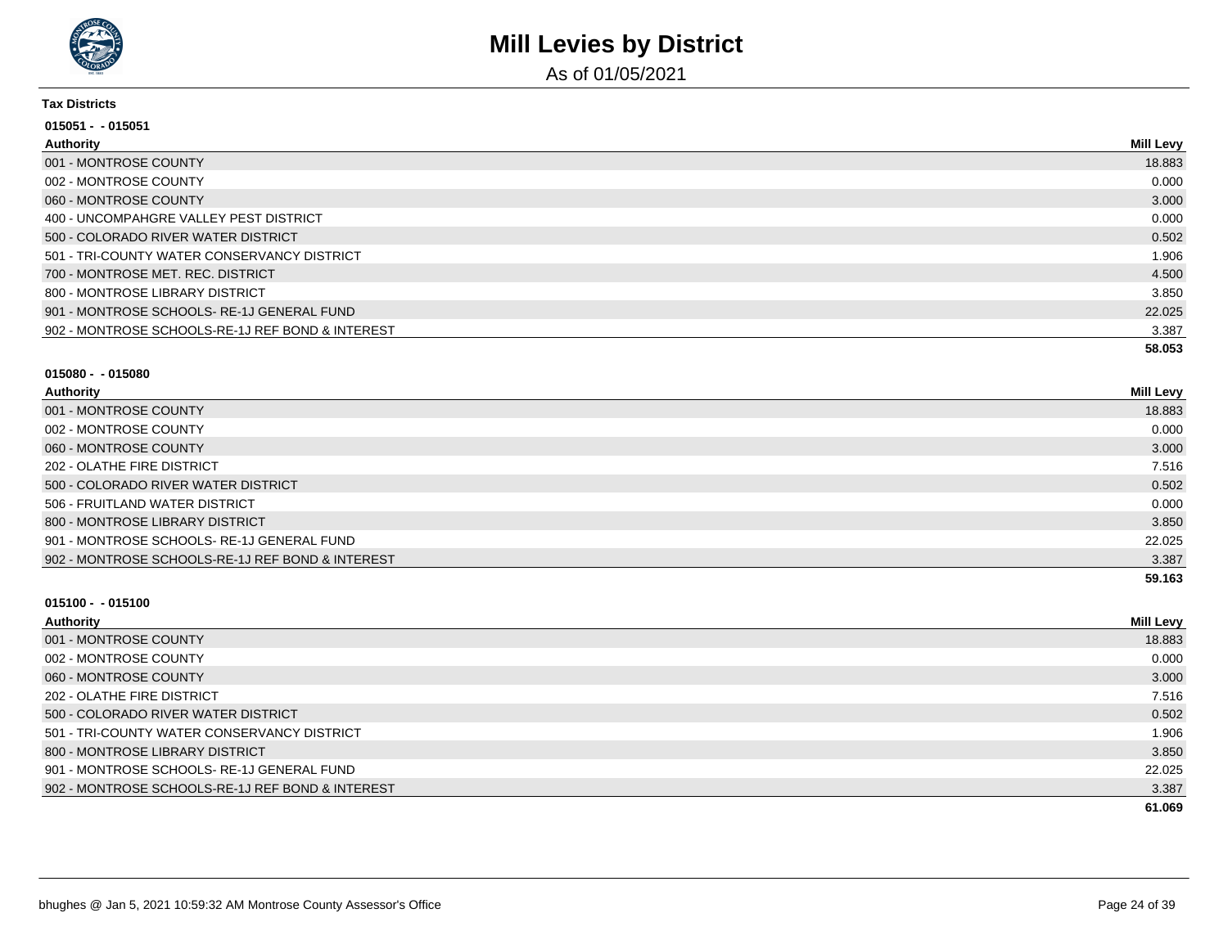

As of 01/05/2021

#### **Tax Districts**

| 015051 - - 015051                                |                  |
|--------------------------------------------------|------------------|
| Authority                                        | <b>Mill Levy</b> |
| 001 - MONTROSE COUNTY                            | 18.883           |
| 002 - MONTROSE COUNTY                            | 0.000            |
| 060 - MONTROSE COUNTY                            | 3.000            |
| 400 - UNCOMPAHGRE VALLEY PEST DISTRICT           | 0.000            |
| 500 - COLORADO RIVER WATER DISTRICT              | 0.502            |
| 501 - TRI-COUNTY WATER CONSERVANCY DISTRICT      | 1.906            |
| 700 - MONTROSE MET. REC. DISTRICT                | 4.500            |
| 800 - MONTROSE LIBRARY DISTRICT                  | 3.850            |
| 901 - MONTROSE SCHOOLS- RE-1J GENERAL FUND       | 22.025           |
| 902 - MONTROSE SCHOOLS-RE-1J REF BOND & INTEREST | 3.387            |
|                                                  | 58.053           |

#### **015080 - - 015080**

| Authority                                        | <b>Mill Levy</b> |
|--------------------------------------------------|------------------|
| 001 - MONTROSE COUNTY                            | 18.883           |
| 002 - MONTROSE COUNTY                            | 0.000            |
| 060 - MONTROSE COUNTY                            | 3.000            |
| 202 - OLATHE FIRE DISTRICT                       | 7.516            |
| 500 - COLORADO RIVER WATER DISTRICT              | 0.502            |
| 506 - FRUITLAND WATER DISTRICT                   | 0.000            |
| 800 - MONTROSE LIBRARY DISTRICT                  | 3.850            |
| 901 - MONTROSE SCHOOLS- RE-1J GENERAL FUND       | 22.025           |
| 902 - MONTROSE SCHOOLS-RE-1J REF BOND & INTEREST | 3.387            |
|                                                  | 59.163           |

| Authority                                        | <b>Mill Levy</b> |
|--------------------------------------------------|------------------|
| 001 - MONTROSE COUNTY                            | 18.883           |
| 002 - MONTROSE COUNTY                            | 0.000            |
| 060 - MONTROSE COUNTY                            | 3.000            |
| 202 - OLATHE FIRE DISTRICT                       | 7.516            |
| 500 - COLORADO RIVER WATER DISTRICT              | 0.502            |
| 501 - TRI-COUNTY WATER CONSERVANCY DISTRICT      | 1.906            |
| 800 - MONTROSE LIBRARY DISTRICT                  | 3.850            |
| 901 - MONTROSE SCHOOLS-RE-1J GENERAL FUND        | 22.025           |
| 902 - MONTROSE SCHOOLS-RE-1J REF BOND & INTEREST | 3.387            |
|                                                  | 61.069           |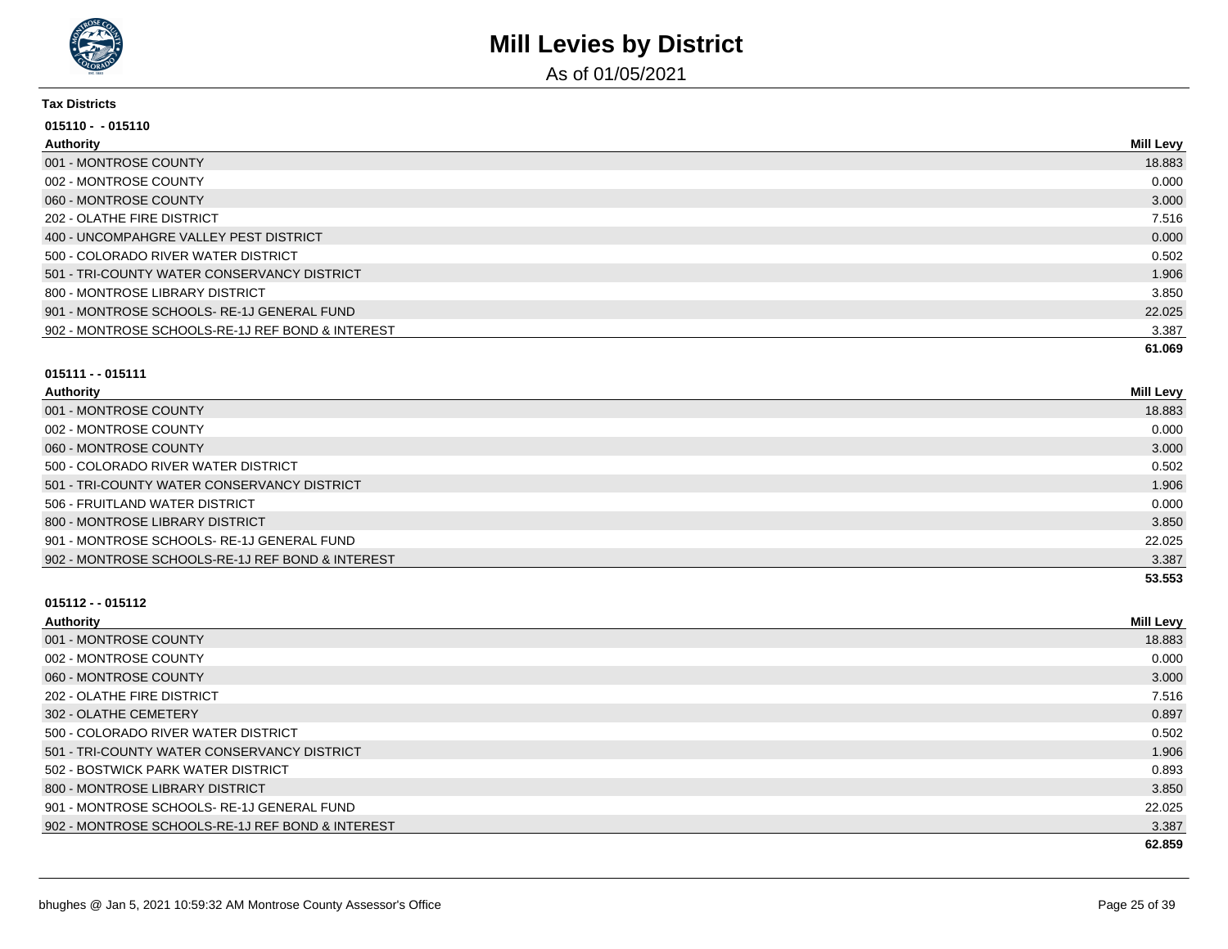

As of 01/05/2021

#### **Tax Districts**

| $015110 - 015110$                                |           |
|--------------------------------------------------|-----------|
| Authority                                        | Mill Levy |
| 001 - MONTROSE COUNTY                            | 18.883    |
| 002 - MONTROSE COUNTY                            | 0.000     |
| 060 - MONTROSE COUNTY                            | 3.000     |
| 202 - OLATHE FIRE DISTRICT                       | 7.516     |
| 400 - UNCOMPAHGRE VALLEY PEST DISTRICT           | 0.000     |
| 500 - COLORADO RIVER WATER DISTRICT              | 0.502     |
| 501 - TRI-COUNTY WATER CONSERVANCY DISTRICT      | 1.906     |
| 800 - MONTROSE LIBRARY DISTRICT                  | 3.850     |
| 901 - MONTROSE SCHOOLS-RE-1J GENERAL FUND        | 22.025    |
| 902 - MONTROSE SCHOOLS-RE-1J REF BOND & INTEREST | 3.387     |
|                                                  | 61.069    |

#### **015111 - - 015111**

| <b>Authority</b>                                 | Mill Levy |
|--------------------------------------------------|-----------|
| 001 - MONTROSE COUNTY                            | 18.883    |
| 002 - MONTROSE COUNTY                            | 0.000     |
| 060 - MONTROSE COUNTY                            | 3.000     |
| 500 - COLORADO RIVER WATER DISTRICT              | 0.502     |
| 501 - TRI-COUNTY WATER CONSERVANCY DISTRICT      | 1.906     |
| 506 - FRUITLAND WATER DISTRICT                   | 0.000     |
| 800 - MONTROSE LIBRARY DISTRICT                  | 3.850     |
| 901 - MONTROSE SCHOOLS-RE-1J GENERAL FUND        | 22.025    |
| 902 - MONTROSE SCHOOLS-RE-1J REF BOND & INTEREST | 3.387     |
|                                                  | 53.553    |

| <b>Mill Levy</b> |
|------------------|
| 18.883           |
| 0.000            |
| 3.000            |
| 7.516            |
| 0.897            |
| 0.502            |
| 1.906            |
| 0.893            |
| 3.850            |
| 22.025           |
| 3.387            |
| 62.859           |
|                  |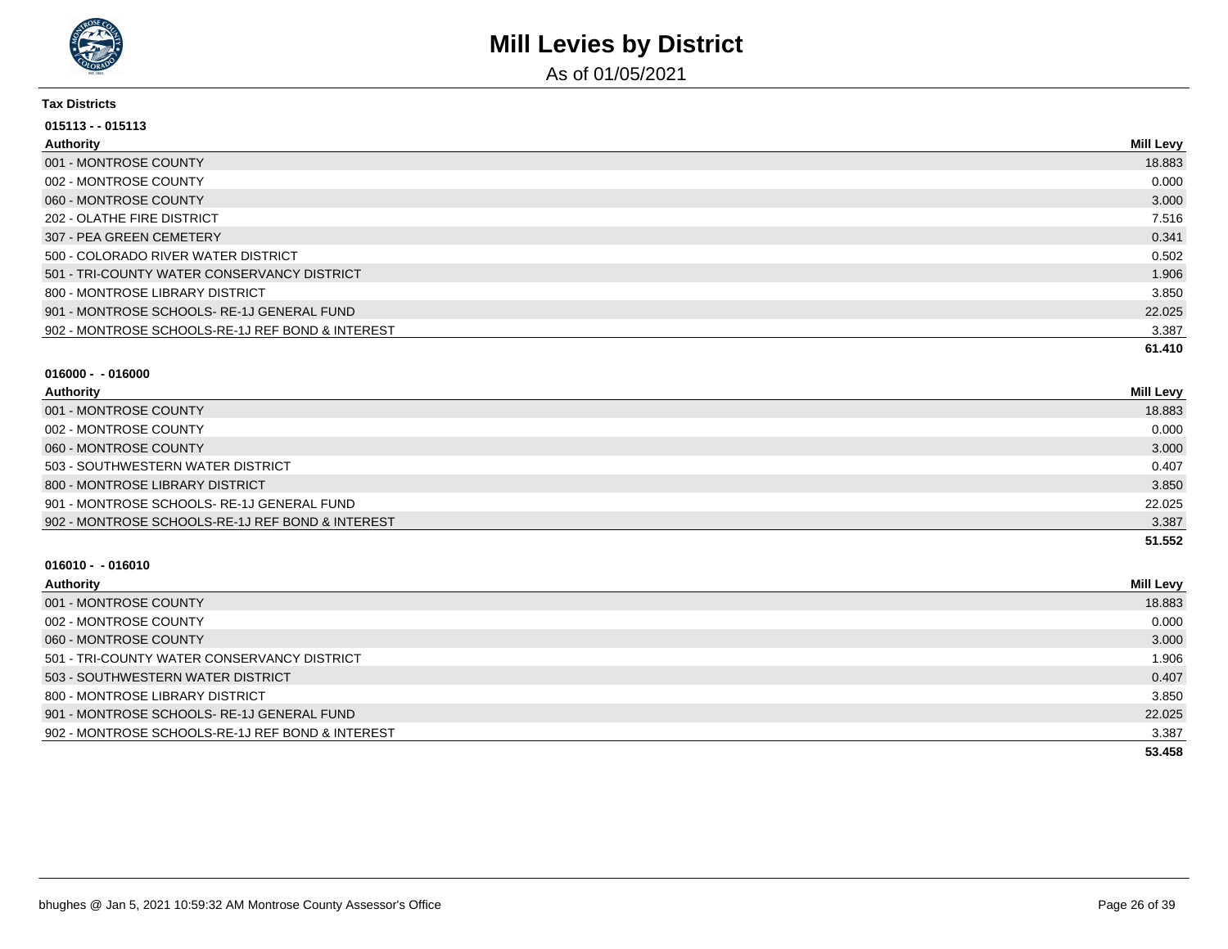

As of 01/05/2021

#### **Tax Districts**

| $015113 - 015113$                                |                  |
|--------------------------------------------------|------------------|
| Authority                                        | <b>Mill Levy</b> |
| 001 - MONTROSE COUNTY                            | 18.883           |
| 002 - MONTROSE COUNTY                            | 0.000            |
| 060 - MONTROSE COUNTY                            | 3.000            |
| 202 - OLATHE FIRE DISTRICT                       | 7.516            |
| 307 - PEA GREEN CEMETERY                         | 0.341            |
| 500 - COLORADO RIVER WATER DISTRICT              | 0.502            |
| 501 - TRI-COUNTY WATER CONSERVANCY DISTRICT      | 1.906            |
| 800 - MONTROSE LIBRARY DISTRICT                  | 3.850            |
| 901 - MONTROSE SCHOOLS-RE-1J GENERAL FUND        | 22.025           |
| 902 - MONTROSE SCHOOLS-RE-1J REF BOND & INTEREST | 3.387            |
|                                                  | 61.410           |

#### **016000 - - 016000**

| Authority                                        | <b>Mill Levy</b> |
|--------------------------------------------------|------------------|
| 001 - MONTROSE COUNTY                            | 18.883           |
| 002 - MONTROSE COUNTY                            | 0.000            |
| 060 - MONTROSE COUNTY                            | 3.000            |
| 503 - SOUTHWESTERN WATER DISTRICT                | 0.407            |
| 800 - MONTROSE LIBRARY DISTRICT                  | 3.850            |
| 901 - MONTROSE SCHOOLS-RE-1J GENERAL FUND        | 22.025           |
| 902 - MONTROSE SCHOOLS-RE-1J REF BOND & INTEREST | 3.387            |
|                                                  | 51.552           |

| Authority                                        | <b>Mill Levy</b> |
|--------------------------------------------------|------------------|
| 001 - MONTROSE COUNTY                            | 18.883           |
| 002 - MONTROSE COUNTY                            | 0.000            |
| 060 - MONTROSE COUNTY                            | 3.000            |
| 501 - TRI-COUNTY WATER CONSERVANCY DISTRICT      | 1.906            |
| 503 - SOUTHWESTERN WATER DISTRICT                | 0.407            |
| 800 - MONTROSE LIBRARY DISTRICT                  | 3.850            |
| 901 - MONTROSE SCHOOLS-RE-1J GENERAL FUND        | 22.025           |
| 902 - MONTROSE SCHOOLS-RE-1J REF BOND & INTEREST | 3.387            |
|                                                  | 53.458           |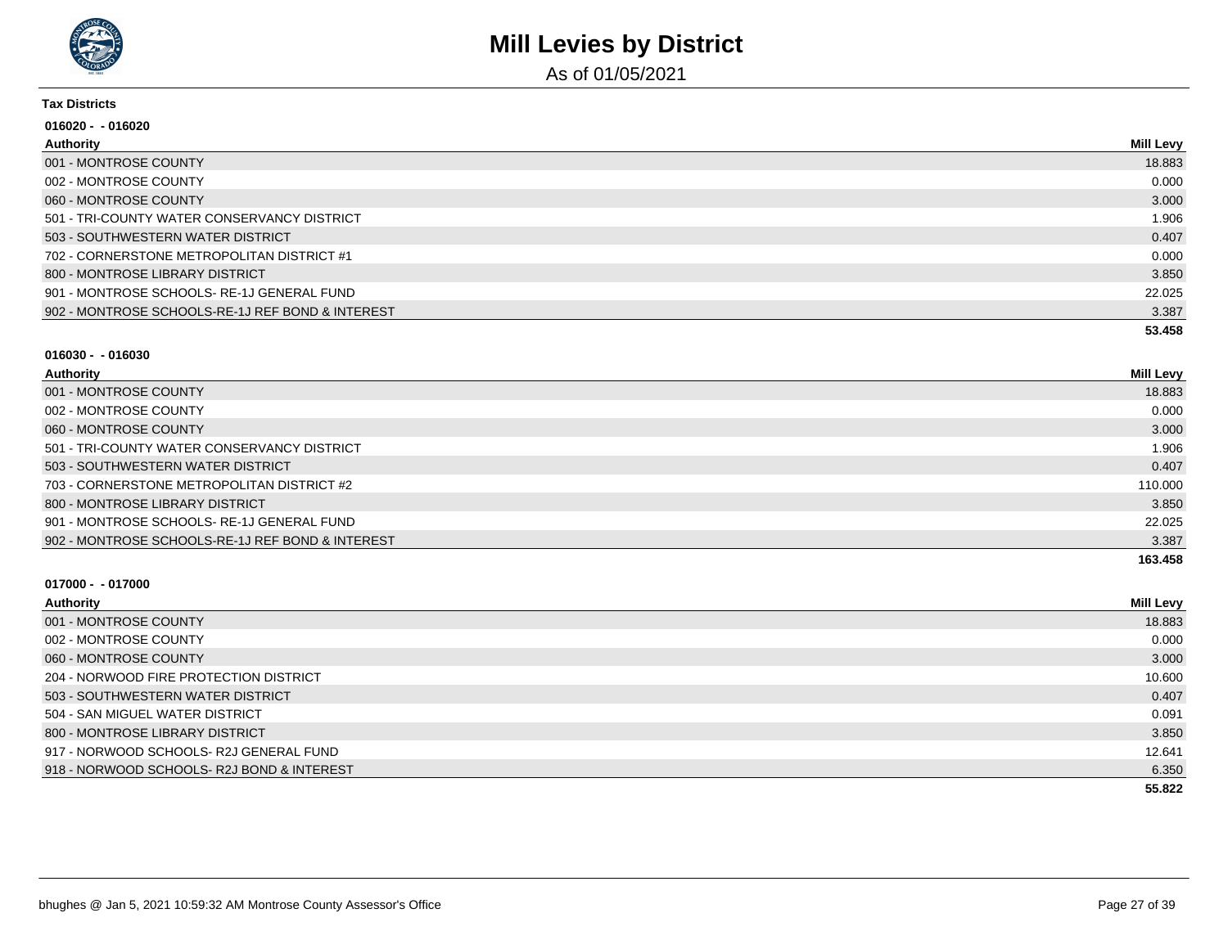

As of 01/05/2021

#### **Tax Districts**

| 016020 - -016020                                 |           |
|--------------------------------------------------|-----------|
| <b>Authority</b>                                 | Mill Levy |
| 001 - MONTROSE COUNTY                            | 18.883    |
| 002 - MONTROSE COUNTY                            | 0.000     |
| 060 - MONTROSE COUNTY                            | 3.000     |
| 501 - TRI-COUNTY WATER CONSERVANCY DISTRICT      | 1.906     |
| 503 - SOUTHWESTERN WATER DISTRICT                | 0.407     |
| 702 - CORNERSTONE METROPOLITAN DISTRICT #1       | 0.000     |
| 800 - MONTROSE LIBRARY DISTRICT                  | 3.850     |
| 901 - MONTROSE SCHOOLS-RE-1J GENERAL FUND        | 22.025    |
| 902 - MONTROSE SCHOOLS-RE-1J REF BOND & INTEREST | 3.387     |
|                                                  | 53.458    |

#### **016030 - - 016030**

| Authority                                        | <b>Mill Levy</b> |
|--------------------------------------------------|------------------|
| 001 - MONTROSE COUNTY                            | 18.883           |
| 002 - MONTROSE COUNTY                            | 0.000            |
| 060 - MONTROSE COUNTY                            | 3.000            |
| 501 - TRI-COUNTY WATER CONSERVANCY DISTRICT      | 1.906            |
| 503 - SOUTHWESTERN WATER DISTRICT                | 0.407            |
| 703 - CORNERSTONE METROPOLITAN DISTRICT #2       | 110.000          |
| 800 - MONTROSE LIBRARY DISTRICT                  | 3.850            |
| 901 - MONTROSE SCHOOLS-RE-1J GENERAL FUND        | 22.025           |
| 902 - MONTROSE SCHOOLS-RE-1J REF BOND & INTEREST | 3.387            |
|                                                  | 163.458          |

| <b>Authority</b>                          | <b>Mill Levy</b> |
|-------------------------------------------|------------------|
| 001 - MONTROSE COUNTY                     | 18.883           |
| 002 - MONTROSE COUNTY                     | 0.000            |
| 060 - MONTROSE COUNTY                     | 3.000            |
| 204 - NORWOOD FIRE PROTECTION DISTRICT    | 10.600           |
| 503 - SOUTHWESTERN WATER DISTRICT         | 0.407            |
| 504 - SAN MIGUEL WATER DISTRICT           | 0.091            |
| 800 - MONTROSE LIBRARY DISTRICT           | 3.850            |
| 917 - NORWOOD SCHOOLS- R2J GENERAL FUND   | 12.641           |
| 918 - NORWOOD SCHOOLS-R2J BOND & INTEREST | 6.350            |
|                                           | 55.822           |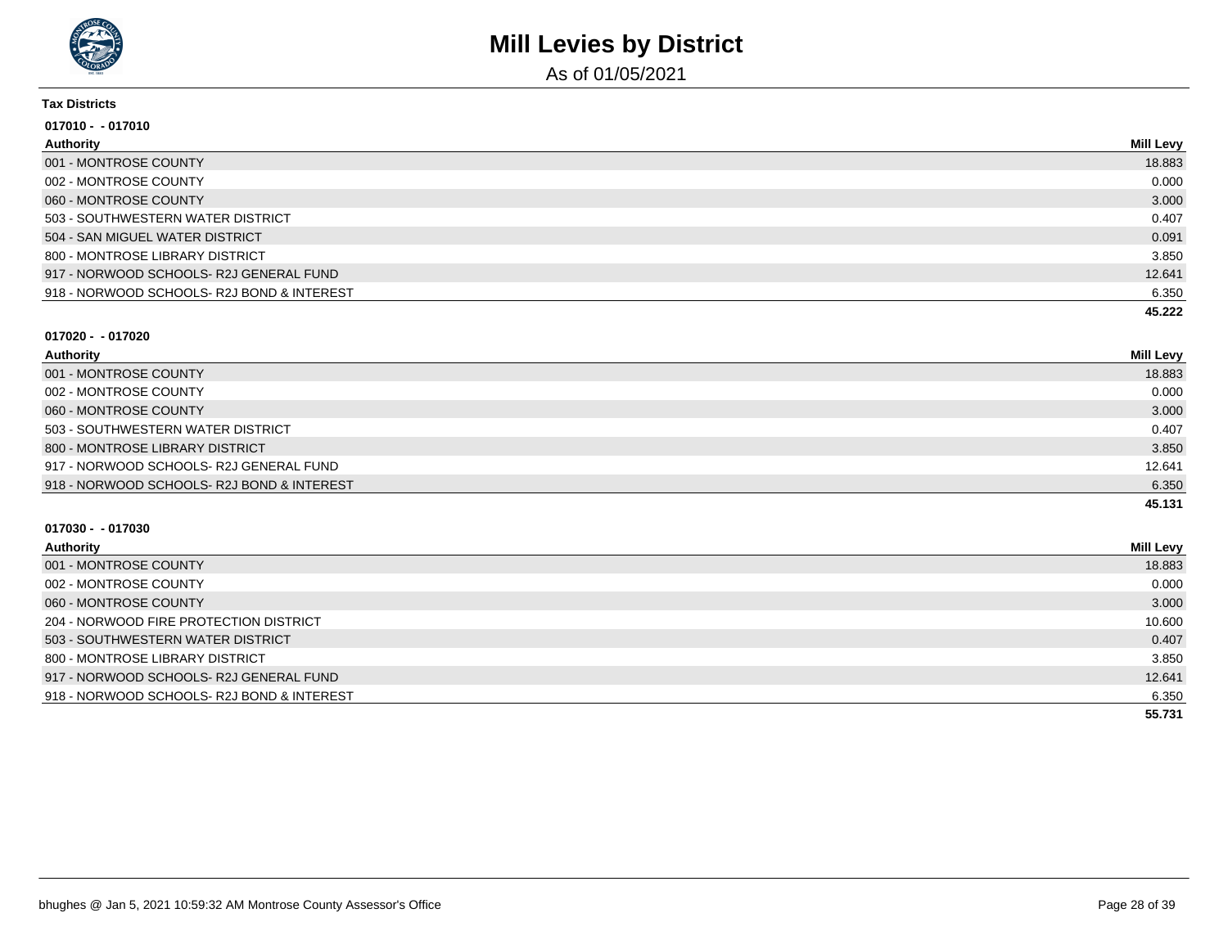

As of 01/05/2021

#### **Tax Districts**

| $017010 - 017010$                          |           |
|--------------------------------------------|-----------|
| Authority                                  | Mill Levy |
| 001 - MONTROSE COUNTY                      | 18.883    |
| 002 - MONTROSE COUNTY                      | 0.000     |
| 060 - MONTROSE COUNTY                      | 3.000     |
| 503 - SOUTHWESTERN WATER DISTRICT          | 0.407     |
| 504 - SAN MIGUEL WATER DISTRICT            | 0.091     |
| 800 - MONTROSE LIBRARY DISTRICT            | 3.850     |
| 917 - NORWOOD SCHOOLS- R2J GENERAL FUND    | 12.641    |
| 918 - NORWOOD SCHOOLS- R2J BOND & INTEREST | 6.350     |
|                                            | 45.222    |

#### **017020 - - 017020**

| Authority                                  | Mill Levy |
|--------------------------------------------|-----------|
| 001 - MONTROSE COUNTY                      | 18.883    |
| 002 - MONTROSE COUNTY                      | 0.000     |
| 060 - MONTROSE COUNTY                      | 3.000     |
| 503 - SOUTHWESTERN WATER DISTRICT          | 0.407     |
| 800 - MONTROSE LIBRARY DISTRICT            | 3.850     |
| 917 - NORWOOD SCHOOLS-R2J GENERAL FUND     | 12.641    |
| 918 - NORWOOD SCHOOLS- R2J BOND & INTEREST | 6.350     |
|                                            | 45.131    |

| Authority                                  | Mill Levy |
|--------------------------------------------|-----------|
| 001 - MONTROSE COUNTY                      | 18.883    |
| 002 - MONTROSE COUNTY                      | 0.000     |
| 060 - MONTROSE COUNTY                      | 3.000     |
| 204 - NORWOOD FIRE PROTECTION DISTRICT     | 10.600    |
| 503 - SOUTHWESTERN WATER DISTRICT          | 0.407     |
| 800 - MONTROSE LIBRARY DISTRICT            | 3.850     |
| 917 - NORWOOD SCHOOLS- R2J GENERAL FUND    | 12.641    |
| 918 - NORWOOD SCHOOLS- R2J BOND & INTEREST | 6.350     |
|                                            | 55.731    |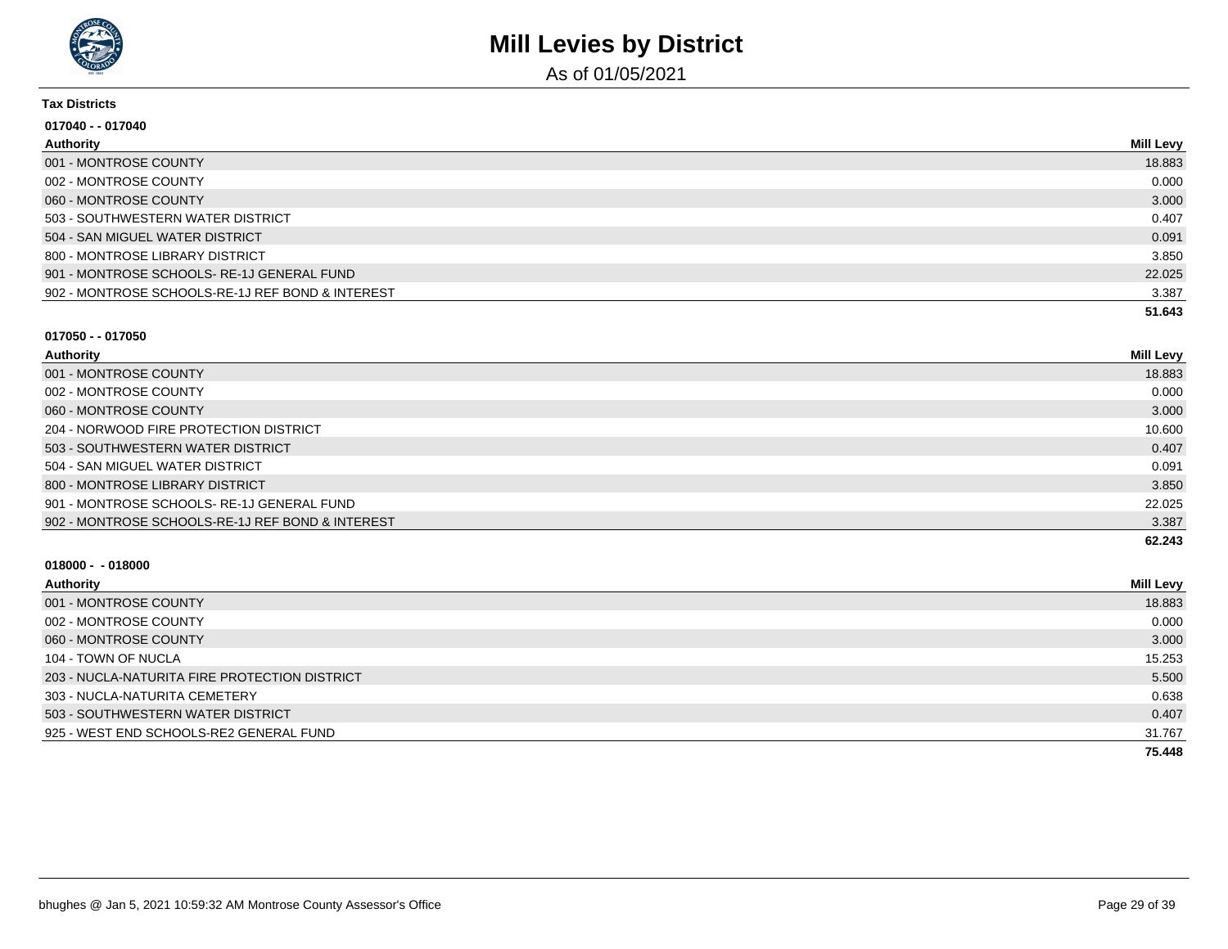

As of 01/05/2021

#### **Tax Districts**

| 017040 - - 017040                                |                  |
|--------------------------------------------------|------------------|
| Authority                                        | <b>Mill Levy</b> |
| 001 - MONTROSE COUNTY                            | 18.883           |
| 002 - MONTROSE COUNTY                            | 0.000            |
| 060 - MONTROSE COUNTY                            | 3.000            |
| 503 - SOUTHWESTERN WATER DISTRICT                | 0.407            |
| 504 - SAN MIGUEL WATER DISTRICT                  | 0.091            |
| 800 - MONTROSE LIBRARY DISTRICT                  | 3.850            |
| 901 - MONTROSE SCHOOLS-RE-1J GENERAL FUND        | 22.025           |
| 902 - MONTROSE SCHOOLS-RE-1J REF BOND & INTEREST | 3.387            |
|                                                  | 51.643           |

#### **017050 - - 017050**

| Authority                                        | <b>Mill Levy</b> |
|--------------------------------------------------|------------------|
| 001 - MONTROSE COUNTY                            | 18.883           |
| 002 - MONTROSE COUNTY                            | 0.000            |
| 060 - MONTROSE COUNTY                            | 3.000            |
| 204 - NORWOOD FIRE PROTECTION DISTRICT           | 10.600           |
| 503 - SOUTHWESTERN WATER DISTRICT                | 0.407            |
| 504 - SAN MIGUEL WATER DISTRICT                  | 0.091            |
| 800 - MONTROSE LIBRARY DISTRICT                  | 3.850            |
| 901 - MONTROSE SCHOOLS-RE-1J GENERAL FUND        | 22.025           |
| 902 - MONTROSE SCHOOLS-RE-1J REF BOND & INTEREST | 3.387            |
|                                                  | 62.243           |

| Authority                                     | <b>Mill Levy</b> |
|-----------------------------------------------|------------------|
| 001 - MONTROSE COUNTY                         | 18.883           |
| 002 - MONTROSE COUNTY                         | 0.000            |
| 060 - MONTROSE COUNTY                         | 3.000            |
| 104 - TOWN OF NUCLA                           | 15.253           |
| 203 - NUCLA-NATURITA FIRE PROTECTION DISTRICT | 5.500            |
| 303 - NUCLA-NATURITA CEMETERY                 | 0.638            |
| 503 - SOUTHWESTERN WATER DISTRICT             | 0.407            |
| 925 - WEST END SCHOOLS-RE2 GENERAL FUND       | 31.767           |
|                                               | 75.448           |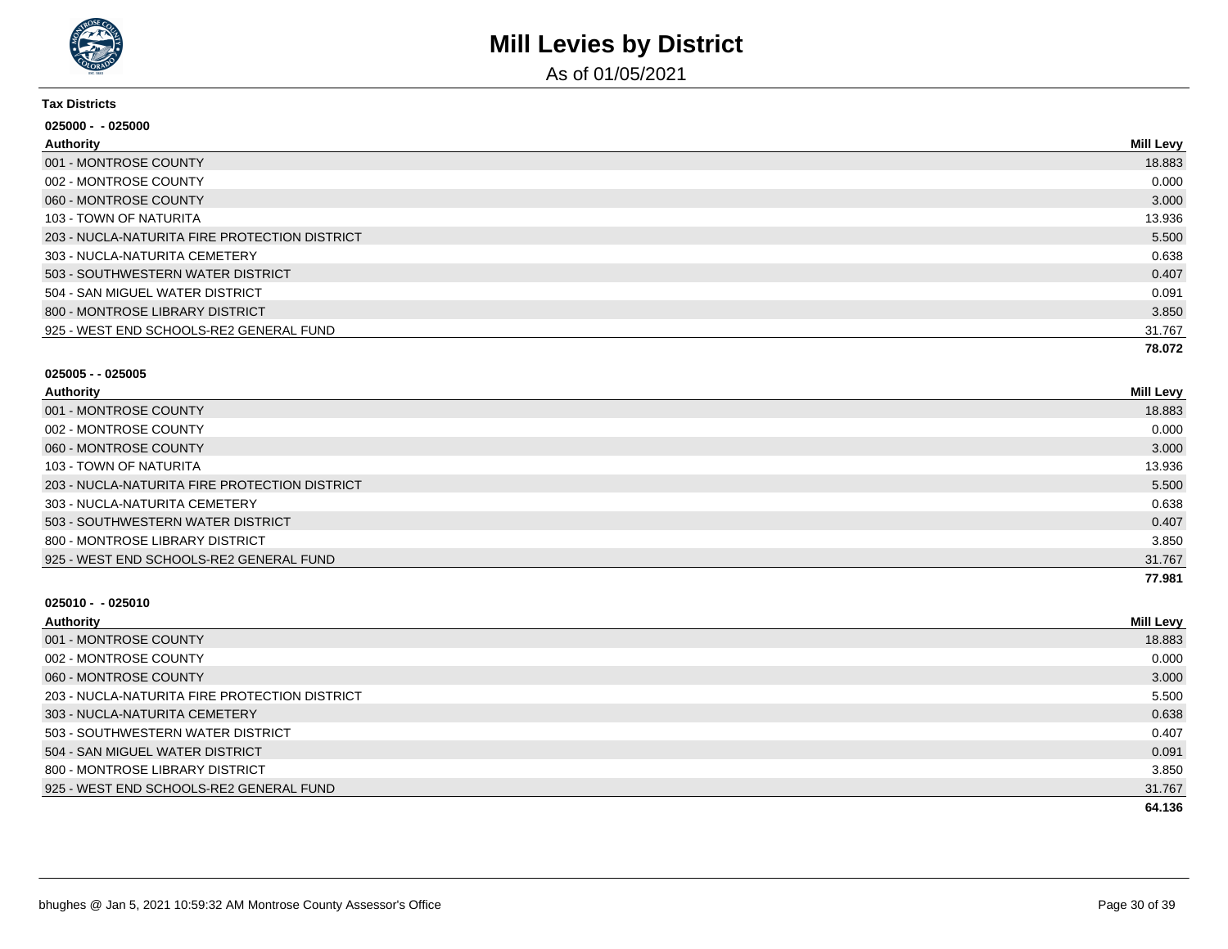

As of 01/05/2021

#### **Tax Districts**

| 025000 - -025000                              |                  |
|-----------------------------------------------|------------------|
| Authority                                     | <b>Mill Levy</b> |
| 001 - MONTROSE COUNTY                         | 18.883           |
| 002 - MONTROSE COUNTY                         | 0.000            |
| 060 - MONTROSE COUNTY                         | 3.000            |
| 103 - TOWN OF NATURITA                        | 13.936           |
| 203 - NUCLA-NATURITA FIRE PROTECTION DISTRICT | 5.500            |
| 303 - NUCLA-NATURITA CEMETERY                 | 0.638            |
| 503 - SOUTHWESTERN WATER DISTRICT             | 0.407            |
| 504 - SAN MIGUEL WATER DISTRICT               | 0.091            |
| 800 - MONTROSE LIBRARY DISTRICT               | 3.850            |
| 925 - WEST END SCHOOLS-RE2 GENERAL FUND       | 31.767           |
|                                               | 78.072           |

#### **025005 - - 025005**

| Authority                                     | <b>Mill Levy</b> |
|-----------------------------------------------|------------------|
| 001 - MONTROSE COUNTY                         | 18.883           |
| 002 - MONTROSE COUNTY                         | 0.000            |
| 060 - MONTROSE COUNTY                         | 3.000            |
| 103 - TOWN OF NATURITA                        | 13.936           |
| 203 - NUCLA-NATURITA FIRE PROTECTION DISTRICT | 5.500            |
| 303 - NUCLA-NATURITA CEMETERY                 | 0.638            |
| 503 - SOUTHWESTERN WATER DISTRICT             | 0.407            |
| 800 - MONTROSE LIBRARY DISTRICT               | 3.850            |
| 925 - WEST END SCHOOLS-RE2 GENERAL FUND       | 31.767           |
|                                               | 77.981           |

| Authority                                     | <b>Mill Levy</b> |
|-----------------------------------------------|------------------|
| 001 - MONTROSE COUNTY                         | 18.883           |
| 002 - MONTROSE COUNTY                         | 0.000            |
| 060 - MONTROSE COUNTY                         | 3.000            |
| 203 - NUCLA-NATURITA FIRE PROTECTION DISTRICT | 5.500            |
| 303 - NUCLA-NATURITA CEMETERY                 | 0.638            |
| 503 - SOUTHWESTERN WATER DISTRICT             | 0.407            |
| 504 - SAN MIGUEL WATER DISTRICT               | 0.091            |
| 800 - MONTROSE LIBRARY DISTRICT               | 3.850            |
| 925 - WEST END SCHOOLS-RE2 GENERAL FUND       | 31.767           |
|                                               | 64.136           |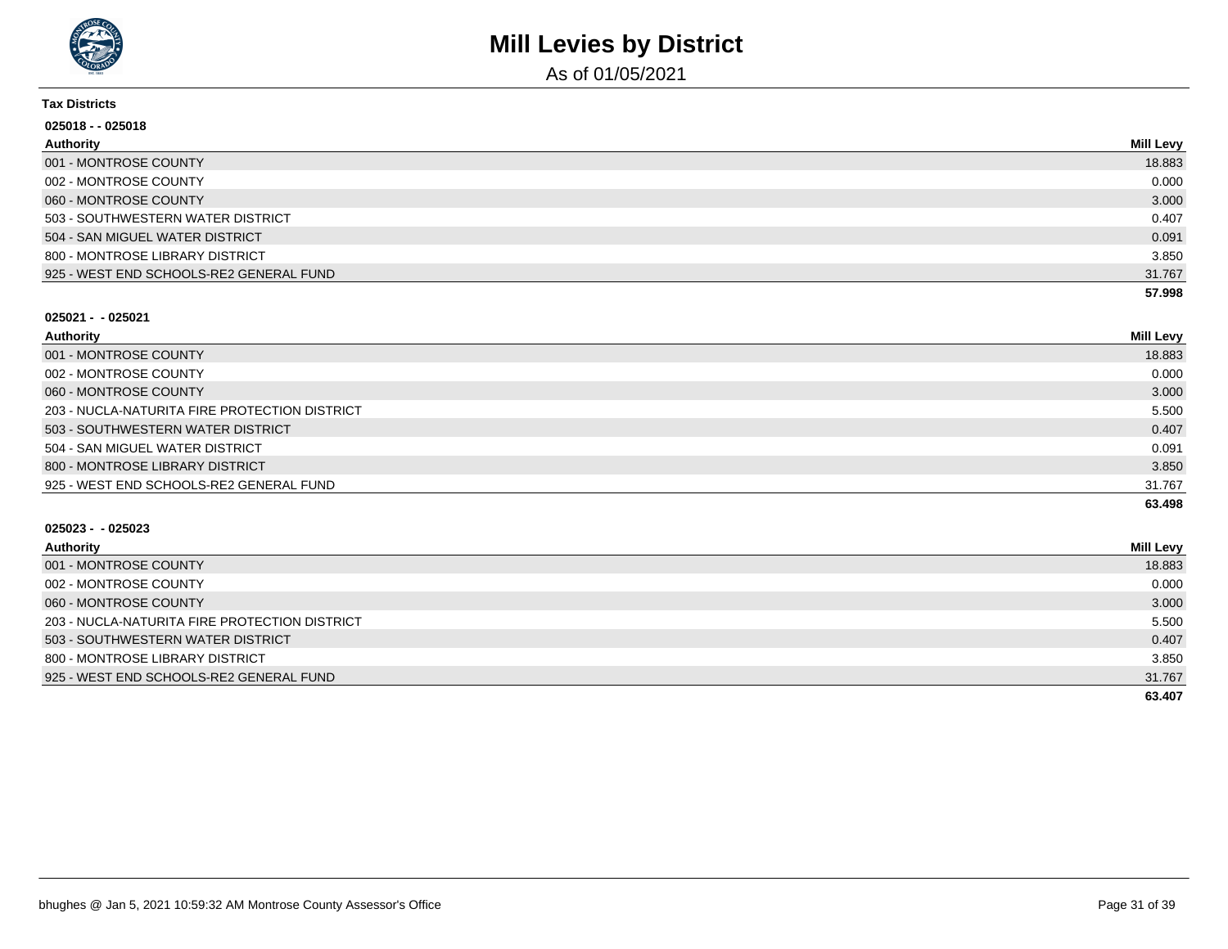

As of 01/05/2021

#### **Tax Districts**

| 025018 - - 025018                       |           |
|-----------------------------------------|-----------|
| Authority                               | Mill Levy |
| 001 - MONTROSE COUNTY                   | 18.883    |
| 002 - MONTROSE COUNTY                   | 0.000     |
| 060 - MONTROSE COUNTY                   | 3.000     |
| 503 - SOUTHWESTERN WATER DISTRICT       | 0.407     |
| 504 - SAN MIGUEL WATER DISTRICT         | 0.091     |
| 800 - MONTROSE LIBRARY DISTRICT         | 3.850     |
| 925 - WEST END SCHOOLS-RE2 GENERAL FUND | 31.767    |
|                                         | 57.998    |

#### **025021 - - 025021**

| Authority                                     | Mill Levy |
|-----------------------------------------------|-----------|
| 001 - MONTROSE COUNTY                         | 18.883    |
| 002 - MONTROSE COUNTY                         | 0.000     |
| 060 - MONTROSE COUNTY                         | 3.000     |
| 203 - NUCLA-NATURITA FIRE PROTECTION DISTRICT | 5.500     |
| 503 - SOUTHWESTERN WATER DISTRICT             | 0.407     |
| 504 - SAN MIGUEL WATER DISTRICT               | 0.091     |
| 800 - MONTROSE LIBRARY DISTRICT               | 3.850     |
| 925 - WEST END SCHOOLS-RE2 GENERAL FUND       | 31.767    |
|                                               | 63.498    |

| Authority                                     | <b>Mill Levy</b> |
|-----------------------------------------------|------------------|
| 001 - MONTROSE COUNTY                         | 18.883           |
| 002 - MONTROSE COUNTY                         | 0.000            |
| 060 - MONTROSE COUNTY                         | 3.000            |
| 203 - NUCLA-NATURITA FIRE PROTECTION DISTRICT | 5.500            |
| 503 - SOUTHWESTERN WATER DISTRICT             | 0.407            |
| 800 - MONTROSE LIBRARY DISTRICT               | 3.850            |
| 925 - WEST END SCHOOLS-RE2 GENERAL FUND       | 31.767           |
|                                               | 63.407           |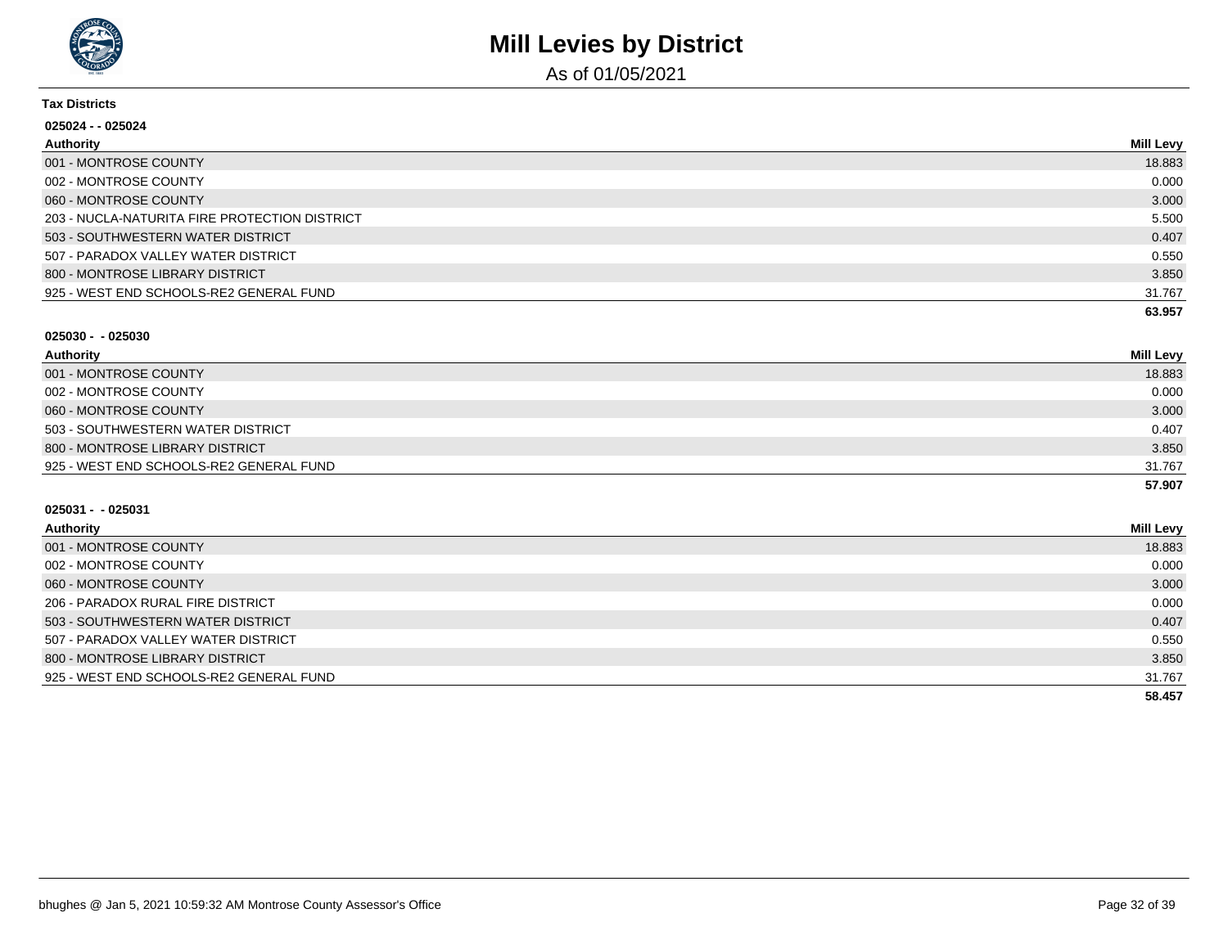

As of 01/05/2021

#### **Tax Districts**

| 025024 - - 025024                             |                  |
|-----------------------------------------------|------------------|
| Authority                                     | <b>Mill Levy</b> |
| 001 - MONTROSE COUNTY                         | 18.883           |
| 002 - MONTROSE COUNTY                         | 0.000            |
| 060 - MONTROSE COUNTY                         | 3.000            |
| 203 - NUCLA-NATURITA FIRE PROTECTION DISTRICT | 5.500            |
| 503 - SOUTHWESTERN WATER DISTRICT             | 0.407            |
| 507 - PARADOX VALLEY WATER DISTRICT           | 0.550            |
| 800 - MONTROSE LIBRARY DISTRICT               | 3.850            |
| 925 - WEST END SCHOOLS-RE2 GENERAL FUND       | 31.767           |
|                                               | 63.957           |

#### **025030 - - 025030**

| Authority                               | <b>Mill Levy</b> |
|-----------------------------------------|------------------|
| 001 - MONTROSE COUNTY                   | 18.883           |
| 002 - MONTROSE COUNTY                   | 0.000            |
| 060 - MONTROSE COUNTY                   | 3.000            |
| 503 - SOUTHWESTERN WATER DISTRICT       | 0.407            |
| 800 - MONTROSE LIBRARY DISTRICT         | 3.850            |
| 925 - WEST END SCHOOLS-RE2 GENERAL FUND | 31.767           |
|                                         | 57.907           |

| Authority                               | <b>Mill Levy</b> |
|-----------------------------------------|------------------|
| 001 - MONTROSE COUNTY                   | 18.883           |
| 002 - MONTROSE COUNTY                   | 0.000            |
| 060 - MONTROSE COUNTY                   | 3.000            |
| 206 - PARADOX RURAL FIRE DISTRICT       | 0.000            |
| 503 - SOUTHWESTERN WATER DISTRICT       | 0.407            |
| 507 - PARADOX VALLEY WATER DISTRICT     | 0.550            |
| 800 - MONTROSE LIBRARY DISTRICT         | 3.850            |
| 925 - WEST END SCHOOLS-RE2 GENERAL FUND | 31.767           |
|                                         | 58.457           |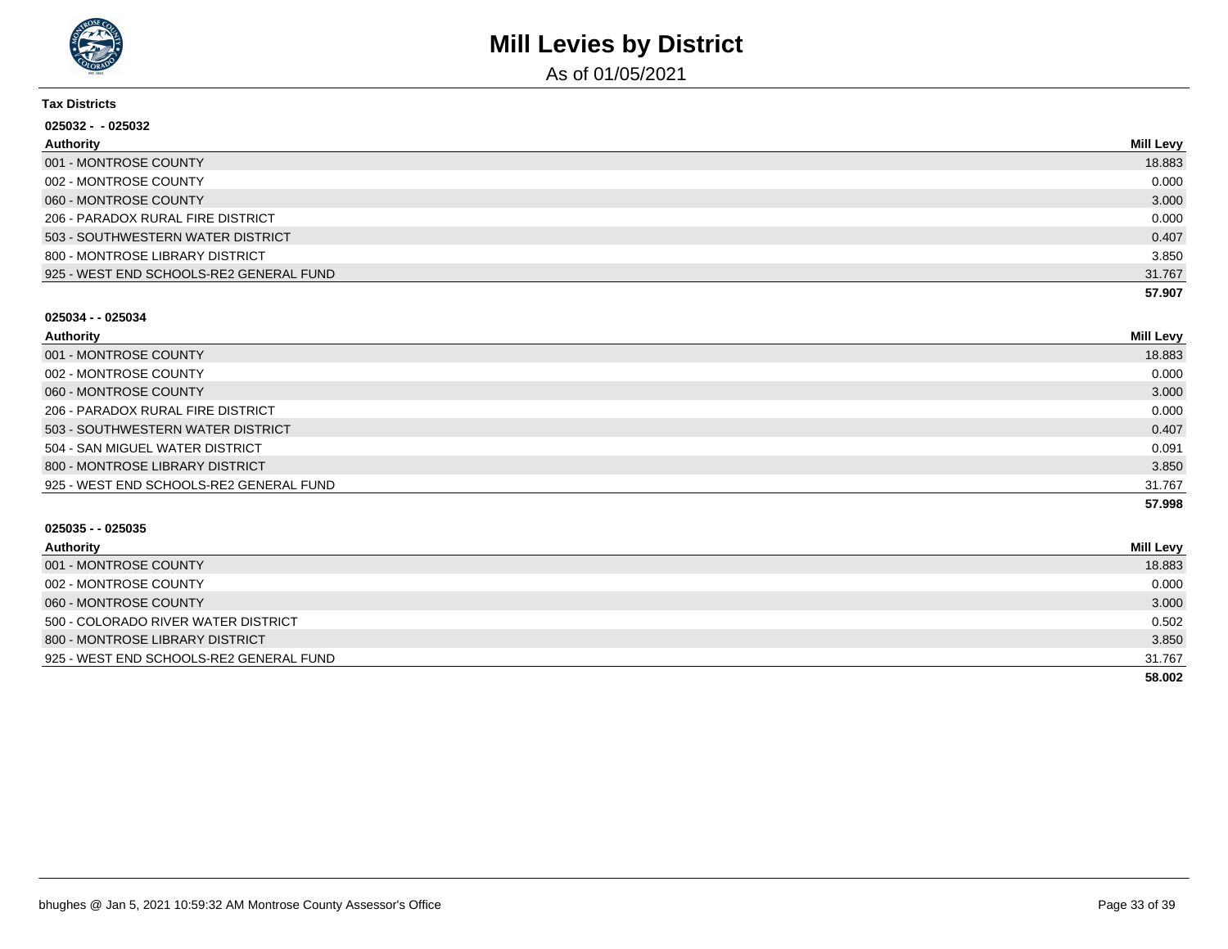

As of 01/05/2021

#### **Tax Districts**

| 025032 - -025032                        |                  |
|-----------------------------------------|------------------|
| <b>Authority</b>                        | <b>Mill Levy</b> |
| 001 - MONTROSE COUNTY                   | 18.883           |
| 002 - MONTROSE COUNTY                   | 0.000            |
| 060 - MONTROSE COUNTY                   | 3.000            |
| 206 - PARADOX RURAL FIRE DISTRICT       | 0.000            |
| 503 - SOUTHWESTERN WATER DISTRICT       | 0.407            |
| 800 - MONTROSE LIBRARY DISTRICT         | 3.850            |
| 925 - WEST END SCHOOLS-RE2 GENERAL FUND | 31.767           |
|                                         | 57.907           |

#### **025034 - - 025034**

| Authority                               | <b>Mill Levy</b> |
|-----------------------------------------|------------------|
| 001 - MONTROSE COUNTY                   | 18.883           |
| 002 - MONTROSE COUNTY                   | 0.000            |
| 060 - MONTROSE COUNTY                   | 3.000            |
| 206 - PARADOX RURAL FIRE DISTRICT       | 0.000            |
| 503 - SOUTHWESTERN WATER DISTRICT       | 0.407            |
| 504 - SAN MIGUEL WATER DISTRICT         | 0.091            |
| 800 - MONTROSE LIBRARY DISTRICT         | 3.850            |
| 925 - WEST END SCHOOLS-RE2 GENERAL FUND | 31.767           |
|                                         | 57.998           |

| Authority                               | <b>Mill Levy</b> |
|-----------------------------------------|------------------|
| 001 - MONTROSE COUNTY                   | 18.883           |
| 002 - MONTROSE COUNTY                   | 0.000            |
| 060 - MONTROSE COUNTY                   | 3.000            |
| 500 - COLORADO RIVER WATER DISTRICT     | 0.502            |
| 800 - MONTROSE LIBRARY DISTRICT         | 3.850            |
| 925 - WEST END SCHOOLS-RE2 GENERAL FUND | 31.767           |
|                                         | 58.002           |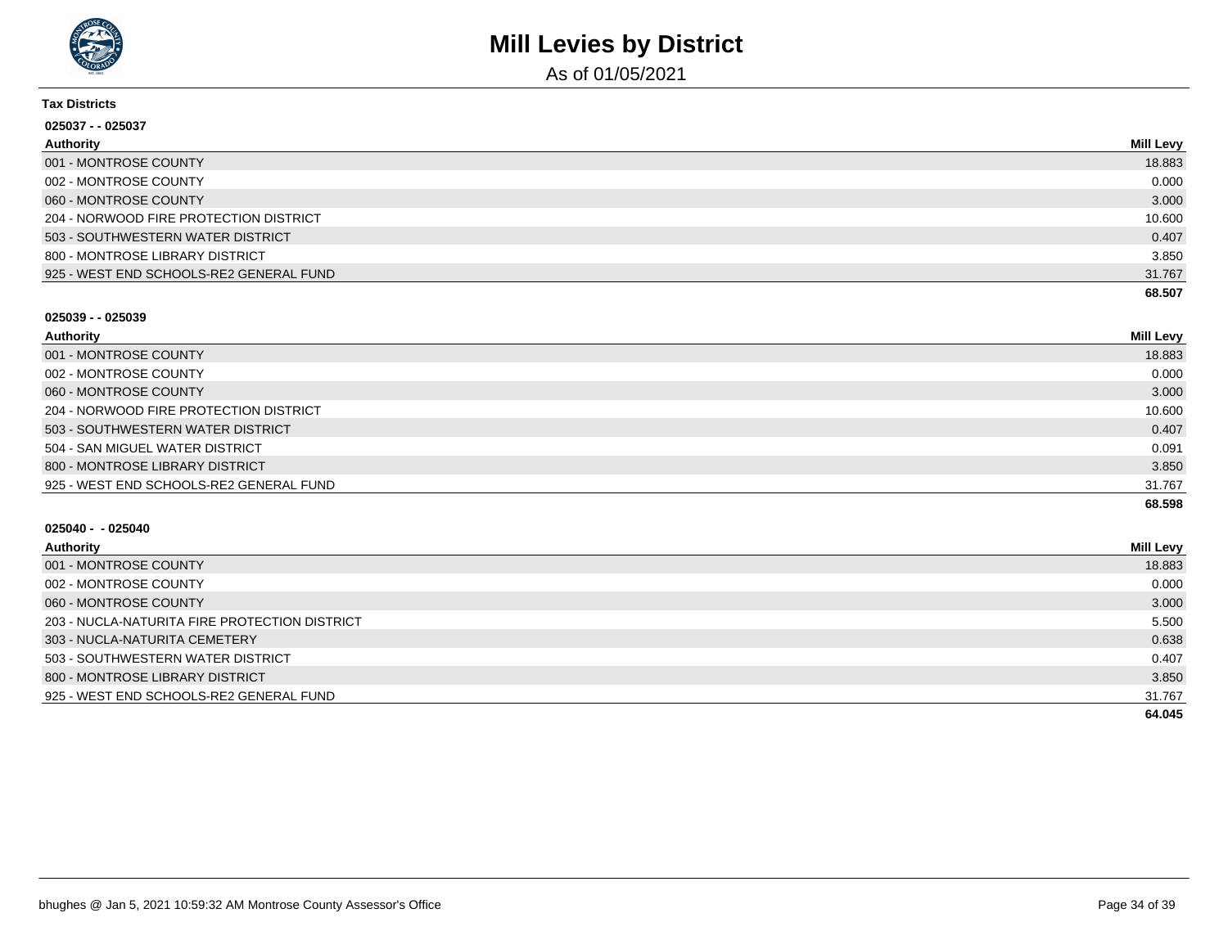

As of 01/05/2021

#### **Tax Districts**

| 025037 - - 025037                       |           |
|-----------------------------------------|-----------|
| <b>Authority</b>                        | Mill Levy |
| 001 - MONTROSE COUNTY                   | 18.883    |
| 002 - MONTROSE COUNTY                   | 0.000     |
| 060 - MONTROSE COUNTY                   | 3.000     |
| 204 - NORWOOD FIRE PROTECTION DISTRICT  | 10.600    |
| 503 - SOUTHWESTERN WATER DISTRICT       | 0.407     |
| 800 - MONTROSE LIBRARY DISTRICT         | 3.850     |
| 925 - WEST END SCHOOLS-RE2 GENERAL FUND | 31.767    |
|                                         | 68.507    |

#### **025039 - - 025039**

| Authority                               | Mill Levy |
|-----------------------------------------|-----------|
| 001 - MONTROSE COUNTY                   | 18.883    |
| 002 - MONTROSE COUNTY                   | 0.000     |
| 060 - MONTROSE COUNTY                   | 3.000     |
| 204 - NORWOOD FIRE PROTECTION DISTRICT  | 10.600    |
| 503 - SOUTHWESTERN WATER DISTRICT       | 0.407     |
| 504 - SAN MIGUEL WATER DISTRICT         | 0.091     |
| 800 - MONTROSE LIBRARY DISTRICT         | 3.850     |
| 925 - WEST END SCHOOLS-RE2 GENERAL FUND | 31.767    |
|                                         | 68.598    |

| Authority                                     | <b>Mill Levy</b> |
|-----------------------------------------------|------------------|
| 001 - MONTROSE COUNTY                         | 18.883           |
| 002 - MONTROSE COUNTY                         | 0.000            |
| 060 - MONTROSE COUNTY                         | 3.000            |
| 203 - NUCLA-NATURITA FIRE PROTECTION DISTRICT | 5.500            |
| 303 - NUCLA-NATURITA CEMETERY                 | 0.638            |
| 503 - SOUTHWESTERN WATER DISTRICT             | 0.407            |
| 800 - MONTROSE LIBRARY DISTRICT               | 3.850            |
| 925 - WEST END SCHOOLS-RE2 GENERAL FUND       | 31.767           |
|                                               | 64.045           |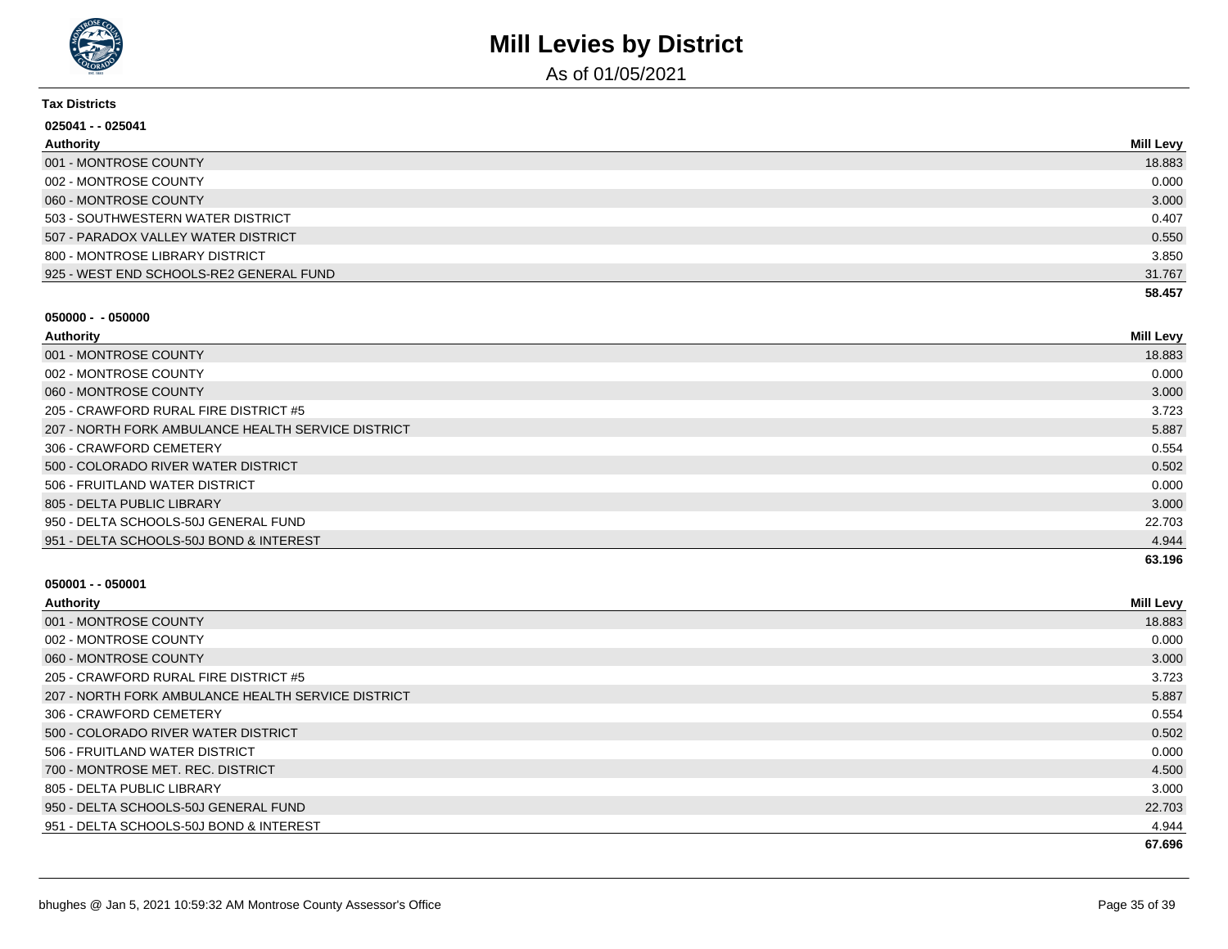

As of 01/05/2021

#### **Tax Districts**

| 025041 - - 025041                       |           |
|-----------------------------------------|-----------|
| Authority                               | Mill Levy |
| 001 - MONTROSE COUNTY                   | 18.883    |
| 002 - MONTROSE COUNTY                   | 0.000     |
| 060 - MONTROSE COUNTY                   | 3.000     |
| 503 - SOUTHWESTERN WATER DISTRICT       | 0.407     |
| 507 - PARADOX VALLEY WATER DISTRICT     | 0.550     |
| 800 - MONTROSE LIBRARY DISTRICT         | 3.850     |
| 925 - WEST END SCHOOLS-RE2 GENERAL FUND | 31.767    |
|                                         | 58.457    |

#### **050000 - - 050000**

| Authority                                          | Mill Levy |
|----------------------------------------------------|-----------|
| 001 - MONTROSE COUNTY                              | 18.883    |
| 002 - MONTROSE COUNTY                              | 0.000     |
| 060 - MONTROSE COUNTY                              | 3.000     |
| 205 - CRAWFORD RURAL FIRE DISTRICT #5              | 3.723     |
| 207 - NORTH FORK AMBULANCE HEALTH SERVICE DISTRICT | 5.887     |
| 306 - CRAWFORD CEMETERY                            | 0.554     |
| 500 - COLORADO RIVER WATER DISTRICT                | 0.502     |
| 506 - FRUITLAND WATER DISTRICT                     | 0.000     |
| 805 - DELTA PUBLIC LIBRARY                         | 3.000     |
| 950 - DELTA SCHOOLS-50J GENERAL FUND               | 22.703    |
| 951 - DELTA SCHOOLS-50J BOND & INTEREST            | 4.944     |
|                                                    | 63.196    |

| Authority                                          | <b>Mill Levy</b> |
|----------------------------------------------------|------------------|
| 001 - MONTROSE COUNTY                              | 18.883           |
| 002 - MONTROSE COUNTY                              | 0.000            |
| 060 - MONTROSE COUNTY                              | 3.000            |
| 205 - CRAWFORD RURAL FIRE DISTRICT #5              | 3.723            |
| 207 - NORTH FORK AMBULANCE HEALTH SERVICE DISTRICT | 5.887            |
| 306 - CRAWFORD CEMETERY                            | 0.554            |
| 500 - COLORADO RIVER WATER DISTRICT                | 0.502            |
| 506 - FRUITLAND WATER DISTRICT                     | 0.000            |
| 700 - MONTROSE MET. REC. DISTRICT                  | 4.500            |
| 805 - DELTA PUBLIC LIBRARY                         | 3.000            |
| 950 - DELTA SCHOOLS-50J GENERAL FUND               | 22.703           |
| 951 - DELTA SCHOOLS-50J BOND & INTEREST            | 4.944            |
|                                                    | 67.696           |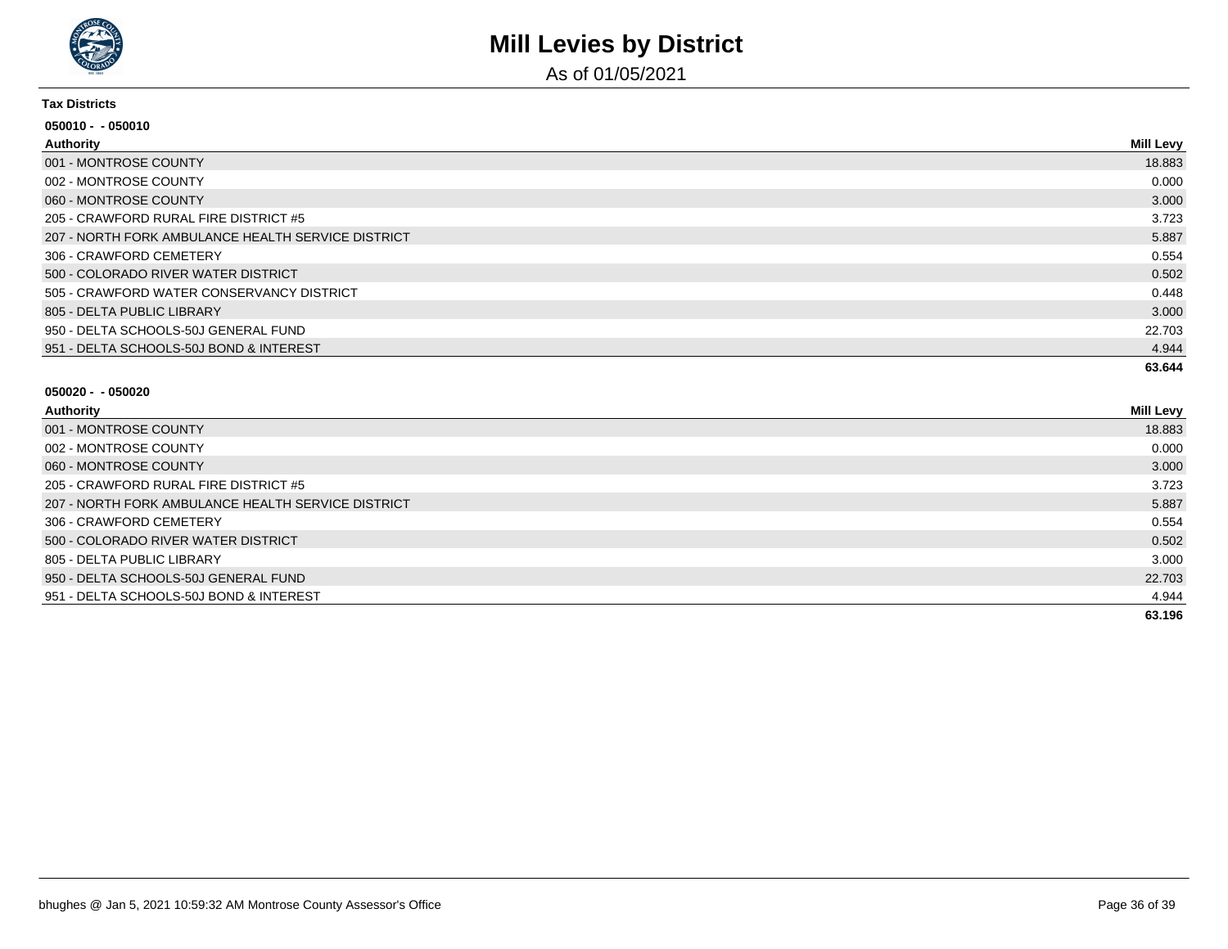

As of 01/05/2021

#### **Tax Districts**

| 050010 - - 050010                                  |           |
|----------------------------------------------------|-----------|
| Authority                                          | Mill Levy |
| 001 - MONTROSE COUNTY                              | 18.883    |
| 002 - MONTROSE COUNTY                              | 0.000     |
| 060 - MONTROSE COUNTY                              | 3.000     |
| 205 - CRAWFORD RURAL FIRE DISTRICT #5              | 3.723     |
| 207 - NORTH FORK AMBULANCE HEALTH SERVICE DISTRICT | 5.887     |
| 306 - CRAWFORD CEMETERY                            | 0.554     |
| 500 - COLORADO RIVER WATER DISTRICT                | 0.502     |
| 505 - CRAWFORD WATER CONSERVANCY DISTRICT          | 0.448     |
| 805 - DELTA PUBLIC LIBRARY                         | 3.000     |
| 950 - DELTA SCHOOLS-50J GENERAL FUND               | 22.703    |
| 951 - DELTA SCHOOLS-50J BOND & INTEREST            | 4.944     |
|                                                    | 63.644    |

| Authority                                          | <b>Mill Levy</b> |
|----------------------------------------------------|------------------|
| 001 - MONTROSE COUNTY                              | 18.883           |
| 002 - MONTROSE COUNTY                              | 0.000            |
| 060 - MONTROSE COUNTY                              | 3.000            |
| 205 - CRAWFORD RURAL FIRE DISTRICT #5              | 3.723            |
| 207 - NORTH FORK AMBULANCE HEALTH SERVICE DISTRICT | 5.887            |
| 306 - CRAWFORD CEMETERY                            | 0.554            |
| 500 - COLORADO RIVER WATER DISTRICT                | 0.502            |
| 805 - DELTA PUBLIC LIBRARY                         | 3.000            |
| 950 - DELTA SCHOOLS-50J GENERAL FUND               | 22.703           |
| 951 - DELTA SCHOOLS-50J BOND & INTEREST            | 4.944            |
|                                                    | 63.196           |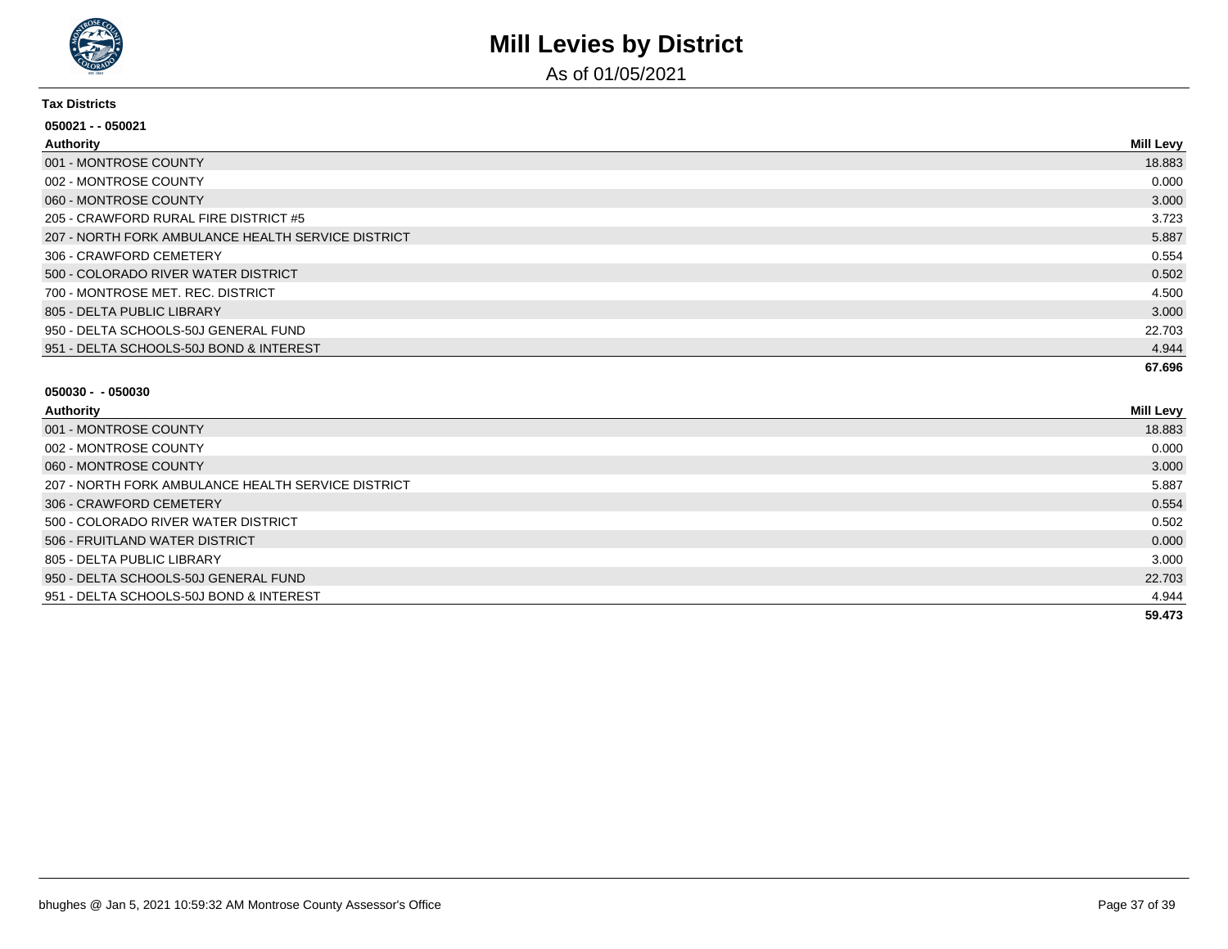

As of 01/05/2021

#### **Tax Districts**

| 050021 - - 050021                                  |                  |
|----------------------------------------------------|------------------|
| Authority                                          | <b>Mill Levy</b> |
| 001 - MONTROSE COUNTY                              | 18.883           |
| 002 - MONTROSE COUNTY                              | 0.000            |
| 060 - MONTROSE COUNTY                              | 3.000            |
| 205 - CRAWFORD RURAL FIRE DISTRICT #5              | 3.723            |
| 207 - NORTH FORK AMBULANCE HEALTH SERVICE DISTRICT | 5.887            |
| 306 - CRAWFORD CEMETERY                            | 0.554            |
| 500 - COLORADO RIVER WATER DISTRICT                | 0.502            |
| 700 - MONTROSE MET. REC. DISTRICT                  | 4.500            |
| 805 - DELTA PUBLIC LIBRARY                         | 3.000            |
| 950 - DELTA SCHOOLS-50J GENERAL FUND               | 22.703           |
| 951 - DELTA SCHOOLS-50J BOND & INTEREST            | 4.944            |
|                                                    | 67.696           |

| <b>Authority</b> |  |
|------------------|--|
|                  |  |

| Authority                                          | <b>Mill Levy</b> |
|----------------------------------------------------|------------------|
| 001 - MONTROSE COUNTY                              | 18.883           |
| 002 - MONTROSE COUNTY                              | 0.000            |
| 060 - MONTROSE COUNTY                              | 3.000            |
| 207 - NORTH FORK AMBULANCE HEALTH SERVICE DISTRICT | 5.887            |
| 306 - CRAWFORD CEMETERY                            | 0.554            |
| 500 - COLORADO RIVER WATER DISTRICT                | 0.502            |
| 506 - FRUITLAND WATER DISTRICT                     | 0.000            |
| 805 - DELTA PUBLIC LIBRARY                         | 3.000            |
| 950 - DELTA SCHOOLS-50J GENERAL FUND               | 22.703           |
| 951 - DELTA SCHOOLS-50J BOND & INTEREST            | 4.944            |
|                                                    | 59.473           |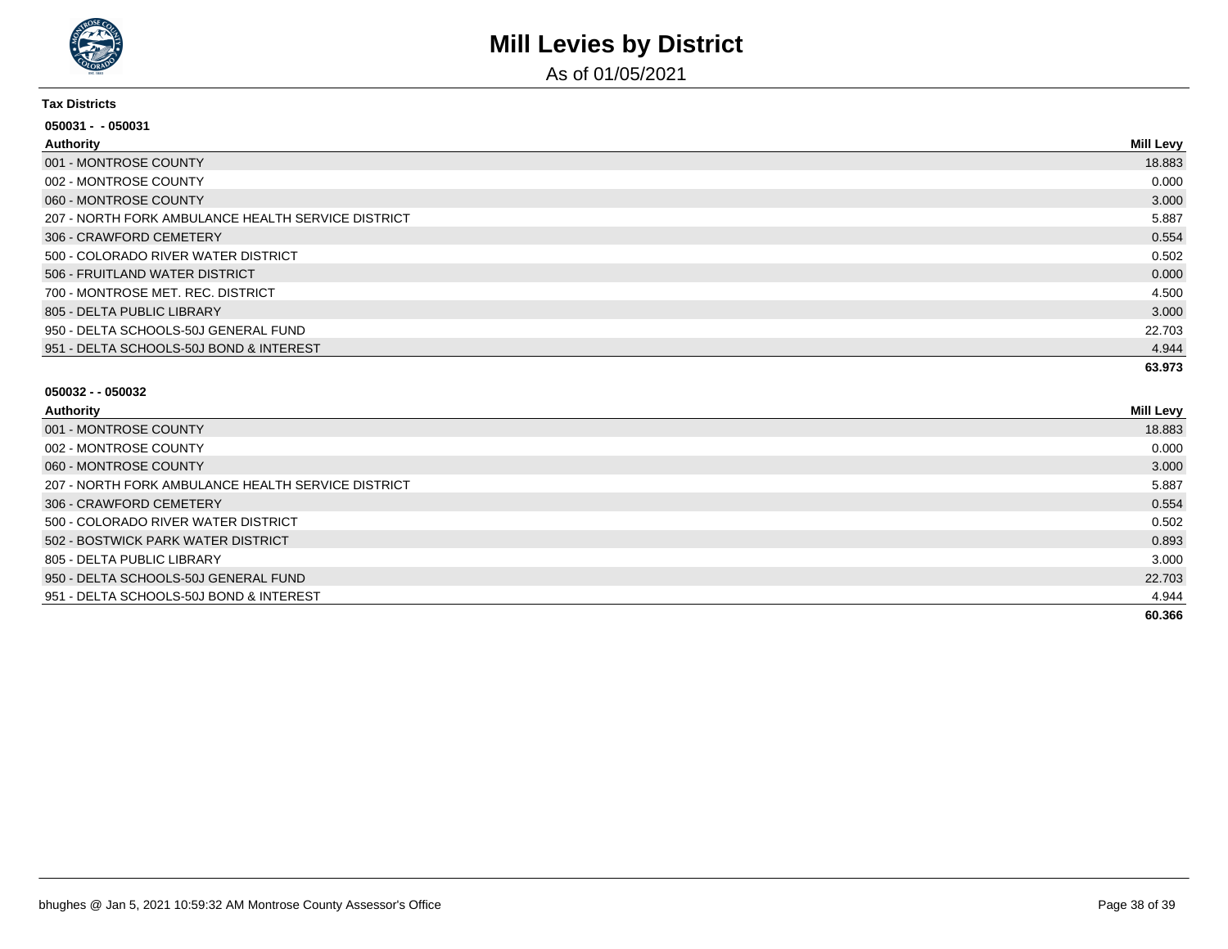

As of 01/05/2021

#### **Tax Districts**

| $050031 - 050031$                                  |                  |
|----------------------------------------------------|------------------|
| Authority                                          | <b>Mill Levy</b> |
| 001 - MONTROSE COUNTY                              | 18.883           |
| 002 - MONTROSE COUNTY                              | 0.000            |
| 060 - MONTROSE COUNTY                              | 3.000            |
| 207 - NORTH FORK AMBULANCE HEALTH SERVICE DISTRICT | 5.887            |
| 306 - CRAWFORD CEMETERY                            | 0.554            |
| 500 - COLORADO RIVER WATER DISTRICT                | 0.502            |
| 506 - FRUITLAND WATER DISTRICT                     | 0.000            |
| 700 - MONTROSE MET, REC, DISTRICT                  | 4.500            |
| 805 - DELTA PUBLIC LIBRARY                         | 3.000            |
| 950 - DELTA SCHOOLS-50J GENERAL FUND               | 22.703           |
| 951 - DELTA SCHOOLS-50J BOND & INTEREST            | 4.944            |
|                                                    | 63.973           |

| Authority |
|-----------|
|-----------|

| <b>Authority</b>                                   | <b>Mill Levy</b> |
|----------------------------------------------------|------------------|
| 001 - MONTROSE COUNTY                              | 18.883           |
| 002 - MONTROSE COUNTY                              | 0.000            |
| 060 - MONTROSE COUNTY                              | 3.000            |
| 207 - NORTH FORK AMBULANCE HEALTH SERVICE DISTRICT | 5.887            |
| 306 - CRAWFORD CEMETERY                            | 0.554            |
| 500 - COLORADO RIVER WATER DISTRICT                | 0.502            |
| 502 - BOSTWICK PARK WATER DISTRICT                 | 0.893            |
| 805 - DELTA PUBLIC LIBRARY                         | 3.000            |
| 950 - DELTA SCHOOLS-50J GENERAL FUND               | 22.703           |
| 951 - DELTA SCHOOLS-50J BOND & INTEREST            | 4.944            |
|                                                    | 60.366           |